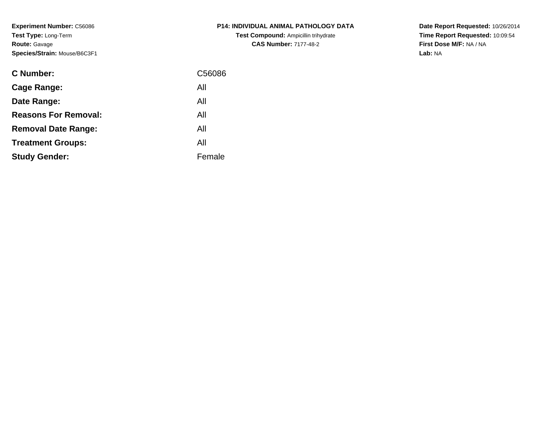**Experiment Number:** C56086**Test Type:** Long-Term**Route:** Gavage**Species/Strain:** Mouse/B6C3F1

| <b>P14: INDIVIDUAL ANIMAL PATHOLOGY DATA</b> |
|----------------------------------------------|
| <b>Test Compound: Ampicillin trihydrate</b>  |
| <b>CAS Number: 7177-48-2</b>                 |

| <b>C</b> Number:            | C56086 |
|-----------------------------|--------|
| Cage Range:                 | All    |
| Date Range:                 | All    |
| <b>Reasons For Removal:</b> | All    |
| <b>Removal Date Range:</b>  | All    |
| <b>Treatment Groups:</b>    | All    |
| <b>Study Gender:</b>        | Female |
|                             |        |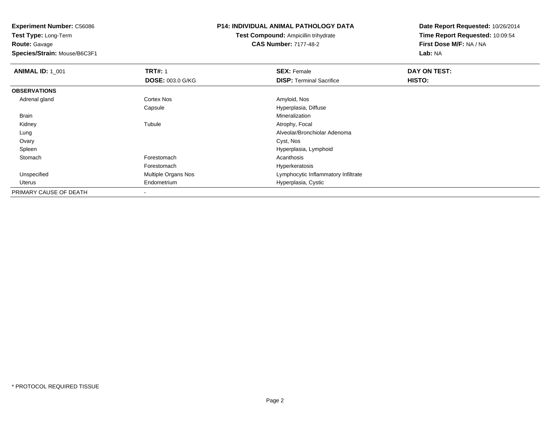**Test Type:** Long-Term**Route:** Gavage

**Species/Strain:** Mouse/B6C3F1

## **P14: INDIVIDUAL ANIMAL PATHOLOGY DATA**

**Test Compound:** Ampicillin trihydrate**CAS Number:** 7177-48-2

| <b>ANIMAL ID: 1_001</b> | <b>TRT#: 1</b>          | <b>SEX: Female</b>                  | DAY ON TEST: |  |
|-------------------------|-------------------------|-------------------------------------|--------------|--|
|                         | <b>DOSE: 003.0 G/KG</b> | <b>DISP:</b> Terminal Sacrifice     | HISTO:       |  |
| <b>OBSERVATIONS</b>     |                         |                                     |              |  |
| Adrenal gland           | <b>Cortex Nos</b>       | Amyloid, Nos                        |              |  |
|                         | Capsule                 | Hyperplasia, Diffuse                |              |  |
| Brain                   |                         | Mineralization                      |              |  |
| Kidney                  | Tubule                  | Atrophy, Focal                      |              |  |
| Lung                    |                         | Alveolar/Bronchiolar Adenoma        |              |  |
| Ovary                   |                         | Cyst, Nos                           |              |  |
| Spleen                  |                         | Hyperplasia, Lymphoid               |              |  |
| Stomach                 | Forestomach             | Acanthosis                          |              |  |
|                         | Forestomach             | Hyperkeratosis                      |              |  |
| Unspecified             | Multiple Organs Nos     | Lymphocytic Inflammatory Infiltrate |              |  |
| Uterus                  | Endometrium             | Hyperplasia, Cystic                 |              |  |
| PRIMARY CAUSE OF DEATH  |                         |                                     |              |  |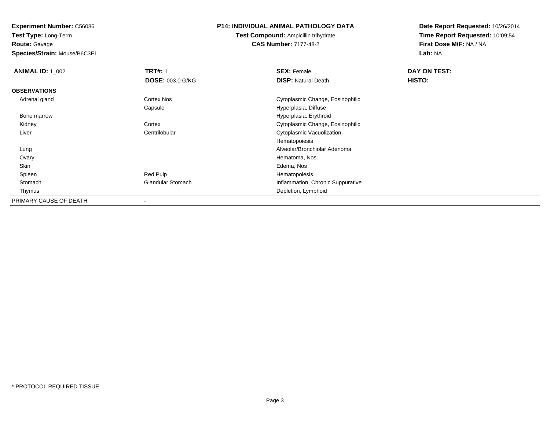**Test Type:** Long-Term**Route:** Gavage

**Species/Strain:** Mouse/B6C3F1

## **P14: INDIVIDUAL ANIMAL PATHOLOGY DATA**

**Test Compound:** Ampicillin trihydrate**CAS Number:** 7177-48-2

| <b>ANIMAL ID: 1_002</b> | <b>TRT#: 1</b>           | <b>SEX: Female</b>                | DAY ON TEST: |  |
|-------------------------|--------------------------|-----------------------------------|--------------|--|
|                         | <b>DOSE: 003.0 G/KG</b>  | <b>DISP: Natural Death</b>        | HISTO:       |  |
| <b>OBSERVATIONS</b>     |                          |                                   |              |  |
| Adrenal gland           | Cortex Nos               | Cytoplasmic Change, Eosinophilic  |              |  |
|                         | Capsule                  | Hyperplasia, Diffuse              |              |  |
| Bone marrow             |                          | Hyperplasia, Erythroid            |              |  |
| Kidney                  | Cortex                   | Cytoplasmic Change, Eosinophilic  |              |  |
| Liver                   | Centrilobular            | Cytoplasmic Vacuolization         |              |  |
|                         |                          | Hematopoiesis                     |              |  |
| Lung                    |                          | Alveolar/Bronchiolar Adenoma      |              |  |
| Ovary                   |                          | Hematoma, Nos                     |              |  |
| Skin                    |                          | Edema, Nos                        |              |  |
| Spleen                  | Red Pulp                 | Hematopoiesis                     |              |  |
| Stomach                 | <b>Glandular Stomach</b> | Inflammation, Chronic Suppurative |              |  |
| Thymus                  |                          | Depletion, Lymphoid               |              |  |
| PRIMARY CAUSE OF DEATH  |                          |                                   |              |  |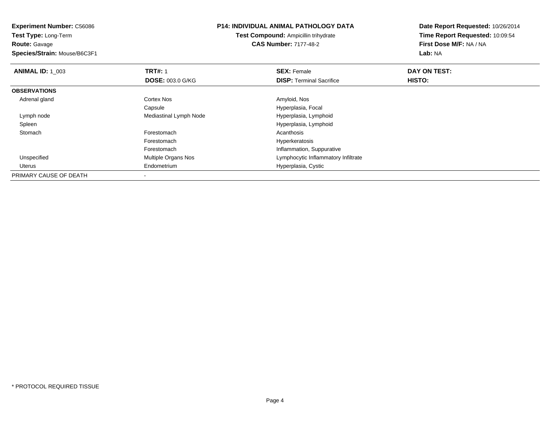**Experiment Number:** C56086**Test Type:** Long-Term**Route:** Gavage **Species/Strain:** Mouse/B6C3F1**P14: INDIVIDUAL ANIMAL PATHOLOGY DATATest Compound:** Ampicillin trihydrate**CAS Number:** 7177-48-2**Date Report Requested:** 10/26/2014**Time Report Requested:** 10:09:54**First Dose M/F:** NA / NA**Lab:** NA**ANIMAL ID: 1\_003 TRT#:** 1 **SEX:** Female **DAY ON TEST: DOSE:** 003.0 G/KG**DISP:** Terminal Sacrifice **HISTO: OBSERVATIONS** Adrenal glandd and the Cortex Nos and the Cortex Nos and the Amyloid, Nos and the Amyloid, Nos CapsuleHyperplasia, Focal<br>Hyperplasia, Lymphoid Lymph nodeMediastinal Lymph Node Spleen Hyperplasia, Lymphoid **Stomach** h anns an t-India anns an t-India anns an t-India anns an t-India anns an t-India anns an t-India anns an t-In Forestomach Hyperkeratosis ForestomachForestomach **Inflammation, Suppurative**<br>
Multiple Organs Nos **Inflammation** Lymphocytic Inflammatory UnspecifiedLymphocytic Inflammatory Infiltrate Uterus Endometrium Hyperplasia, Cystic PRIMARY CAUSE OF DEATH-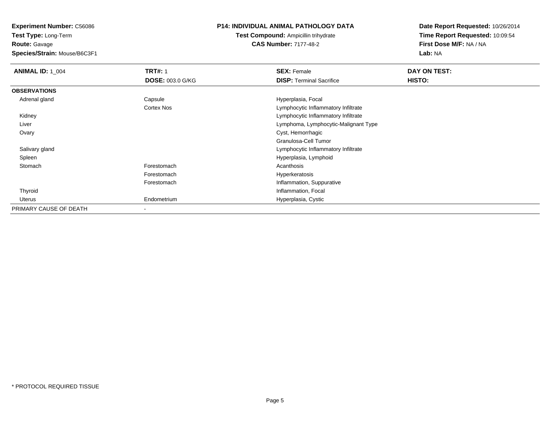**Test Type:** Long-Term**Route:** Gavage

**Species/Strain:** Mouse/B6C3F1

## **P14: INDIVIDUAL ANIMAL PATHOLOGY DATA**

**Test Compound:** Ampicillin trihydrate**CAS Number:** 7177-48-2

| <b>ANIMAL ID: 1_004</b> | <b>TRT#: 1</b>          | <b>SEX: Female</b>                   | DAY ON TEST: |  |
|-------------------------|-------------------------|--------------------------------------|--------------|--|
|                         | <b>DOSE: 003.0 G/KG</b> | <b>DISP: Terminal Sacrifice</b>      | HISTO:       |  |
| <b>OBSERVATIONS</b>     |                         |                                      |              |  |
| Adrenal gland           | Capsule                 | Hyperplasia, Focal                   |              |  |
|                         | Cortex Nos              | Lymphocytic Inflammatory Infiltrate  |              |  |
| Kidney                  |                         | Lymphocytic Inflammatory Infiltrate  |              |  |
| Liver                   |                         | Lymphoma, Lymphocytic-Malignant Type |              |  |
| Ovary                   |                         | Cyst, Hemorrhagic                    |              |  |
|                         |                         | Granulosa-Cell Tumor                 |              |  |
| Salivary gland          |                         | Lymphocytic Inflammatory Infiltrate  |              |  |
| Spleen                  |                         | Hyperplasia, Lymphoid                |              |  |
| Stomach                 | Forestomach             | Acanthosis                           |              |  |
|                         | Forestomach             | Hyperkeratosis                       |              |  |
|                         | Forestomach             | Inflammation, Suppurative            |              |  |
| Thyroid                 |                         | Inflammation, Focal                  |              |  |
| Uterus                  | Endometrium             | Hyperplasia, Cystic                  |              |  |
| PRIMARY CAUSE OF DEATH  |                         |                                      |              |  |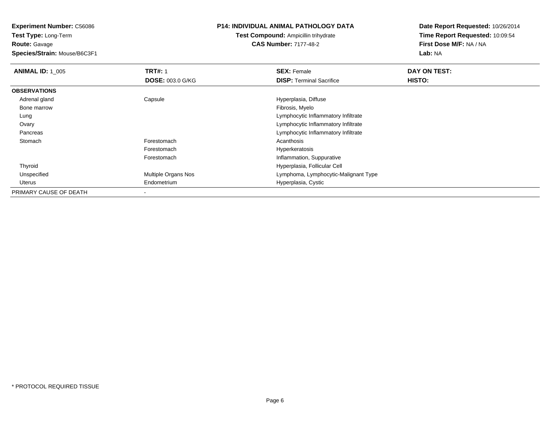**Test Type:** Long-Term**Route:** Gavage

**Species/Strain:** Mouse/B6C3F1

# **P14: INDIVIDUAL ANIMAL PATHOLOGY DATA**

**Test Compound:** Ampicillin trihydrate**CAS Number:** 7177-48-2

| <b>ANIMAL ID: 1 005</b> | <b>TRT#: 1</b>             | <b>SEX: Female</b>                   | DAY ON TEST: |  |
|-------------------------|----------------------------|--------------------------------------|--------------|--|
|                         | <b>DOSE: 003.0 G/KG</b>    | <b>DISP:</b> Terminal Sacrifice      | HISTO:       |  |
| <b>OBSERVATIONS</b>     |                            |                                      |              |  |
| Adrenal gland           | Capsule                    | Hyperplasia, Diffuse                 |              |  |
| Bone marrow             |                            | Fibrosis, Myelo                      |              |  |
| Lung                    |                            | Lymphocytic Inflammatory Infiltrate  |              |  |
| Ovary                   |                            | Lymphocytic Inflammatory Infiltrate  |              |  |
| Pancreas                |                            | Lymphocytic Inflammatory Infiltrate  |              |  |
| Stomach                 | Forestomach                | Acanthosis                           |              |  |
|                         | Forestomach                | Hyperkeratosis                       |              |  |
|                         | Forestomach                | Inflammation, Suppurative            |              |  |
| Thyroid                 |                            | Hyperplasia, Follicular Cell         |              |  |
| Unspecified             | <b>Multiple Organs Nos</b> | Lymphoma, Lymphocytic-Malignant Type |              |  |
| Uterus                  | Endometrium                | Hyperplasia, Cystic                  |              |  |
| PRIMARY CAUSE OF DEATH  |                            |                                      |              |  |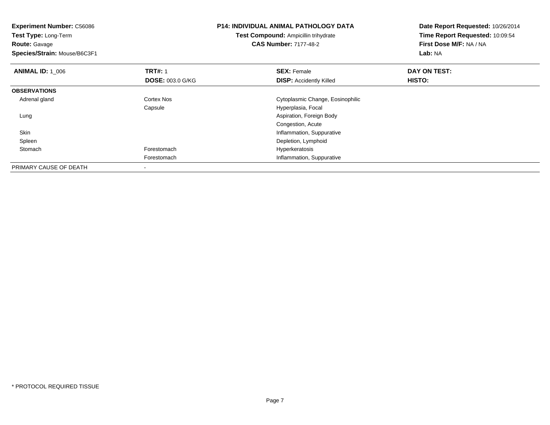| <b>Experiment Number: C56086</b><br>Test Type: Long-Term<br><b>Route: Gavage</b><br>Species/Strain: Mouse/B6C3F1 |                         | <b>P14: INDIVIDUAL ANIMAL PATHOLOGY DATA</b><br><b>Test Compound: Ampicillin trihydrate</b><br><b>CAS Number: 7177-48-2</b> | Date Report Requested: 10/26/2014<br>Time Report Requested: 10:09:54<br>First Dose M/F: NA / NA<br><b>Lab: NA</b> |
|------------------------------------------------------------------------------------------------------------------|-------------------------|-----------------------------------------------------------------------------------------------------------------------------|-------------------------------------------------------------------------------------------------------------------|
| <b>ANIMAL ID: 1 006</b>                                                                                          | <b>TRT#: 1</b>          | <b>SEX: Female</b>                                                                                                          | DAY ON TEST:                                                                                                      |
|                                                                                                                  | <b>DOSE: 003.0 G/KG</b> | <b>DISP:</b> Accidently Killed                                                                                              | HISTO:                                                                                                            |
| <b>OBSERVATIONS</b>                                                                                              |                         |                                                                                                                             |                                                                                                                   |
| Adrenal gland                                                                                                    | <b>Cortex Nos</b>       | Cytoplasmic Change, Eosinophilic                                                                                            |                                                                                                                   |
|                                                                                                                  | Capsule                 | Hyperplasia, Focal                                                                                                          |                                                                                                                   |
| Lung                                                                                                             |                         | Aspiration, Foreign Body                                                                                                    |                                                                                                                   |
|                                                                                                                  |                         | Congestion, Acute                                                                                                           |                                                                                                                   |
| Skin                                                                                                             |                         | Inflammation, Suppurative                                                                                                   |                                                                                                                   |
| Spleen                                                                                                           |                         | Depletion, Lymphoid                                                                                                         |                                                                                                                   |
| Stomach                                                                                                          | Forestomach             | Hyperkeratosis                                                                                                              |                                                                                                                   |
|                                                                                                                  | Forestomach             | Inflammation, Suppurative                                                                                                   |                                                                                                                   |
| PRIMARY CAUSE OF DEATH                                                                                           |                         |                                                                                                                             |                                                                                                                   |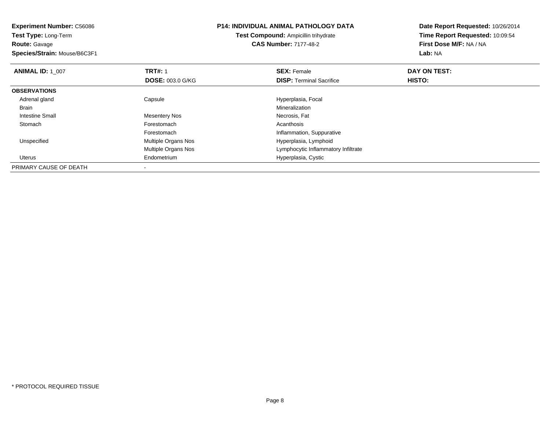| <b>Experiment Number: C56086</b><br>Test Type: Long-Term<br><b>Route: Gavage</b> |                         | <b>P14: INDIVIDUAL ANIMAL PATHOLOGY DATA</b><br><b>Test Compound: Ampicillin trihydrate</b><br><b>CAS Number: 7177-48-2</b> | Date Report Requested: 10/26/2014<br>Time Report Requested: 10:09:54<br>First Dose M/F: NA / NA |
|----------------------------------------------------------------------------------|-------------------------|-----------------------------------------------------------------------------------------------------------------------------|-------------------------------------------------------------------------------------------------|
| Species/Strain: Mouse/B6C3F1                                                     |                         |                                                                                                                             | Lab: NA                                                                                         |
| <b>ANIMAL ID: 1 007</b>                                                          | <b>TRT#: 1</b>          | <b>SEX: Female</b>                                                                                                          | DAY ON TEST:                                                                                    |
|                                                                                  | <b>DOSE: 003.0 G/KG</b> | <b>DISP:</b> Terminal Sacrifice                                                                                             | HISTO:                                                                                          |
| <b>OBSERVATIONS</b>                                                              |                         |                                                                                                                             |                                                                                                 |
| Adrenal gland                                                                    | Capsule                 | Hyperplasia, Focal                                                                                                          |                                                                                                 |
| <b>Brain</b>                                                                     |                         | Mineralization                                                                                                              |                                                                                                 |
| <b>Intestine Small</b>                                                           | <b>Mesentery Nos</b>    | Necrosis, Fat                                                                                                               |                                                                                                 |
| Stomach                                                                          | Forestomach             | Acanthosis                                                                                                                  |                                                                                                 |
|                                                                                  | Forestomach             | Inflammation, Suppurative                                                                                                   |                                                                                                 |
| Unspecified                                                                      | Multiple Organs Nos     | Hyperplasia, Lymphoid                                                                                                       |                                                                                                 |
|                                                                                  | Multiple Organs Nos     | Lymphocytic Inflammatory Infiltrate                                                                                         |                                                                                                 |
| Uterus                                                                           | Endometrium             | Hyperplasia, Cystic                                                                                                         |                                                                                                 |
| PRIMARY CAUSE OF DEATH                                                           |                         |                                                                                                                             |                                                                                                 |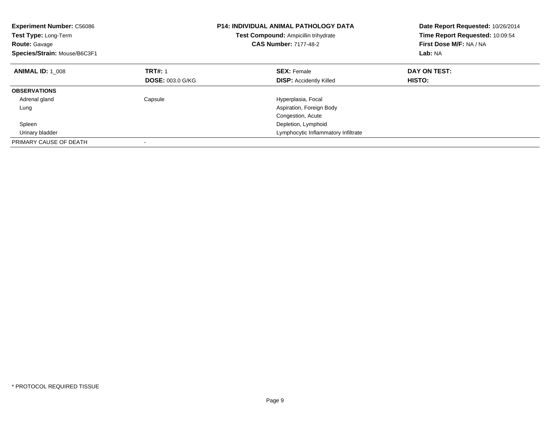| <b>Experiment Number: C56086</b><br>Test Type: Long-Term<br><b>Route: Gavage</b><br>Species/Strain: Mouse/B6C3F1 |                         | <b>P14: INDIVIDUAL ANIMAL PATHOLOGY DATA</b><br>Test Compound: Ampicillin trihydrate<br><b>CAS Number: 7177-48-2</b> | Date Report Requested: 10/26/2014<br>Time Report Requested: 10:09:54<br>First Dose M/F: NA / NA<br>Lab: NA |
|------------------------------------------------------------------------------------------------------------------|-------------------------|----------------------------------------------------------------------------------------------------------------------|------------------------------------------------------------------------------------------------------------|
| <b>ANIMAL ID: 1 008</b>                                                                                          | <b>TRT#: 1</b>          | <b>SEX: Female</b>                                                                                                   | DAY ON TEST:                                                                                               |
|                                                                                                                  | <b>DOSE: 003.0 G/KG</b> | <b>DISP: Accidently Killed</b>                                                                                       | HISTO:                                                                                                     |
| <b>OBSERVATIONS</b>                                                                                              |                         |                                                                                                                      |                                                                                                            |
| Adrenal gland                                                                                                    | Capsule                 | Hyperplasia, Focal                                                                                                   |                                                                                                            |
| Lung                                                                                                             |                         | Aspiration, Foreign Body                                                                                             |                                                                                                            |
|                                                                                                                  |                         | Congestion, Acute                                                                                                    |                                                                                                            |
| Spleen                                                                                                           |                         | Depletion, Lymphoid                                                                                                  |                                                                                                            |
| Urinary bladder                                                                                                  |                         | Lymphocytic Inflammatory Infiltrate                                                                                  |                                                                                                            |
| PRIMARY CAUSE OF DEATH                                                                                           |                         |                                                                                                                      |                                                                                                            |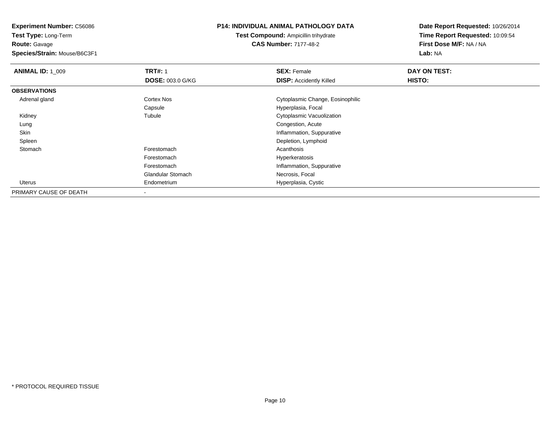**Route:** Gavage

**Species/Strain:** Mouse/B6C3F1

## **P14: INDIVIDUAL ANIMAL PATHOLOGY DATA**

**Test Compound:** Ampicillin trihydrate**CAS Number:** 7177-48-2

| <b>ANIMAL ID: 1 009</b> | <b>TRT#: 1</b>           | <b>SEX: Female</b>               | DAY ON TEST: |  |
|-------------------------|--------------------------|----------------------------------|--------------|--|
|                         | <b>DOSE: 003.0 G/KG</b>  | <b>DISP: Accidently Killed</b>   | HISTO:       |  |
| <b>OBSERVATIONS</b>     |                          |                                  |              |  |
| Adrenal gland           | Cortex Nos               | Cytoplasmic Change, Eosinophilic |              |  |
|                         | Capsule                  | Hyperplasia, Focal               |              |  |
| Kidney                  | Tubule                   | Cytoplasmic Vacuolization        |              |  |
| Lung                    |                          | Congestion, Acute                |              |  |
| Skin                    |                          | Inflammation, Suppurative        |              |  |
| Spleen                  |                          | Depletion, Lymphoid              |              |  |
| Stomach                 | Forestomach              | Acanthosis                       |              |  |
|                         | Forestomach              | Hyperkeratosis                   |              |  |
|                         | Forestomach              | Inflammation, Suppurative        |              |  |
|                         | <b>Glandular Stomach</b> | Necrosis, Focal                  |              |  |
| <b>Uterus</b>           | Endometrium              | Hyperplasia, Cystic              |              |  |
| PRIMARY CAUSE OF DEATH  | $\,$                     |                                  |              |  |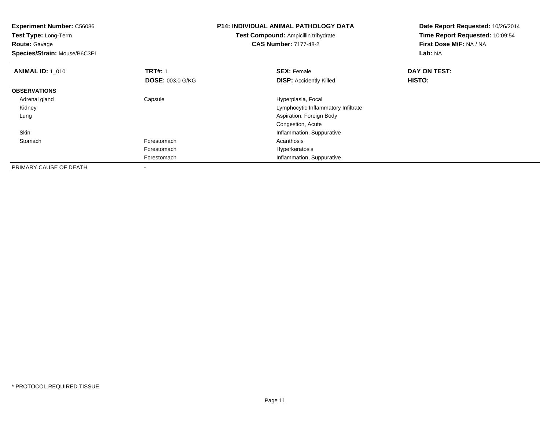| <b>Experiment Number: C56086</b><br>Test Type: Long-Term |                         | <b>P14: INDIVIDUAL ANIMAL PATHOLOGY DATA</b> | Date Report Requested: 10/26/2014<br>Time Report Requested: 10:09:54 |  |
|----------------------------------------------------------|-------------------------|----------------------------------------------|----------------------------------------------------------------------|--|
|                                                          |                         | Test Compound: Ampicillin trihydrate         |                                                                      |  |
| <b>Route: Gavage</b>                                     |                         | <b>CAS Number: 7177-48-2</b>                 | First Dose M/F: NA / NA                                              |  |
| Species/Strain: Mouse/B6C3F1                             |                         |                                              | Lab: NA                                                              |  |
| <b>ANIMAL ID: 1 010</b>                                  | <b>TRT#: 1</b>          | <b>SEX: Female</b>                           | DAY ON TEST:                                                         |  |
|                                                          | <b>DOSE: 003.0 G/KG</b> | <b>DISP: Accidently Killed</b>               | <b>HISTO:</b>                                                        |  |
| <b>OBSERVATIONS</b>                                      |                         |                                              |                                                                      |  |
| Adrenal gland                                            | Capsule                 | Hyperplasia, Focal                           |                                                                      |  |
| Kidney                                                   |                         | Lymphocytic Inflammatory Infiltrate          |                                                                      |  |
| Lung                                                     |                         | Aspiration, Foreign Body                     |                                                                      |  |
|                                                          |                         | Congestion, Acute                            |                                                                      |  |
| Skin                                                     |                         | Inflammation, Suppurative                    |                                                                      |  |
| Stomach                                                  | Forestomach             | Acanthosis                                   |                                                                      |  |
|                                                          | Forestomach             | Hyperkeratosis                               |                                                                      |  |
|                                                          | Forestomach             | Inflammation, Suppurative                    |                                                                      |  |
| PRIMARY CAUSE OF DEATH                                   |                         |                                              |                                                                      |  |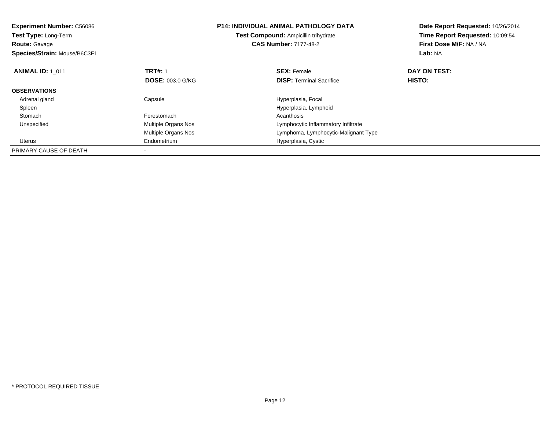| <b>Experiment Number: C56086</b><br><b>Test Type: Long-Term</b><br><b>Route: Gavage</b><br>Species/Strain: Mouse/B6C3F1 |                         | <b>P14: INDIVIDUAL ANIMAL PATHOLOGY DATA</b><br>Test Compound: Ampicillin trihydrate<br><b>CAS Number: 7177-48-2</b> | Date Report Requested: 10/26/2014<br>Time Report Requested: 10:09:54<br>First Dose M/F: NA / NA<br>Lab: NA |
|-------------------------------------------------------------------------------------------------------------------------|-------------------------|----------------------------------------------------------------------------------------------------------------------|------------------------------------------------------------------------------------------------------------|
| <b>ANIMAL ID: 1 011</b>                                                                                                 | <b>TRT#: 1</b>          | <b>SEX: Female</b>                                                                                                   | DAY ON TEST:                                                                                               |
|                                                                                                                         | <b>DOSE: 003.0 G/KG</b> | <b>DISP:</b> Terminal Sacrifice                                                                                      | <b>HISTO:</b>                                                                                              |
| <b>OBSERVATIONS</b>                                                                                                     |                         |                                                                                                                      |                                                                                                            |
| Adrenal gland                                                                                                           | Capsule                 | Hyperplasia, Focal                                                                                                   |                                                                                                            |
| Spleen                                                                                                                  |                         | Hyperplasia, Lymphoid                                                                                                |                                                                                                            |
| Stomach                                                                                                                 | Forestomach             | Acanthosis                                                                                                           |                                                                                                            |
| Unspecified                                                                                                             | Multiple Organs Nos     | Lymphocytic Inflammatory Infiltrate                                                                                  |                                                                                                            |
|                                                                                                                         | Multiple Organs Nos     | Lymphoma, Lymphocytic-Malignant Type                                                                                 |                                                                                                            |
| Uterus                                                                                                                  | Endometrium             | Hyperplasia, Cystic                                                                                                  |                                                                                                            |
| PRIMARY CAUSE OF DEATH                                                                                                  |                         |                                                                                                                      |                                                                                                            |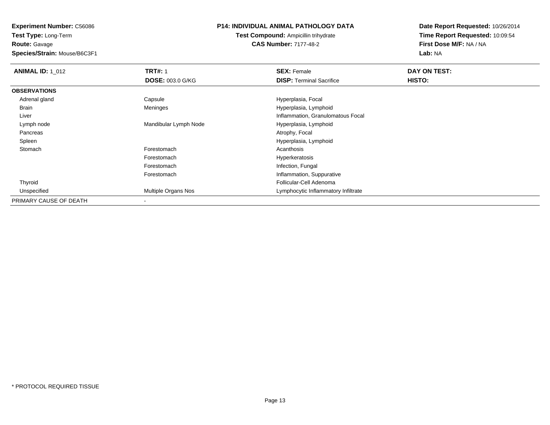**Route:** Gavage

**Species/Strain:** Mouse/B6C3F1

## **P14: INDIVIDUAL ANIMAL PATHOLOGY DATA**

**Test Compound:** Ampicillin trihydrate**CAS Number:** 7177-48-2

| <b>ANIMAL ID: 1 012</b> | <b>TRT#: 1</b>             | <b>SEX: Female</b>                  | DAY ON TEST: |  |
|-------------------------|----------------------------|-------------------------------------|--------------|--|
|                         | DOSE: 003.0 G/KG           | <b>DISP: Terminal Sacrifice</b>     | HISTO:       |  |
| <b>OBSERVATIONS</b>     |                            |                                     |              |  |
| Adrenal gland           | Capsule                    | Hyperplasia, Focal                  |              |  |
| Brain                   | Meninges                   | Hyperplasia, Lymphoid               |              |  |
| Liver                   |                            | Inflammation, Granulomatous Focal   |              |  |
| Lymph node              | Mandibular Lymph Node      | Hyperplasia, Lymphoid               |              |  |
| Pancreas                |                            | Atrophy, Focal                      |              |  |
| Spleen                  |                            | Hyperplasia, Lymphoid               |              |  |
| Stomach                 | Forestomach                | Acanthosis                          |              |  |
|                         | Forestomach                | Hyperkeratosis                      |              |  |
|                         | Forestomach                | Infection, Fungal                   |              |  |
|                         | Forestomach                | Inflammation, Suppurative           |              |  |
| Thyroid                 |                            | Follicular-Cell Adenoma             |              |  |
| Unspecified             | <b>Multiple Organs Nos</b> | Lymphocytic Inflammatory Infiltrate |              |  |
| PRIMARY CAUSE OF DEATH  |                            |                                     |              |  |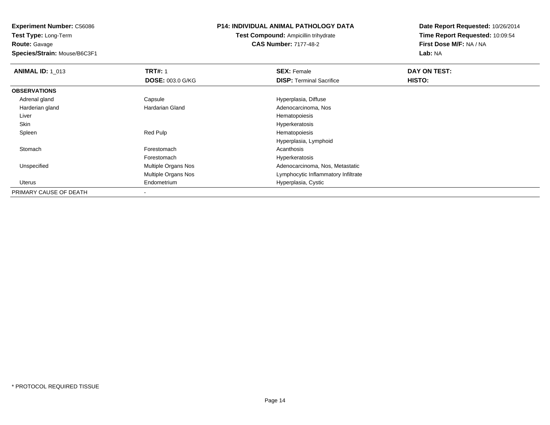**Route:** Gavage

**Species/Strain:** Mouse/B6C3F1

## **P14: INDIVIDUAL ANIMAL PATHOLOGY DATA**

**Test Compound:** Ampicillin trihydrate**CAS Number:** 7177-48-2

| <b>ANIMAL ID: 1 013</b> | <b>TRT#: 1</b>          | <b>SEX: Female</b>                  | <b>DAY ON TEST:</b> |  |
|-------------------------|-------------------------|-------------------------------------|---------------------|--|
|                         | <b>DOSE: 003.0 G/KG</b> | <b>DISP: Terminal Sacrifice</b>     | <b>HISTO:</b>       |  |
| <b>OBSERVATIONS</b>     |                         |                                     |                     |  |
| Adrenal gland           | Capsule                 | Hyperplasia, Diffuse                |                     |  |
| Harderian gland         | Hardarian Gland         | Adenocarcinoma, Nos                 |                     |  |
| Liver                   |                         | Hematopoiesis                       |                     |  |
| Skin                    |                         | Hyperkeratosis                      |                     |  |
| Spleen                  | Red Pulp                | Hematopoiesis                       |                     |  |
|                         |                         | Hyperplasia, Lymphoid               |                     |  |
| Stomach                 | Forestomach             | Acanthosis                          |                     |  |
|                         | Forestomach             | Hyperkeratosis                      |                     |  |
| Unspecified             | Multiple Organs Nos     | Adenocarcinoma, Nos, Metastatic     |                     |  |
|                         | Multiple Organs Nos     | Lymphocytic Inflammatory Infiltrate |                     |  |
| Uterus                  | Endometrium             | Hyperplasia, Cystic                 |                     |  |
| PRIMARY CAUSE OF DEATH  |                         |                                     |                     |  |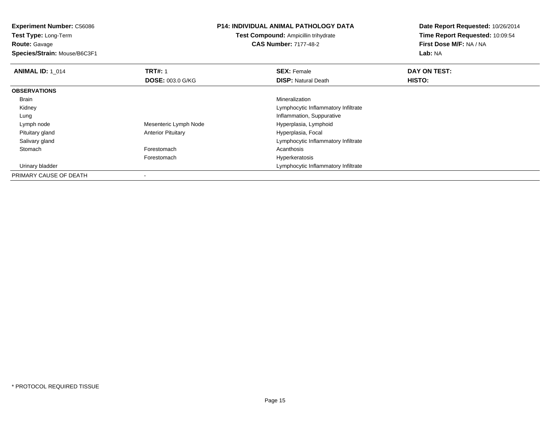**Route:** Gavage

**Species/Strain:** Mouse/B6C3F1

#### **P14: INDIVIDUAL ANIMAL PATHOLOGY DATA**

**Test Compound:** Ampicillin trihydrate**CAS Number:** 7177-48-2

| <b>ANIMAL ID: 1 014</b> | <b>TRT#: 1</b>            | <b>SEX: Female</b>                  | DAY ON TEST: |  |
|-------------------------|---------------------------|-------------------------------------|--------------|--|
|                         | <b>DOSE: 003.0 G/KG</b>   | <b>DISP:</b> Natural Death          | HISTO:       |  |
| <b>OBSERVATIONS</b>     |                           |                                     |              |  |
| Brain                   |                           | Mineralization                      |              |  |
| Kidney                  |                           | Lymphocytic Inflammatory Infiltrate |              |  |
| Lung                    |                           | Inflammation, Suppurative           |              |  |
| Lymph node              | Mesenteric Lymph Node     | Hyperplasia, Lymphoid               |              |  |
| Pituitary gland         | <b>Anterior Pituitary</b> | Hyperplasia, Focal                  |              |  |
| Salivary gland          |                           | Lymphocytic Inflammatory Infiltrate |              |  |
| Stomach                 | Forestomach               | Acanthosis                          |              |  |
|                         | Forestomach               | Hyperkeratosis                      |              |  |
| Urinary bladder         |                           | Lymphocytic Inflammatory Infiltrate |              |  |
| PRIMARY CAUSE OF DEATH  |                           |                                     |              |  |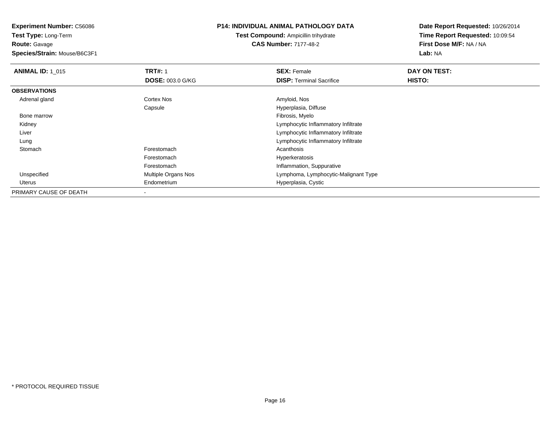**Test Type:** Long-Term**Route:** Gavage

**Species/Strain:** Mouse/B6C3F1

## **P14: INDIVIDUAL ANIMAL PATHOLOGY DATA**

**Test Compound:** Ampicillin trihydrate**CAS Number:** 7177-48-2

| <b>ANIMAL ID: 1 015</b> | <b>TRT#: 1</b>             | <b>SEX: Female</b>                   | DAY ON TEST: |  |
|-------------------------|----------------------------|--------------------------------------|--------------|--|
|                         | <b>DOSE: 003.0 G/KG</b>    | <b>DISP:</b> Terminal Sacrifice      | HISTO:       |  |
| <b>OBSERVATIONS</b>     |                            |                                      |              |  |
| Adrenal gland           | Cortex Nos                 | Amyloid, Nos                         |              |  |
|                         | Capsule                    | Hyperplasia, Diffuse                 |              |  |
| Bone marrow             |                            | Fibrosis, Myelo                      |              |  |
| Kidney                  |                            | Lymphocytic Inflammatory Infiltrate  |              |  |
| Liver                   |                            | Lymphocytic Inflammatory Infiltrate  |              |  |
| Lung                    |                            | Lymphocytic Inflammatory Infiltrate  |              |  |
| Stomach                 | Forestomach                | Acanthosis                           |              |  |
|                         | Forestomach                | Hyperkeratosis                       |              |  |
|                         | Forestomach                | Inflammation, Suppurative            |              |  |
| Unspecified             | <b>Multiple Organs Nos</b> | Lymphoma, Lymphocytic-Malignant Type |              |  |
| Uterus                  | Endometrium                | Hyperplasia, Cystic                  |              |  |
| PRIMARY CAUSE OF DEATH  |                            |                                      |              |  |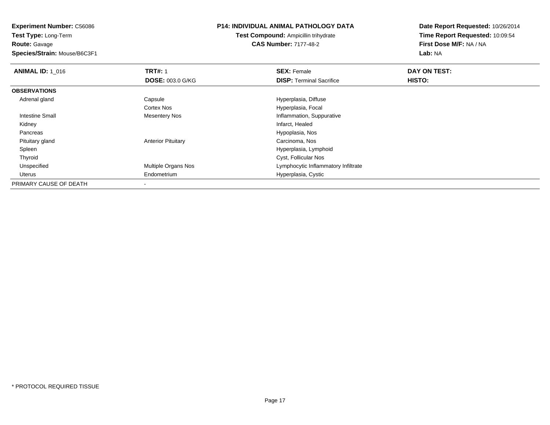**Route:** Gavage

**Species/Strain:** Mouse/B6C3F1

## **P14: INDIVIDUAL ANIMAL PATHOLOGY DATA**

**Test Compound:** Ampicillin trihydrate**CAS Number:** 7177-48-2

| <b>ANIMAL ID: 1 016</b> | <b>TRT#: 1</b>            | <b>SEX: Female</b>                  | DAY ON TEST: |  |
|-------------------------|---------------------------|-------------------------------------|--------------|--|
|                         | <b>DOSE: 003.0 G/KG</b>   | <b>DISP: Terminal Sacrifice</b>     | HISTO:       |  |
| <b>OBSERVATIONS</b>     |                           |                                     |              |  |
| Adrenal gland           | Capsule                   | Hyperplasia, Diffuse                |              |  |
|                         | <b>Cortex Nos</b>         | Hyperplasia, Focal                  |              |  |
| Intestine Small         | <b>Mesentery Nos</b>      | Inflammation, Suppurative           |              |  |
| Kidney                  |                           | Infarct, Healed                     |              |  |
| Pancreas                |                           | Hypoplasia, Nos                     |              |  |
| Pituitary gland         | <b>Anterior Pituitary</b> | Carcinoma, Nos                      |              |  |
| Spleen                  |                           | Hyperplasia, Lymphoid               |              |  |
| Thyroid                 |                           | Cyst, Follicular Nos                |              |  |
| Unspecified             | Multiple Organs Nos       | Lymphocytic Inflammatory Infiltrate |              |  |
| Uterus                  | Endometrium               | Hyperplasia, Cystic                 |              |  |
| PRIMARY CAUSE OF DEATH  |                           |                                     |              |  |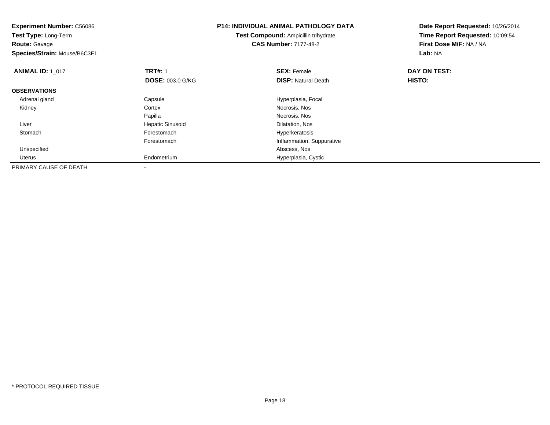| <b>Experiment Number: C56086</b><br>Test Type: Long-Term |                         | <b>P14: INDIVIDUAL ANIMAL PATHOLOGY DATA</b> | Date Report Requested: 10/26/2014 |
|----------------------------------------------------------|-------------------------|----------------------------------------------|-----------------------------------|
|                                                          |                         | Test Compound: Ampicillin trihydrate         | Time Report Requested: 10:09:54   |
| <b>Route: Gavage</b>                                     |                         | <b>CAS Number: 7177-48-2</b>                 | First Dose M/F: NA / NA           |
| Species/Strain: Mouse/B6C3F1                             |                         |                                              | <b>Lab: NA</b>                    |
| <b>ANIMAL ID: 1 017</b>                                  | <b>TRT#: 1</b>          | <b>SEX: Female</b>                           | DAY ON TEST:                      |
|                                                          | <b>DOSE: 003.0 G/KG</b> | <b>DISP: Natural Death</b>                   | HISTO:                            |
| <b>OBSERVATIONS</b>                                      |                         |                                              |                                   |
| Adrenal gland                                            | Capsule                 | Hyperplasia, Focal                           |                                   |
| Kidney                                                   | Cortex                  | Necrosis, Nos                                |                                   |
|                                                          | Papilla                 | Necrosis, Nos                                |                                   |
| Liver                                                    | <b>Hepatic Sinusoid</b> | Dilatation, Nos                              |                                   |
| Stomach                                                  | Forestomach             | Hyperkeratosis                               |                                   |
|                                                          | Forestomach             | Inflammation, Suppurative                    |                                   |
| Unspecified                                              |                         | Abscess, Nos                                 |                                   |
| Uterus                                                   | Endometrium             | Hyperplasia, Cystic                          |                                   |
| PRIMARY CAUSE OF DEATH                                   |                         |                                              |                                   |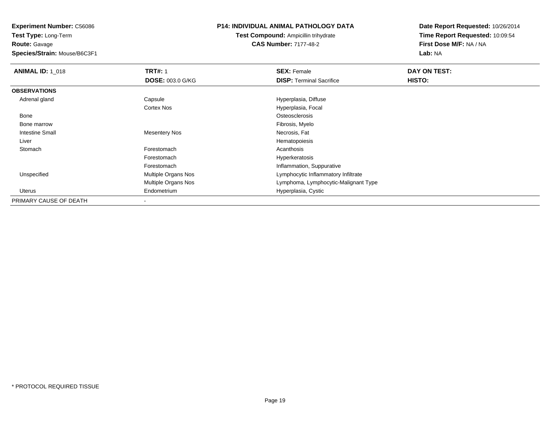**Test Type:** Long-Term**Route:** Gavage

**Species/Strain:** Mouse/B6C3F1

## **P14: INDIVIDUAL ANIMAL PATHOLOGY DATA**

**Test Compound:** Ampicillin trihydrate**CAS Number:** 7177-48-2

| <b>ANIMAL ID: 1_018</b> | <b>TRT#: 1</b>          | <b>SEX: Female</b>                   | DAY ON TEST: |  |
|-------------------------|-------------------------|--------------------------------------|--------------|--|
|                         | <b>DOSE: 003.0 G/KG</b> | <b>DISP: Terminal Sacrifice</b>      | HISTO:       |  |
| <b>OBSERVATIONS</b>     |                         |                                      |              |  |
| Adrenal gland           | Capsule                 | Hyperplasia, Diffuse                 |              |  |
|                         | Cortex Nos              | Hyperplasia, Focal                   |              |  |
| Bone                    |                         | Osteosclerosis                       |              |  |
| Bone marrow             |                         | Fibrosis, Myelo                      |              |  |
| <b>Intestine Small</b>  | <b>Mesentery Nos</b>    | Necrosis, Fat                        |              |  |
| Liver                   |                         | Hematopoiesis                        |              |  |
| Stomach                 | Forestomach             | Acanthosis                           |              |  |
|                         | Forestomach             | Hyperkeratosis                       |              |  |
|                         | Forestomach             | Inflammation, Suppurative            |              |  |
| Unspecified             | Multiple Organs Nos     | Lymphocytic Inflammatory Infiltrate  |              |  |
|                         | Multiple Organs Nos     | Lymphoma, Lymphocytic-Malignant Type |              |  |
| Uterus                  | Endometrium             | Hyperplasia, Cystic                  |              |  |
| PRIMARY CAUSE OF DEATH  |                         |                                      |              |  |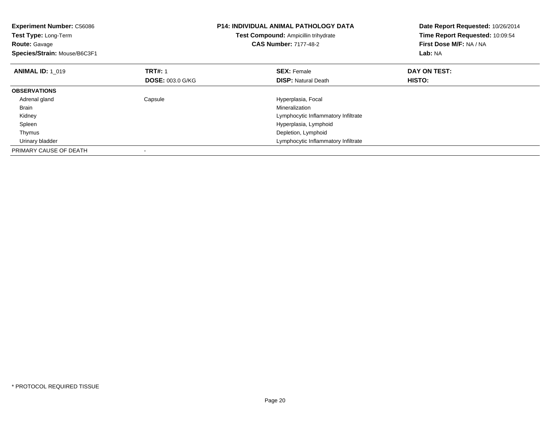| <b>Experiment Number: C56086</b><br>Test Type: Long-Term<br><b>Route: Gavage</b><br>Species/Strain: Mouse/B6C3F1 |                         | <b>P14: INDIVIDUAL ANIMAL PATHOLOGY DATA</b><br>Test Compound: Ampicillin trihydrate<br><b>CAS Number: 7177-48-2</b> | Date Report Requested: 10/26/2014<br>Time Report Requested: 10:09:54<br>First Dose M/F: NA / NA<br>Lab: NA |
|------------------------------------------------------------------------------------------------------------------|-------------------------|----------------------------------------------------------------------------------------------------------------------|------------------------------------------------------------------------------------------------------------|
| <b>ANIMAL ID: 1 019</b>                                                                                          | <b>TRT#: 1</b>          | <b>SEX: Female</b>                                                                                                   | DAY ON TEST:                                                                                               |
|                                                                                                                  | <b>DOSE: 003.0 G/KG</b> | <b>DISP:</b> Natural Death                                                                                           | HISTO:                                                                                                     |
| <b>OBSERVATIONS</b>                                                                                              |                         |                                                                                                                      |                                                                                                            |
| Adrenal gland                                                                                                    | Capsule                 | Hyperplasia, Focal                                                                                                   |                                                                                                            |
| <b>Brain</b>                                                                                                     |                         | Mineralization                                                                                                       |                                                                                                            |
| Kidney                                                                                                           |                         | Lymphocytic Inflammatory Infiltrate                                                                                  |                                                                                                            |
| Spleen                                                                                                           |                         | Hyperplasia, Lymphoid                                                                                                |                                                                                                            |
| Thymus                                                                                                           |                         | Depletion, Lymphoid                                                                                                  |                                                                                                            |
| Urinary bladder                                                                                                  |                         | Lymphocytic Inflammatory Infiltrate                                                                                  |                                                                                                            |
| PRIMARY CAUSE OF DEATH                                                                                           |                         |                                                                                                                      |                                                                                                            |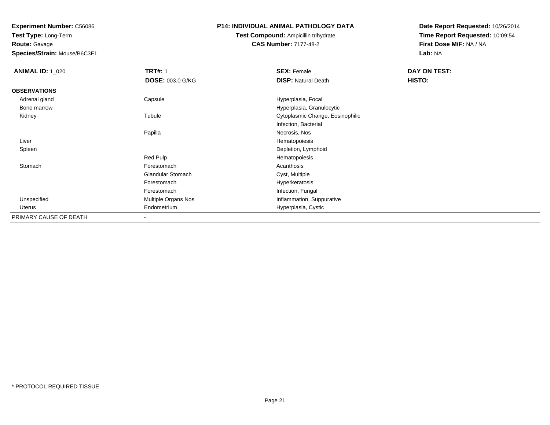**Test Type:** Long-Term**Route:** Gavage

**Species/Strain:** Mouse/B6C3F1

# **P14: INDIVIDUAL ANIMAL PATHOLOGY DATA**

**Test Compound:** Ampicillin trihydrate**CAS Number:** 7177-48-2

| <b>ANIMAL ID: 1_020</b> | <b>TRT#: 1</b>           | <b>SEX: Female</b>               | DAY ON TEST: |  |
|-------------------------|--------------------------|----------------------------------|--------------|--|
|                         | DOSE: 003.0 G/KG         | <b>DISP: Natural Death</b>       | HISTO:       |  |
| <b>OBSERVATIONS</b>     |                          |                                  |              |  |
| Adrenal gland           | Capsule                  | Hyperplasia, Focal               |              |  |
| Bone marrow             |                          | Hyperplasia, Granulocytic        |              |  |
| Kidney                  | Tubule                   | Cytoplasmic Change, Eosinophilic |              |  |
|                         |                          | Infection, Bacterial             |              |  |
|                         | Papilla                  | Necrosis, Nos                    |              |  |
| Liver                   |                          | Hematopoiesis                    |              |  |
| Spleen                  |                          | Depletion, Lymphoid              |              |  |
|                         | Red Pulp                 | Hematopoiesis                    |              |  |
| Stomach                 | Forestomach              | Acanthosis                       |              |  |
|                         | <b>Glandular Stomach</b> | Cyst, Multiple                   |              |  |
|                         | Forestomach              | Hyperkeratosis                   |              |  |
|                         | Forestomach              | Infection, Fungal                |              |  |
| Unspecified             | Multiple Organs Nos      | Inflammation, Suppurative        |              |  |
| Uterus                  | Endometrium              | Hyperplasia, Cystic              |              |  |
| PRIMARY CAUSE OF DEATH  | $\,$ $\,$                |                                  |              |  |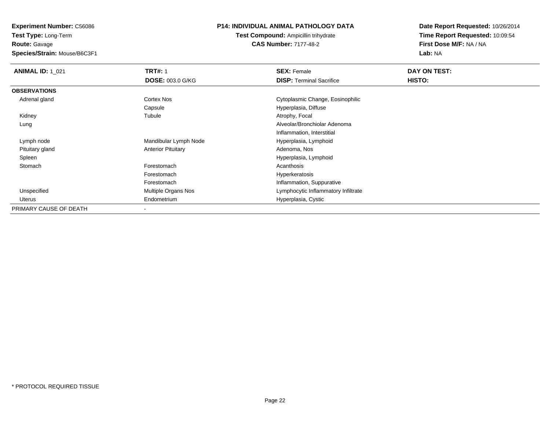**Route:** Gavage

**Species/Strain:** Mouse/B6C3F1

## **P14: INDIVIDUAL ANIMAL PATHOLOGY DATA**

**Test Compound:** Ampicillin trihydrate**CAS Number:** 7177-48-2

| <b>ANIMAL ID: 1_021</b> | <b>TRT#: 1</b>            | <b>SEX: Female</b>                  | DAY ON TEST: |
|-------------------------|---------------------------|-------------------------------------|--------------|
|                         | <b>DOSE: 003.0 G/KG</b>   | <b>DISP: Terminal Sacrifice</b>     | HISTO:       |
| <b>OBSERVATIONS</b>     |                           |                                     |              |
| Adrenal gland           | Cortex Nos                | Cytoplasmic Change, Eosinophilic    |              |
|                         | Capsule                   | Hyperplasia, Diffuse                |              |
| Kidney                  | Tubule                    | Atrophy, Focal                      |              |
| Lung                    |                           | Alveolar/Bronchiolar Adenoma        |              |
|                         |                           | Inflammation, Interstitial          |              |
| Lymph node              | Mandibular Lymph Node     | Hyperplasia, Lymphoid               |              |
| Pituitary gland         | <b>Anterior Pituitary</b> | Adenoma, Nos                        |              |
| Spleen                  |                           | Hyperplasia, Lymphoid               |              |
| Stomach                 | Forestomach               | Acanthosis                          |              |
|                         | Forestomach               | Hyperkeratosis                      |              |
|                         | Forestomach               | Inflammation, Suppurative           |              |
| Unspecified             | Multiple Organs Nos       | Lymphocytic Inflammatory Infiltrate |              |
| Uterus                  | Endometrium               | Hyperplasia, Cystic                 |              |
| PRIMARY CAUSE OF DEATH  |                           |                                     |              |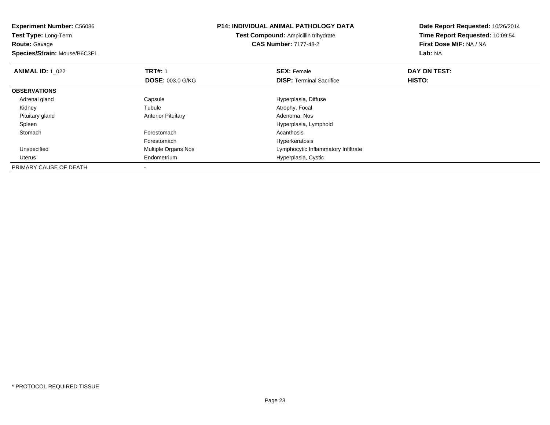**Experiment Number:** C56086**Test Type:** Long-Term**Route:** Gavage **Species/Strain:** Mouse/B6C3F1**P14: INDIVIDUAL ANIMAL PATHOLOGY DATATest Compound:** Ampicillin trihydrate**CAS Number:** 7177-48-2**Date Report Requested:** 10/26/2014**Time Report Requested:** 10:09:54**First Dose M/F:** NA / NA**Lab:** NA**ANIMAL ID: 1\_022 TRT#:** 1 **SEX:** Female **DAY ON TEST: DOSE:** 003.0 G/KG**DISP:** Terminal Sacrifice **HISTO: OBSERVATIONS** Adrenal glandCapsule **Capsule Capsule Capsule Capsule Capsule Capsule Capsule Capsule Capsule Capsule Capsule Capsule Capsule Capsule Capsule Capsule Capsule Capsule Capsule Capsule Capsule Cap**  Kidney Tubule Atrophy, Focal Pituitary glandAnterior Pituitary Spleen Hyperplasia, Lymphoid **Stomach** h anns an t-India anns an t-India anns an t-India anns an t-India anns an t-India anns an t-India anns an t-In ForestomachForestomach Multiple Organs Nos and the Multiple Organs Nos and the Multiple Organs Nos<br>
Hymphocytic Inf UnspecifiedLymphocytic Inflammatory Infiltrate Uterus Endometrium Hyperplasia, Cystic PRIMARY CAUSE OF DEATH-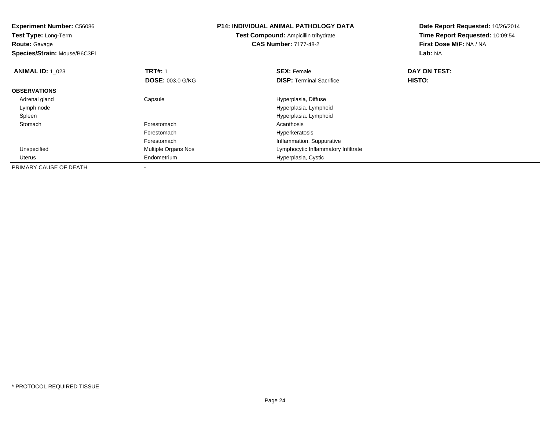| <b>Experiment Number: C56086</b><br>Test Type: Long-Term<br><b>Route: Gavage</b><br>Species/Strain: Mouse/B6C3F1 |                         | <b>P14: INDIVIDUAL ANIMAL PATHOLOGY DATA</b><br><b>Test Compound: Ampicillin trihydrate</b><br><b>CAS Number: 7177-48-2</b> | Date Report Requested: 10/26/2014<br>Time Report Requested: 10:09:54<br>First Dose M/F: NA / NA<br>Lab: NA |
|------------------------------------------------------------------------------------------------------------------|-------------------------|-----------------------------------------------------------------------------------------------------------------------------|------------------------------------------------------------------------------------------------------------|
| <b>ANIMAL ID: 1 023</b>                                                                                          | <b>TRT#: 1</b>          | <b>SEX: Female</b>                                                                                                          | DAY ON TEST:                                                                                               |
|                                                                                                                  | <b>DOSE: 003.0 G/KG</b> | <b>DISP:</b> Terminal Sacrifice                                                                                             | <b>HISTO:</b>                                                                                              |
| <b>OBSERVATIONS</b>                                                                                              |                         |                                                                                                                             |                                                                                                            |
| Adrenal gland                                                                                                    | Capsule                 | Hyperplasia, Diffuse                                                                                                        |                                                                                                            |
| Lymph node                                                                                                       |                         | Hyperplasia, Lymphoid                                                                                                       |                                                                                                            |
| Spleen                                                                                                           |                         | Hyperplasia, Lymphoid                                                                                                       |                                                                                                            |
| Stomach                                                                                                          | Forestomach             | Acanthosis                                                                                                                  |                                                                                                            |
|                                                                                                                  | Forestomach             | Hyperkeratosis                                                                                                              |                                                                                                            |
|                                                                                                                  | Forestomach             | Inflammation, Suppurative                                                                                                   |                                                                                                            |
| Unspecified                                                                                                      | Multiple Organs Nos     | Lymphocytic Inflammatory Infiltrate                                                                                         |                                                                                                            |
| Uterus                                                                                                           | Endometrium             | Hyperplasia, Cystic                                                                                                         |                                                                                                            |
| PRIMARY CAUSE OF DEATH                                                                                           |                         |                                                                                                                             |                                                                                                            |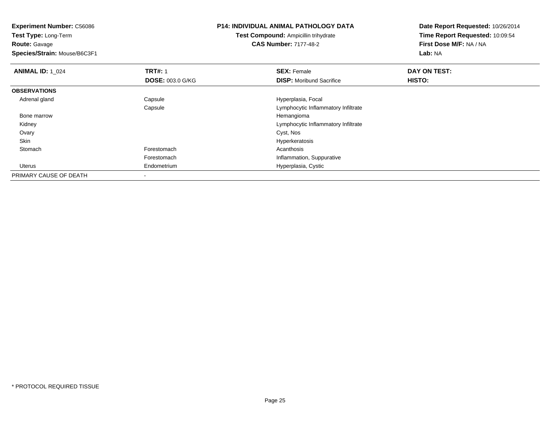**Experiment Number:** C56086**Test Type:** Long-Term**Route:** Gavage **Species/Strain:** Mouse/B6C3F1**P14: INDIVIDUAL ANIMAL PATHOLOGY DATATest Compound:** Ampicillin trihydrate**CAS Number:** 7177-48-2**Date Report Requested:** 10/26/2014**Time Report Requested:** 10:09:54**First Dose M/F:** NA / NA**Lab:** NA**ANIMAL ID: 1\_024 TRT#:** 1 **SEX:** Female **DAY ON TEST: DOSE:** 003.0 G/KG**DISP:** Moribund Sacrifice **HISTO: OBSERVATIONS** Adrenal glandCapsule **Capsule Hyperplasia**, Focal Capsule Lymphocytic Inflammatory Infiltrate Bone marroww the contract of the contract of the contract of the contract of the contract of the Hemangioma  $\mathbb{H}$  Kidney Lymphocytic Inflammatory Infiltrate Ovaryy and the control of the control of the control of the control of the control of the control of the control of the control of the control of the control of the control of the control of the control of the control of the co Skinhyperkeratosis and the control of the control of the control of the control of the control of the control of the control of the control of the control of the control of the control of the control of the control of the cont **Stomach** h anns an t-India anns an t-India anns an t-India anns an t-India anns an t-India anns an t-India anns an t-In Forestomach Inflammation, Suppurative Uterus Endometrium Hyperplasia, Cystic PRIMARY CAUSE OF DEATH-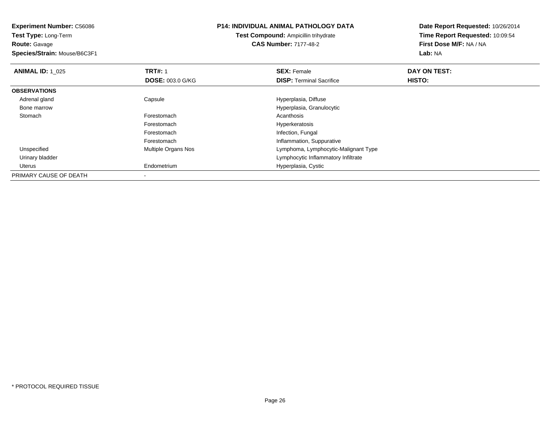| <b>Experiment Number: C56086</b><br>Test Type: Long-Term |                         | <b>P14: INDIVIDUAL ANIMAL PATHOLOGY DATA</b> | Date Report Requested: 10/26/2014 |
|----------------------------------------------------------|-------------------------|----------------------------------------------|-----------------------------------|
|                                                          |                         | <b>Test Compound: Ampicillin trihydrate</b>  | Time Report Requested: 10:09:54   |
| <b>Route: Gavage</b>                                     |                         | <b>CAS Number: 7177-48-2</b>                 | First Dose M/F: NA / NA           |
| Species/Strain: Mouse/B6C3F1                             |                         |                                              | Lab: NA                           |
| <b>ANIMAL ID: 1 025</b>                                  | <b>TRT#: 1</b>          | <b>SEX: Female</b>                           | DAY ON TEST:                      |
|                                                          | <b>DOSE: 003.0 G/KG</b> | <b>DISP:</b> Terminal Sacrifice              | HISTO:                            |
| <b>OBSERVATIONS</b>                                      |                         |                                              |                                   |
| Adrenal gland                                            | Capsule                 | Hyperplasia, Diffuse                         |                                   |
| Bone marrow                                              |                         | Hyperplasia, Granulocytic                    |                                   |
| Stomach                                                  | Forestomach             | Acanthosis                                   |                                   |
|                                                          | Forestomach             | Hyperkeratosis                               |                                   |
|                                                          | Forestomach             | Infection, Fungal                            |                                   |
|                                                          | Forestomach             | Inflammation, Suppurative                    |                                   |
| Unspecified                                              | Multiple Organs Nos     | Lymphoma, Lymphocytic-Malignant Type         |                                   |
| Urinary bladder                                          |                         | Lymphocytic Inflammatory Infiltrate          |                                   |
| Uterus                                                   | Endometrium             | Hyperplasia, Cystic                          |                                   |
| PRIMARY CAUSE OF DEATH                                   |                         |                                              |                                   |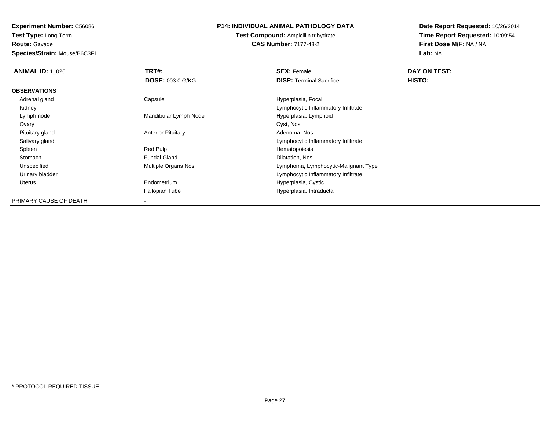**Route:** Gavage

**Species/Strain:** Mouse/B6C3F1

## **P14: INDIVIDUAL ANIMAL PATHOLOGY DATA**

**Test Compound:** Ampicillin trihydrate**CAS Number:** 7177-48-2

| <b>ANIMAL ID: 1 026</b> | <b>TRT#: 1</b>            | <b>SEX: Female</b>                   | DAY ON TEST: |  |
|-------------------------|---------------------------|--------------------------------------|--------------|--|
|                         | <b>DOSE: 003.0 G/KG</b>   | <b>DISP: Terminal Sacrifice</b>      | HISTO:       |  |
| <b>OBSERVATIONS</b>     |                           |                                      |              |  |
| Adrenal gland           | Capsule                   | Hyperplasia, Focal                   |              |  |
| Kidney                  |                           | Lymphocytic Inflammatory Infiltrate  |              |  |
| Lymph node              | Mandibular Lymph Node     | Hyperplasia, Lymphoid                |              |  |
| Ovary                   |                           | Cyst, Nos                            |              |  |
| Pituitary gland         | <b>Anterior Pituitary</b> | Adenoma, Nos                         |              |  |
| Salivary gland          |                           | Lymphocytic Inflammatory Infiltrate  |              |  |
| Spleen                  | Red Pulp                  | Hematopoiesis                        |              |  |
| Stomach                 | <b>Fundal Gland</b>       | Dilatation, Nos                      |              |  |
| Unspecified             | Multiple Organs Nos       | Lymphoma, Lymphocytic-Malignant Type |              |  |
| Urinary bladder         |                           | Lymphocytic Inflammatory Infiltrate  |              |  |
| Uterus                  | Endometrium               | Hyperplasia, Cystic                  |              |  |
|                         | <b>Fallopian Tube</b>     | Hyperplasia, Intraductal             |              |  |
| PRIMARY CAUSE OF DEATH  |                           |                                      |              |  |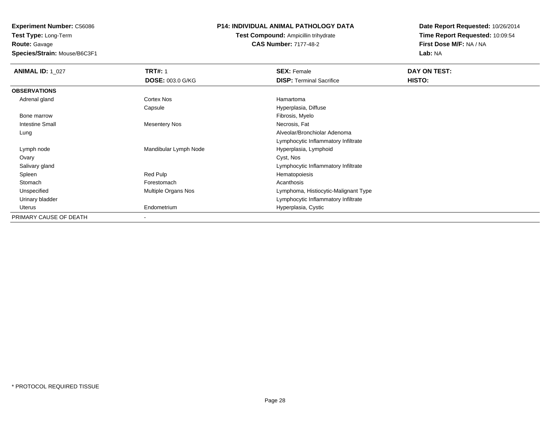**Route:** Gavage

**Species/Strain:** Mouse/B6C3F1

# **P14: INDIVIDUAL ANIMAL PATHOLOGY DATA**

**Test Compound:** Ampicillin trihydrate**CAS Number:** 7177-48-2

| <b>ANIMAL ID: 1 027</b> | <b>TRT#: 1</b>          | <b>SEX: Female</b>                   | DAY ON TEST: |
|-------------------------|-------------------------|--------------------------------------|--------------|
|                         | <b>DOSE: 003.0 G/KG</b> | <b>DISP:</b> Terminal Sacrifice      | HISTO:       |
| <b>OBSERVATIONS</b>     |                         |                                      |              |
| Adrenal gland           | Cortex Nos              | Hamartoma                            |              |
|                         | Capsule                 | Hyperplasia, Diffuse                 |              |
| Bone marrow             |                         | Fibrosis, Myelo                      |              |
| <b>Intestine Small</b>  | <b>Mesentery Nos</b>    | Necrosis, Fat                        |              |
| Lung                    |                         | Alveolar/Bronchiolar Adenoma         |              |
|                         |                         | Lymphocytic Inflammatory Infiltrate  |              |
| Lymph node              | Mandibular Lymph Node   | Hyperplasia, Lymphoid                |              |
| Ovary                   |                         | Cyst, Nos                            |              |
| Salivary gland          |                         | Lymphocytic Inflammatory Infiltrate  |              |
| Spleen                  | Red Pulp                | Hematopoiesis                        |              |
| Stomach                 | Forestomach             | Acanthosis                           |              |
| Unspecified             | Multiple Organs Nos     | Lymphoma, Histiocytic-Malignant Type |              |
| Urinary bladder         |                         | Lymphocytic Inflammatory Infiltrate  |              |
| Uterus                  | Endometrium             | Hyperplasia, Cystic                  |              |
| PRIMARY CAUSE OF DEATH  | $\blacksquare$          |                                      |              |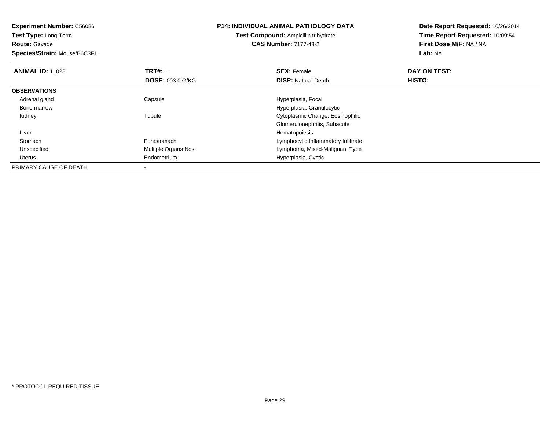**Experiment Number:** C56086**Test Type:** Long-Term**Route:** Gavage **Species/Strain:** Mouse/B6C3F1**P14: INDIVIDUAL ANIMAL PATHOLOGY DATATest Compound:** Ampicillin trihydrate**CAS Number:** 7177-48-2**Date Report Requested:** 10/26/2014**Time Report Requested:** 10:09:54**First Dose M/F:** NA / NA**Lab:** NA**ANIMAL ID: 1\_028 REX:** Female **DAY ON TEST: CONSIST: SEX:** Female **DAY ON TEST: DOSE:** 003.0 G/KG**DISP:** Natural Death **HISTO: OBSERVATIONS** Adrenal glandCapsule **Capsule Hyperplasia**, Focal Bone marrow Hyperplasia, Granulocytic Kidneyy the contract of the contract of the contract of the contract of the contract of the contract of the contract of the contract of the contract of the contract of the contract of the contract of the contract of the contract Cytoplasmic Change, Eosinophilic Glomerulonephritis, Subacute Liver Hematopoiesish Constanting Lymphocytic Inflammatory Infiltrate Stomach UnspecifiedMultiple Organs Nos **Multiple Organs Nos** Lymphoma, Mixed-Malignant Type Uterus Endometrium Hyperplasia, Cystic PRIMARY CAUSE OF DEATH-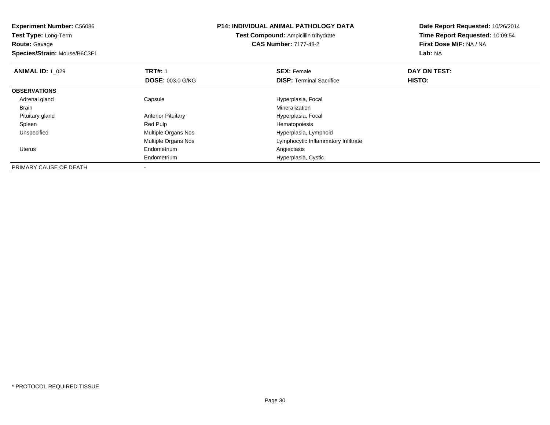| <b>Experiment Number: C56086</b> |                           | P14: INDIVIDUAL ANIMAL PATHOLOGY DATA | Date Report Requested: 10/26/2014 |  |
|----------------------------------|---------------------------|---------------------------------------|-----------------------------------|--|
| Test Type: Long-Term             |                           | Test Compound: Ampicillin trihydrate  | Time Report Requested: 10:09:54   |  |
| <b>Route: Gavage</b>             |                           | <b>CAS Number: 7177-48-2</b>          | First Dose M/F: NA / NA           |  |
| Species/Strain: Mouse/B6C3F1     |                           |                                       | Lab: NA                           |  |
| <b>ANIMAL ID: 1_029</b>          | <b>TRT#: 1</b>            | <b>SEX: Female</b>                    | DAY ON TEST:                      |  |
|                                  | <b>DOSE: 003.0 G/KG</b>   | <b>DISP:</b> Terminal Sacrifice       | HISTO:                            |  |
| <b>OBSERVATIONS</b>              |                           |                                       |                                   |  |
| Adrenal gland                    | Capsule                   | Hyperplasia, Focal                    |                                   |  |
| Brain                            |                           | Mineralization                        |                                   |  |
| Pituitary gland                  | <b>Anterior Pituitary</b> | Hyperplasia, Focal                    |                                   |  |
| Spleen                           | Red Pulp                  | Hematopoiesis                         |                                   |  |
| Unspecified                      | Multiple Organs Nos       | Hyperplasia, Lymphoid                 |                                   |  |
|                                  | Multiple Organs Nos       | Lymphocytic Inflammatory Infiltrate   |                                   |  |
| Uterus                           | Endometrium               | Angiectasis                           |                                   |  |
|                                  | Endometrium               | Hyperplasia, Cystic                   |                                   |  |
| PRIMARY CAUSE OF DEATH           |                           |                                       |                                   |  |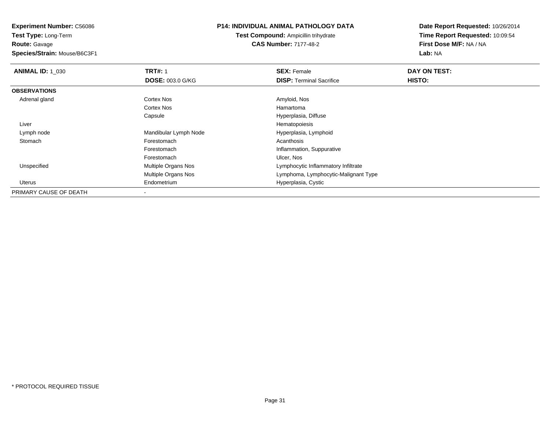**Test Type:** Long-Term**Route:** Gavage

**Species/Strain:** Mouse/B6C3F1

# **P14: INDIVIDUAL ANIMAL PATHOLOGY DATA**

**Test Compound:** Ampicillin trihydrate**CAS Number:** 7177-48-2

| <b>ANIMAL ID: 1 030</b> | <b>TRT#: 1</b>             | <b>SEX: Female</b>                   | DAY ON TEST: |  |
|-------------------------|----------------------------|--------------------------------------|--------------|--|
|                         | <b>DOSE: 003.0 G/KG</b>    | <b>DISP:</b> Terminal Sacrifice      | HISTO:       |  |
| <b>OBSERVATIONS</b>     |                            |                                      |              |  |
| Adrenal gland           | Cortex Nos                 | Amyloid, Nos                         |              |  |
|                         | Cortex Nos                 | Hamartoma                            |              |  |
|                         | Capsule                    | Hyperplasia, Diffuse                 |              |  |
| Liver                   |                            | Hematopoiesis                        |              |  |
| Lymph node              | Mandibular Lymph Node      | Hyperplasia, Lymphoid                |              |  |
| Stomach                 | Forestomach                | Acanthosis                           |              |  |
|                         | Forestomach                | Inflammation, Suppurative            |              |  |
|                         | Forestomach                | Ulcer, Nos                           |              |  |
| Unspecified             | <b>Multiple Organs Nos</b> | Lymphocytic Inflammatory Infiltrate  |              |  |
|                         | <b>Multiple Organs Nos</b> | Lymphoma, Lymphocytic-Malignant Type |              |  |
| Uterus                  | Endometrium                | Hyperplasia, Cystic                  |              |  |
| PRIMARY CAUSE OF DEATH  |                            |                                      |              |  |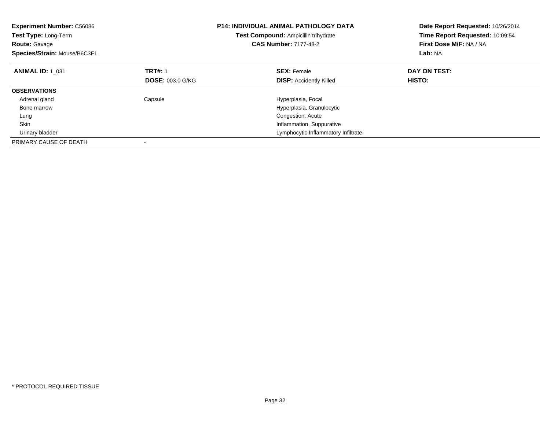| <b>Experiment Number: C56086</b><br>Test Type: Long-Term<br><b>Route: Gavage</b><br>Species/Strain: Mouse/B6C3F1 |                         | <b>P14: INDIVIDUAL ANIMAL PATHOLOGY DATA</b><br>Test Compound: Ampicillin trihydrate<br><b>CAS Number: 7177-48-2</b> | Date Report Requested: 10/26/2014<br>Time Report Requested: 10:09:54<br>First Dose M/F: NA / NA<br>Lab: NA |
|------------------------------------------------------------------------------------------------------------------|-------------------------|----------------------------------------------------------------------------------------------------------------------|------------------------------------------------------------------------------------------------------------|
| <b>ANIMAL ID: 1 031</b>                                                                                          | <b>TRT#: 1</b>          | <b>SEX: Female</b>                                                                                                   | DAY ON TEST:                                                                                               |
|                                                                                                                  | <b>DOSE: 003.0 G/KG</b> | <b>DISP: Accidently Killed</b>                                                                                       | HISTO:                                                                                                     |
| <b>OBSERVATIONS</b>                                                                                              |                         |                                                                                                                      |                                                                                                            |
| Adrenal gland                                                                                                    | Capsule                 | Hyperplasia, Focal                                                                                                   |                                                                                                            |
| Bone marrow                                                                                                      |                         | Hyperplasia, Granulocytic                                                                                            |                                                                                                            |
| Lung                                                                                                             |                         | Congestion, Acute                                                                                                    |                                                                                                            |
| <b>Skin</b>                                                                                                      |                         | Inflammation, Suppurative                                                                                            |                                                                                                            |
| Urinary bladder                                                                                                  |                         | Lymphocytic Inflammatory Infiltrate                                                                                  |                                                                                                            |
| PRIMARY CAUSE OF DEATH                                                                                           |                         |                                                                                                                      |                                                                                                            |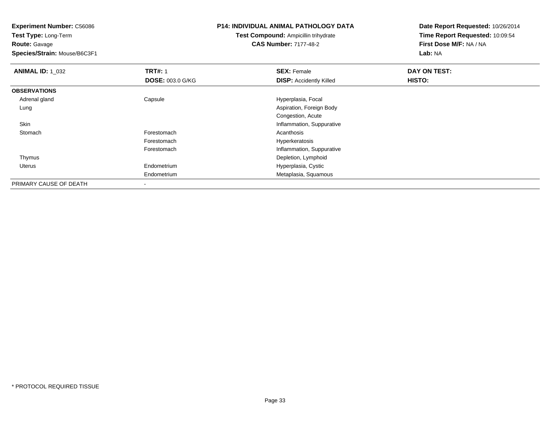**Test Type:** Long-Term**Route:** Gavage

**Species/Strain:** Mouse/B6C3F1

# **P14: INDIVIDUAL ANIMAL PATHOLOGY DATA**

**Test Compound:** Ampicillin trihydrate**CAS Number:** 7177-48-2

| <b>ANIMAL ID: 1_032</b> | <b>TRT#: 1</b>          | <b>SEX: Female</b>             | DAY ON TEST: |  |
|-------------------------|-------------------------|--------------------------------|--------------|--|
|                         | <b>DOSE: 003.0 G/KG</b> | <b>DISP:</b> Accidently Killed | HISTO:       |  |
| <b>OBSERVATIONS</b>     |                         |                                |              |  |
| Adrenal gland           | Capsule                 | Hyperplasia, Focal             |              |  |
| Lung                    |                         | Aspiration, Foreign Body       |              |  |
|                         |                         | Congestion, Acute              |              |  |
| Skin                    |                         | Inflammation, Suppurative      |              |  |
| Stomach                 | Forestomach             | Acanthosis                     |              |  |
|                         | Forestomach             | Hyperkeratosis                 |              |  |
|                         | Forestomach             | Inflammation, Suppurative      |              |  |
| Thymus                  |                         | Depletion, Lymphoid            |              |  |
| Uterus                  | Endometrium             | Hyperplasia, Cystic            |              |  |
|                         | Endometrium             | Metaplasia, Squamous           |              |  |
| PRIMARY CAUSE OF DEATH  | ۰                       |                                |              |  |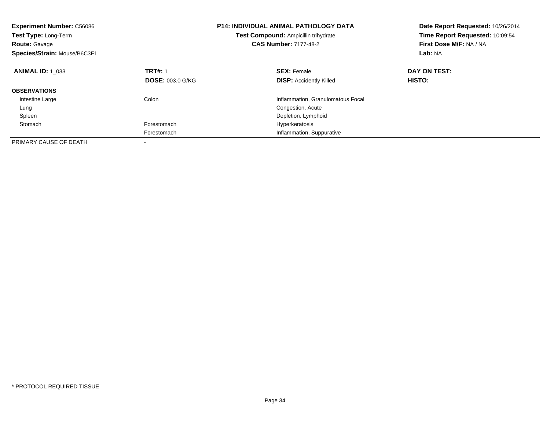| <b>Experiment Number: C56086</b><br>Test Type: Long-Term<br><b>Route: Gavage</b><br>Species/Strain: Mouse/B6C3F1 |                         | <b>P14: INDIVIDUAL ANIMAL PATHOLOGY DATA</b><br><b>Test Compound: Ampicillin trihydrate</b><br><b>CAS Number: 7177-48-2</b> | Date Report Requested: 10/26/2014<br>Time Report Requested: 10:09:54<br>First Dose M/F: NA / NA<br>Lab: NA |
|------------------------------------------------------------------------------------------------------------------|-------------------------|-----------------------------------------------------------------------------------------------------------------------------|------------------------------------------------------------------------------------------------------------|
| <b>ANIMAL ID: 1 033</b>                                                                                          | <b>TRT#: 1</b>          | <b>SEX: Female</b>                                                                                                          | DAY ON TEST:                                                                                               |
|                                                                                                                  | <b>DOSE: 003.0 G/KG</b> | <b>DISP: Accidently Killed</b>                                                                                              | HISTO:                                                                                                     |
| <b>OBSERVATIONS</b>                                                                                              |                         |                                                                                                                             |                                                                                                            |
| Intestine Large                                                                                                  | Colon                   | Inflammation, Granulomatous Focal                                                                                           |                                                                                                            |
| Lung                                                                                                             |                         | Congestion, Acute                                                                                                           |                                                                                                            |
| Spleen                                                                                                           |                         | Depletion, Lymphoid                                                                                                         |                                                                                                            |
| Stomach                                                                                                          | Forestomach             | Hyperkeratosis                                                                                                              |                                                                                                            |
|                                                                                                                  | Forestomach             | Inflammation, Suppurative                                                                                                   |                                                                                                            |
| PRIMARY CAUSE OF DEATH                                                                                           |                         |                                                                                                                             |                                                                                                            |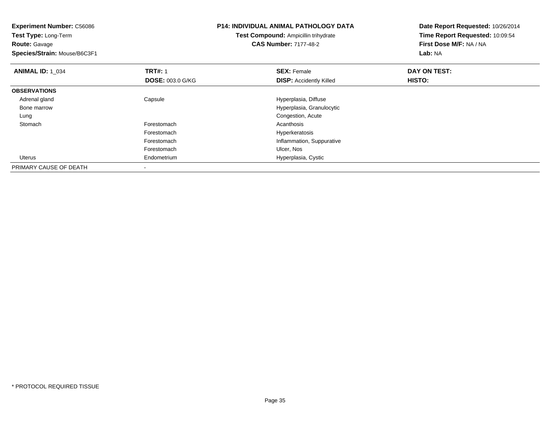| <b>Experiment Number: C56086</b><br>Test Type: Long-Term |                         | P14: INDIVIDUAL ANIMAL PATHOLOGY DATA | Date Report Requested: 10/26/2014<br>Time Report Requested: 10:09:54 |  |
|----------------------------------------------------------|-------------------------|---------------------------------------|----------------------------------------------------------------------|--|
|                                                          |                         | Test Compound: Ampicillin trihydrate  |                                                                      |  |
| <b>Route: Gavage</b>                                     |                         | <b>CAS Number: 7177-48-2</b>          | First Dose M/F: NA / NA                                              |  |
| Species/Strain: Mouse/B6C3F1                             |                         |                                       | Lab: NA                                                              |  |
| <b>ANIMAL ID: 1 034</b>                                  | <b>TRT#: 1</b>          | <b>SEX: Female</b>                    | DAY ON TEST:                                                         |  |
|                                                          | <b>DOSE: 003.0 G/KG</b> | <b>DISP:</b> Accidently Killed        | <b>HISTO:</b>                                                        |  |
| <b>OBSERVATIONS</b>                                      |                         |                                       |                                                                      |  |
| Adrenal gland                                            | Capsule                 | Hyperplasia, Diffuse                  |                                                                      |  |
| Bone marrow                                              |                         | Hyperplasia, Granulocytic             |                                                                      |  |
| Lung                                                     |                         | Congestion, Acute                     |                                                                      |  |
| Stomach                                                  | Forestomach             | Acanthosis                            |                                                                      |  |
|                                                          | Forestomach             | Hyperkeratosis                        |                                                                      |  |
|                                                          | Forestomach             | Inflammation, Suppurative             |                                                                      |  |
|                                                          | Forestomach             | Ulcer, Nos                            |                                                                      |  |
| Uterus                                                   | Endometrium             | Hyperplasia, Cystic                   |                                                                      |  |
| PRIMARY CAUSE OF DEATH                                   |                         |                                       |                                                                      |  |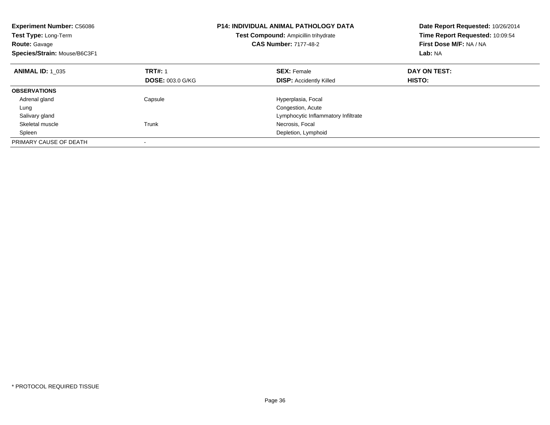| <b>Experiment Number: C56086</b><br>Test Type: Long-Term<br><b>Route: Gavage</b><br>Species/Strain: Mouse/B6C3F1 |                         | <b>P14: INDIVIDUAL ANIMAL PATHOLOGY DATA</b><br>Test Compound: Ampicillin trihydrate<br><b>CAS Number: 7177-48-2</b> | Date Report Requested: 10/26/2014<br>Time Report Requested: 10:09:54<br>First Dose M/F: NA / NA<br>Lab: NA |
|------------------------------------------------------------------------------------------------------------------|-------------------------|----------------------------------------------------------------------------------------------------------------------|------------------------------------------------------------------------------------------------------------|
| <b>ANIMAL ID: 1 035</b>                                                                                          | <b>TRT#: 1</b>          | <b>SEX: Female</b>                                                                                                   | DAY ON TEST:                                                                                               |
|                                                                                                                  | <b>DOSE: 003.0 G/KG</b> | <b>DISP: Accidently Killed</b>                                                                                       | HISTO:                                                                                                     |
| <b>OBSERVATIONS</b>                                                                                              |                         |                                                                                                                      |                                                                                                            |
| Adrenal gland                                                                                                    | Capsule                 | Hyperplasia, Focal                                                                                                   |                                                                                                            |
| Lung                                                                                                             |                         | Congestion, Acute                                                                                                    |                                                                                                            |
| Salivary gland                                                                                                   |                         | Lymphocytic Inflammatory Infiltrate                                                                                  |                                                                                                            |
| Skeletal muscle                                                                                                  | Trunk                   | Necrosis, Focal                                                                                                      |                                                                                                            |
| Spleen                                                                                                           |                         | Depletion, Lymphoid                                                                                                  |                                                                                                            |
| PRIMARY CAUSE OF DEATH                                                                                           |                         |                                                                                                                      |                                                                                                            |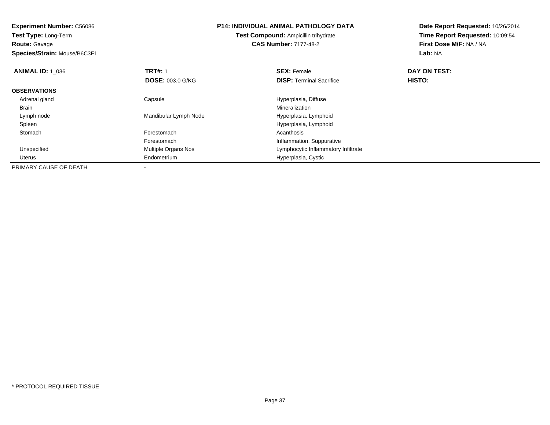**Experiment Number:** C56086**Test Type:** Long-Term**Route:** Gavage **Species/Strain:** Mouse/B6C3F1**P14: INDIVIDUAL ANIMAL PATHOLOGY DATATest Compound:** Ampicillin trihydrate**CAS Number:** 7177-48-2**Date Report Requested:** 10/26/2014**Time Report Requested:** 10:09:54**First Dose M/F:** NA / NA**Lab:** NA**ANIMAL ID: 1\_036 6 DAY ON TEST:** 1 **SEX:** Female **SEX: Female DAY ON TEST: DOSE:** 003.0 G/KG**DISP:** Terminal Sacrifice **HISTO: OBSERVATIONS** Adrenal glandCapsule **Capsule Capsule Capsule** Hyperplasia, Diffuse **Capsule 1, 2016**<br>
Mineralization Brainn and the control of the control of the control of the control of the control of the control of the control of the control of the control of the control of the control of the control of the control of the control of the co Lymph nodeMandibular Lymph Node Hyperplasia, Lymphoid Spleen Hyperplasia, Lymphoid Stomachh anns an t-India anns an t-India anns an t-India anns an t-India anns an t-India anns an t-India anns an t-In ForestomachForestomach<br>
Multiple Organs Nos<br>
Multiple Organs Nos<br>
Computer Lymphocytic Inflammatory UnspecifiedLymphocytic Inflammatory Infiltrate Uterus Endometrium Hyperplasia, Cystic PRIMARY CAUSE OF DEATH-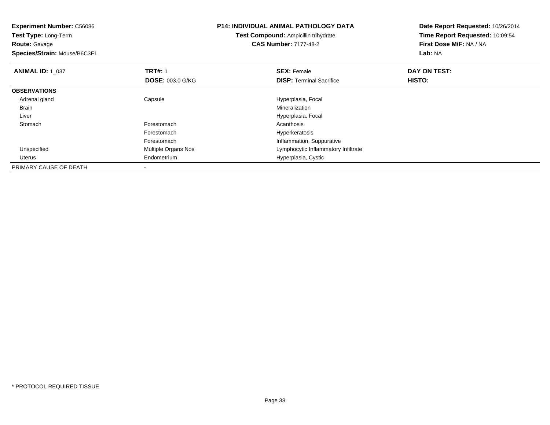| <b>Experiment Number: C56086</b><br>Test Type: Long-Term<br><b>Route: Gavage</b> |                         | <b>P14: INDIVIDUAL ANIMAL PATHOLOGY DATA</b><br><b>Test Compound: Ampicillin trihydrate</b><br><b>CAS Number: 7177-48-2</b> | Date Report Requested: 10/26/2014<br>Time Report Requested: 10:09:54<br>First Dose M/F: NA / NA |
|----------------------------------------------------------------------------------|-------------------------|-----------------------------------------------------------------------------------------------------------------------------|-------------------------------------------------------------------------------------------------|
| Species/Strain: Mouse/B6C3F1                                                     |                         |                                                                                                                             | Lab: NA                                                                                         |
| <b>ANIMAL ID: 1 037</b>                                                          | <b>TRT#: 1</b>          | <b>SEX: Female</b>                                                                                                          | DAY ON TEST:                                                                                    |
|                                                                                  | <b>DOSE: 003.0 G/KG</b> | <b>DISP:</b> Terminal Sacrifice                                                                                             | HISTO:                                                                                          |
| <b>OBSERVATIONS</b>                                                              |                         |                                                                                                                             |                                                                                                 |
| Adrenal gland                                                                    | Capsule                 | Hyperplasia, Focal                                                                                                          |                                                                                                 |
| Brain                                                                            |                         | Mineralization                                                                                                              |                                                                                                 |
| Liver                                                                            |                         | Hyperplasia, Focal                                                                                                          |                                                                                                 |
| Stomach                                                                          | Forestomach             | Acanthosis                                                                                                                  |                                                                                                 |
|                                                                                  | Forestomach             | Hyperkeratosis                                                                                                              |                                                                                                 |
|                                                                                  | Forestomach             | Inflammation, Suppurative                                                                                                   |                                                                                                 |
| Unspecified                                                                      | Multiple Organs Nos     | Lymphocytic Inflammatory Infiltrate                                                                                         |                                                                                                 |
| Uterus                                                                           | Endometrium             | Hyperplasia, Cystic                                                                                                         |                                                                                                 |
| PRIMARY CAUSE OF DEATH                                                           |                         |                                                                                                                             |                                                                                                 |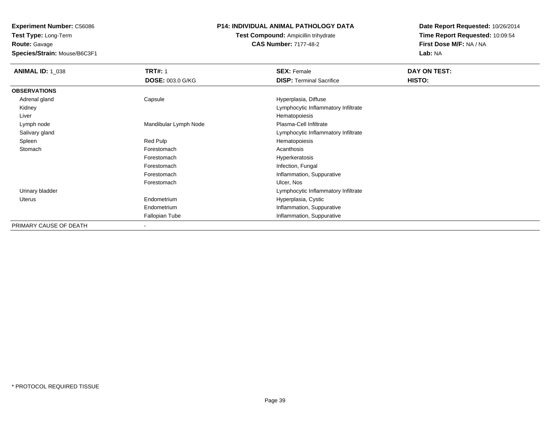**Route:** Gavage

**Species/Strain:** Mouse/B6C3F1

## **P14: INDIVIDUAL ANIMAL PATHOLOGY DATA**

## **Test Compound:** Ampicillin trihydrate**CAS Number:** 7177-48-2

| <b>ANIMAL ID: 1_038</b> | <b>TRT#: 1</b>          | <b>SEX: Female</b>                  | DAY ON TEST: |
|-------------------------|-------------------------|-------------------------------------|--------------|
|                         | <b>DOSE: 003.0 G/KG</b> | <b>DISP: Terminal Sacrifice</b>     | HISTO:       |
| <b>OBSERVATIONS</b>     |                         |                                     |              |
| Adrenal gland           | Capsule                 | Hyperplasia, Diffuse                |              |
| Kidney                  |                         | Lymphocytic Inflammatory Infiltrate |              |
| Liver                   |                         | Hematopoiesis                       |              |
| Lymph node              | Mandibular Lymph Node   | Plasma-Cell Infiltrate              |              |
| Salivary gland          |                         | Lymphocytic Inflammatory Infiltrate |              |
| Spleen                  | Red Pulp                | Hematopoiesis                       |              |
| Stomach                 | Forestomach             | Acanthosis                          |              |
|                         | Forestomach             | Hyperkeratosis                      |              |
|                         | Forestomach             | Infection, Fungal                   |              |
|                         | Forestomach             | Inflammation, Suppurative           |              |
|                         | Forestomach             | Ulcer, Nos                          |              |
| Urinary bladder         |                         | Lymphocytic Inflammatory Infiltrate |              |
| Uterus                  | Endometrium             | Hyperplasia, Cystic                 |              |
|                         | Endometrium             | Inflammation, Suppurative           |              |
|                         | Fallopian Tube          | Inflammation, Suppurative           |              |
| PRIMARY CAUSE OF DEATH  |                         |                                     |              |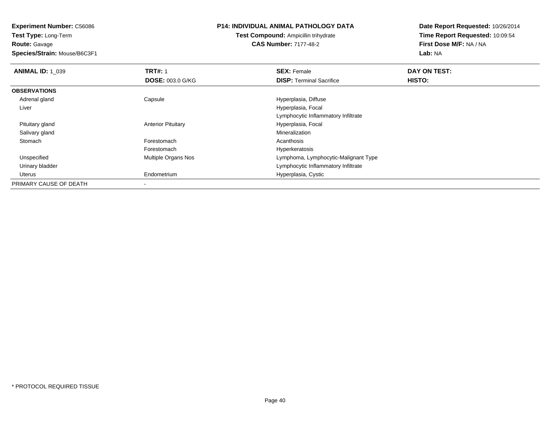**Test Type:** Long-Term**Route:** Gavage

**Species/Strain:** Mouse/B6C3F1

## **P14: INDIVIDUAL ANIMAL PATHOLOGY DATA**

**Test Compound:** Ampicillin trihydrate**CAS Number:** 7177-48-2

| <b>ANIMAL ID: 1 039</b> | <b>TRT#: 1</b>             | <b>SEX: Female</b>                   | DAY ON TEST: |  |
|-------------------------|----------------------------|--------------------------------------|--------------|--|
|                         | <b>DOSE: 003.0 G/KG</b>    | <b>DISP: Terminal Sacrifice</b>      | HISTO:       |  |
| <b>OBSERVATIONS</b>     |                            |                                      |              |  |
| Adrenal gland           | Capsule                    | Hyperplasia, Diffuse                 |              |  |
| Liver                   |                            | Hyperplasia, Focal                   |              |  |
|                         |                            | Lymphocytic Inflammatory Infiltrate  |              |  |
| Pituitary gland         | <b>Anterior Pituitary</b>  | Hyperplasia, Focal                   |              |  |
| Salivary gland          |                            | Mineralization                       |              |  |
| Stomach                 | Forestomach                | Acanthosis                           |              |  |
|                         | Forestomach                | Hyperkeratosis                       |              |  |
| Unspecified             | <b>Multiple Organs Nos</b> | Lymphoma, Lymphocytic-Malignant Type |              |  |
| Urinary bladder         |                            | Lymphocytic Inflammatory Infiltrate  |              |  |
| Uterus                  | Endometrium                | Hyperplasia, Cystic                  |              |  |
| PRIMARY CAUSE OF DEATH  | $\overline{\phantom{a}}$   |                                      |              |  |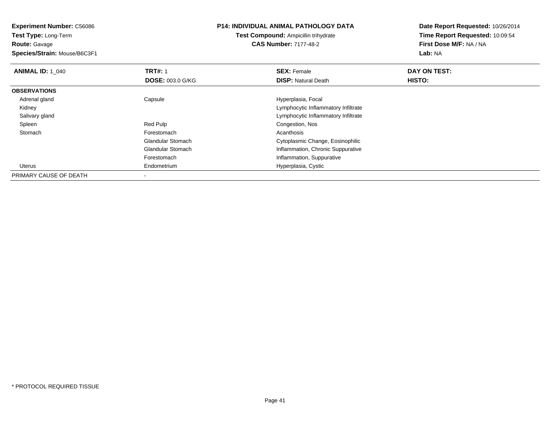**Experiment Number:** C56086**Test Type:** Long-Term**Route:** Gavage **Species/Strain:** Mouse/B6C3F1**P14: INDIVIDUAL ANIMAL PATHOLOGY DATATest Compound:** Ampicillin trihydrate**CAS Number:** 7177-48-2**Date Report Requested:** 10/26/2014**Time Report Requested:** 10:09:54**First Dose M/F:** NA / NA**Lab:** NA**ANIMAL ID: 1\_040 C TRT#:** 1 **SEX:** Female **DAY ON TEST: DOSE:** 003.0 G/KG**DISP:** Natural Death **HISTO: OBSERVATIONS** Adrenal glandCapsule **Capsule Hyperplasia**, Focal Kidney Lymphocytic Inflammatory Infiltrated contract the contract of the contract of the contract of the contract of the contract of the contract of the contract of the contract of the contract of the contract of the contract of the contract of the contract of the Salivary gland SpleenRed Pulp Congestion, Nos<br>
Forestomach Congestion, Nos<br>
Congestion, Nos<br>
Acanthosis **Stomach** h anns an t-India anns an t-India anns an t-India anns an t-India anns an t-India anns an t-India anns an t-In Glandular Stomach Cytoplasmic Change, Eosinophilic Glandular Stomach Inflammation, Chronic Suppurative Forestomach Inflammation, Suppurative Uterus Endometrium Hyperplasia, Cystic PRIMARY CAUSE OF DEATH-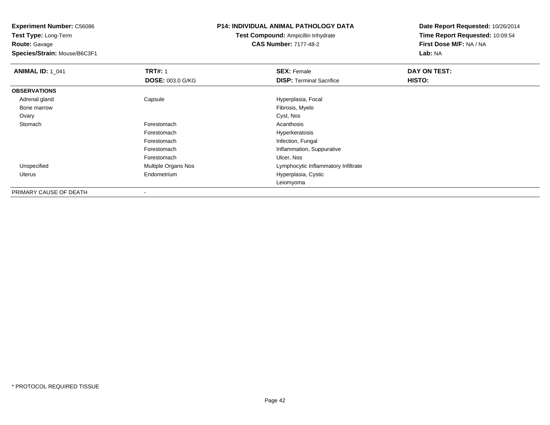**Test Type:** Long-Term**Route:** Gavage

**Species/Strain:** Mouse/B6C3F1

#### **P14: INDIVIDUAL ANIMAL PATHOLOGY DATA**

**Test Compound:** Ampicillin trihydrate**CAS Number:** 7177-48-2

| <b>ANIMAL ID: 1_041</b> | <b>TRT#: 1</b>             | <b>SEX: Female</b>                  | DAY ON TEST: |  |
|-------------------------|----------------------------|-------------------------------------|--------------|--|
|                         | <b>DOSE: 003.0 G/KG</b>    | <b>DISP: Terminal Sacrifice</b>     | HISTO:       |  |
| <b>OBSERVATIONS</b>     |                            |                                     |              |  |
| Adrenal gland           | Capsule                    | Hyperplasia, Focal                  |              |  |
| Bone marrow             |                            | Fibrosis, Myelo                     |              |  |
| Ovary                   |                            | Cyst, Nos                           |              |  |
| Stomach                 | Forestomach                | Acanthosis                          |              |  |
|                         | Forestomach                | Hyperkeratosis                      |              |  |
|                         | Forestomach                | Infection, Fungal                   |              |  |
|                         | Forestomach                | Inflammation, Suppurative           |              |  |
|                         | Forestomach                | Ulcer, Nos                          |              |  |
| Unspecified             | <b>Multiple Organs Nos</b> | Lymphocytic Inflammatory Infiltrate |              |  |
| Uterus                  | Endometrium                | Hyperplasia, Cystic                 |              |  |
|                         |                            | Leiomyoma                           |              |  |
| PRIMARY CAUSE OF DEATH  |                            |                                     |              |  |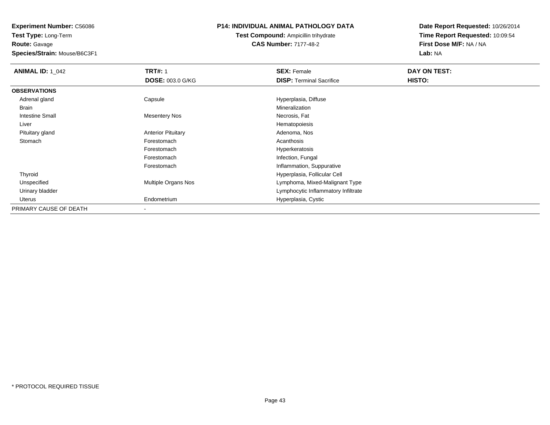# **Route:** Gavage

**Species/Strain:** Mouse/B6C3F1

#### **P14: INDIVIDUAL ANIMAL PATHOLOGY DATA**

## **Test Compound:** Ampicillin trihydrate**CAS Number:** 7177-48-2

| <b>ANIMAL ID: 1_042</b> | <b>TRT#: 1</b>             | <b>SEX: Female</b>                  | DAY ON TEST: |
|-------------------------|----------------------------|-------------------------------------|--------------|
|                         | DOSE: 003.0 G/KG           | <b>DISP:</b> Terminal Sacrifice     | HISTO:       |
| <b>OBSERVATIONS</b>     |                            |                                     |              |
| Adrenal gland           | Capsule                    | Hyperplasia, Diffuse                |              |
| Brain                   |                            | Mineralization                      |              |
| <b>Intestine Small</b>  | <b>Mesentery Nos</b>       | Necrosis, Fat                       |              |
| Liver                   |                            | Hematopoiesis                       |              |
| Pituitary gland         | <b>Anterior Pituitary</b>  | Adenoma, Nos                        |              |
| Stomach                 | Forestomach                | Acanthosis                          |              |
|                         | Forestomach                | Hyperkeratosis                      |              |
|                         | Forestomach                | Infection, Fungal                   |              |
|                         | Forestomach                | Inflammation, Suppurative           |              |
| Thyroid                 |                            | Hyperplasia, Follicular Cell        |              |
| Unspecified             | <b>Multiple Organs Nos</b> | Lymphoma, Mixed-Malignant Type      |              |
| Urinary bladder         |                            | Lymphocytic Inflammatory Infiltrate |              |
| Uterus                  | Endometrium                | Hyperplasia, Cystic                 |              |
| PRIMARY CAUSE OF DEATH  |                            |                                     |              |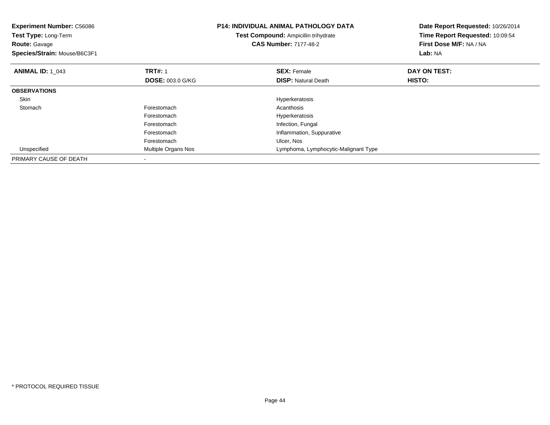| <b>Experiment Number: C56086</b><br><b>Test Type: Long-Term</b><br>Route: Gavage<br>Species/Strain: Mouse/B6C3F1 |                                           | <b>P14: INDIVIDUAL ANIMAL PATHOLOGY DATA</b><br>Test Compound: Ampicillin trihydrate<br><b>CAS Number: 7177-48-2</b> | Date Report Requested: 10/26/2014<br>Time Report Requested: 10:09:54<br>First Dose M/F: NA / NA<br>Lab: NA |
|------------------------------------------------------------------------------------------------------------------|-------------------------------------------|----------------------------------------------------------------------------------------------------------------------|------------------------------------------------------------------------------------------------------------|
| <b>ANIMAL ID: 1 043</b>                                                                                          | <b>TRT#: 1</b><br><b>DOSE: 003.0 G/KG</b> | <b>SEX: Female</b><br><b>DISP: Natural Death</b>                                                                     | DAY ON TEST:<br>HISTO:                                                                                     |
| <b>OBSERVATIONS</b>                                                                                              |                                           |                                                                                                                      |                                                                                                            |
| <b>Skin</b>                                                                                                      |                                           | Hyperkeratosis                                                                                                       |                                                                                                            |
| Stomach                                                                                                          | Forestomach                               | Acanthosis                                                                                                           |                                                                                                            |
|                                                                                                                  | Forestomach                               | Hyperkeratosis                                                                                                       |                                                                                                            |
|                                                                                                                  | Forestomach                               | Infection, Fungal                                                                                                    |                                                                                                            |
|                                                                                                                  | Forestomach                               | Inflammation, Suppurative                                                                                            |                                                                                                            |
|                                                                                                                  | Forestomach                               | Ulcer, Nos                                                                                                           |                                                                                                            |
| Unspecified                                                                                                      | Multiple Organs Nos                       | Lymphoma, Lymphocytic-Malignant Type                                                                                 |                                                                                                            |
| PRIMARY CAUSE OF DEATH                                                                                           |                                           |                                                                                                                      |                                                                                                            |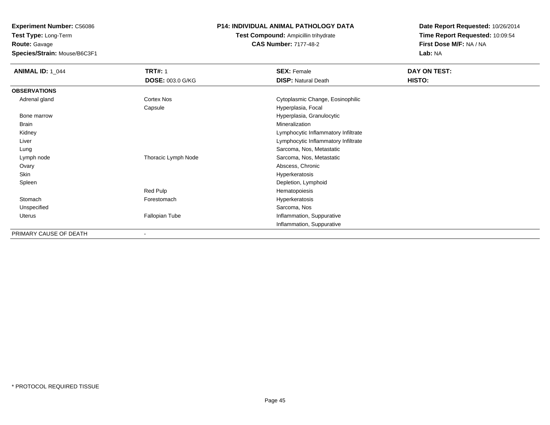**Route:** Gavage

**Species/Strain:** Mouse/B6C3F1

#### **P14: INDIVIDUAL ANIMAL PATHOLOGY DATA**

**Test Compound:** Ampicillin trihydrate**CAS Number:** 7177-48-2

| <b>ANIMAL ID: 1_044</b> | <b>TRT#: 1</b>          | <b>SEX: Female</b>                  | DAY ON TEST: |  |
|-------------------------|-------------------------|-------------------------------------|--------------|--|
|                         | <b>DOSE: 003.0 G/KG</b> | <b>DISP: Natural Death</b>          | HISTO:       |  |
| <b>OBSERVATIONS</b>     |                         |                                     |              |  |
| Adrenal gland           | Cortex Nos              | Cytoplasmic Change, Eosinophilic    |              |  |
|                         | Capsule                 | Hyperplasia, Focal                  |              |  |
| Bone marrow             |                         | Hyperplasia, Granulocytic           |              |  |
| Brain                   |                         | Mineralization                      |              |  |
| Kidney                  |                         | Lymphocytic Inflammatory Infiltrate |              |  |
| Liver                   |                         | Lymphocytic Inflammatory Infiltrate |              |  |
| Lung                    |                         | Sarcoma, Nos, Metastatic            |              |  |
| Lymph node              | Thoracic Lymph Node     | Sarcoma, Nos, Metastatic            |              |  |
| Ovary                   |                         | Abscess, Chronic                    |              |  |
| Skin                    |                         | Hyperkeratosis                      |              |  |
| Spleen                  |                         | Depletion, Lymphoid                 |              |  |
|                         | Red Pulp                | Hematopoiesis                       |              |  |
| Stomach                 | Forestomach             | Hyperkeratosis                      |              |  |
| Unspecified             |                         | Sarcoma, Nos                        |              |  |
| Uterus                  | Fallopian Tube          | Inflammation, Suppurative           |              |  |
|                         |                         | Inflammation, Suppurative           |              |  |
| PRIMARY CAUSE OF DEATH  |                         |                                     |              |  |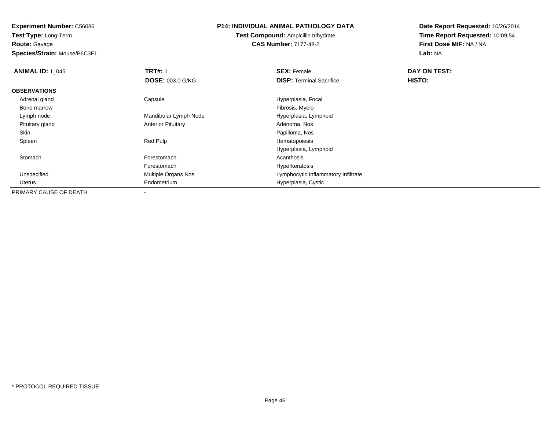**Route:** Gavage

**Species/Strain:** Mouse/B6C3F1

#### **P14: INDIVIDUAL ANIMAL PATHOLOGY DATA**

**Test Compound:** Ampicillin trihydrate**CAS Number:** 7177-48-2

| <b>ANIMAL ID: 1 045</b> | <b>TRT#: 1</b>            | <b>SEX: Female</b>                  | DAY ON TEST: |  |
|-------------------------|---------------------------|-------------------------------------|--------------|--|
|                         | <b>DOSE: 003.0 G/KG</b>   | <b>DISP:</b> Terminal Sacrifice     | HISTO:       |  |
| <b>OBSERVATIONS</b>     |                           |                                     |              |  |
| Adrenal gland           | Capsule                   | Hyperplasia, Focal                  |              |  |
| Bone marrow             |                           | Fibrosis, Myelo                     |              |  |
| Lymph node              | Mandibular Lymph Node     | Hyperplasia, Lymphoid               |              |  |
| Pituitary gland         | <b>Anterior Pituitary</b> | Adenoma, Nos                        |              |  |
| Skin                    |                           | Papilloma, Nos                      |              |  |
| Spleen                  | Red Pulp                  | Hematopoiesis                       |              |  |
|                         |                           | Hyperplasia, Lymphoid               |              |  |
| Stomach                 | Forestomach               | Acanthosis                          |              |  |
|                         | Forestomach               | Hyperkeratosis                      |              |  |
| Unspecified             | Multiple Organs Nos       | Lymphocytic Inflammatory Infiltrate |              |  |
| Uterus                  | Endometrium               | Hyperplasia, Cystic                 |              |  |
| PRIMARY CAUSE OF DEATH  |                           |                                     |              |  |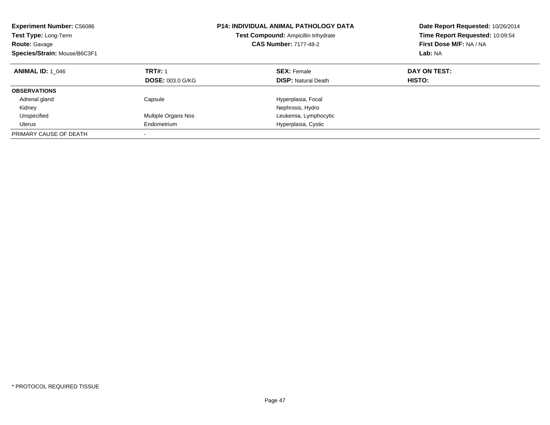| <b>Experiment Number: C56086</b><br>Test Type: Long-Term<br><b>Route: Gavage</b><br>Species/Strain: Mouse/B6C3F1 |                                           | <b>P14: INDIVIDUAL ANIMAL PATHOLOGY DATA</b><br>Test Compound: Ampicillin trihydrate<br><b>CAS Number: 7177-48-2</b> | Date Report Requested: 10/26/2014<br>Time Report Requested: 10:09:54<br>First Dose M/F: NA / NA<br>Lab: NA |
|------------------------------------------------------------------------------------------------------------------|-------------------------------------------|----------------------------------------------------------------------------------------------------------------------|------------------------------------------------------------------------------------------------------------|
| <b>ANIMAL ID: 1 046</b>                                                                                          | <b>TRT#: 1</b><br><b>DOSE: 003.0 G/KG</b> | <b>SEX: Female</b><br><b>DISP: Natural Death</b>                                                                     | DAY ON TEST:<br>HISTO:                                                                                     |
| <b>OBSERVATIONS</b>                                                                                              |                                           |                                                                                                                      |                                                                                                            |
| Adrenal gland<br>Kidney                                                                                          | Capsule                                   | Hyperplasia, Focal<br>Nephrosis, Hydro                                                                               |                                                                                                            |
| Unspecified                                                                                                      | Multiple Organs Nos                       | Leukemia, Lymphocytic                                                                                                |                                                                                                            |
| Uterus                                                                                                           | Endometrium                               | Hyperplasia, Cystic                                                                                                  |                                                                                                            |
| PRIMARY CAUSE OF DEATH                                                                                           |                                           |                                                                                                                      |                                                                                                            |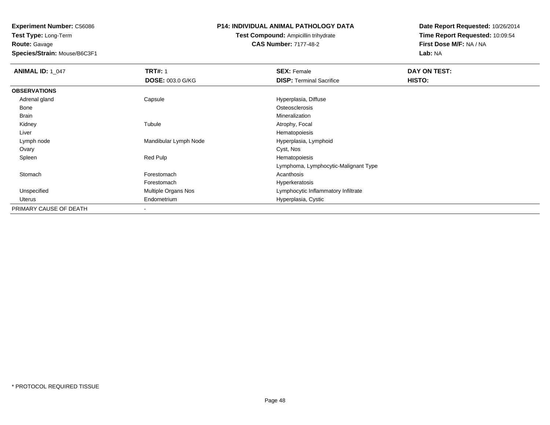**Route:** Gavage

**Species/Strain:** Mouse/B6C3F1

#### **P14: INDIVIDUAL ANIMAL PATHOLOGY DATA**

## **Test Compound:** Ampicillin trihydrate**CAS Number:** 7177-48-2

| <b>ANIMAL ID: 1_047</b> | <b>TRT#: 1</b>        | <b>SEX: Female</b>                   | DAY ON TEST: |  |
|-------------------------|-----------------------|--------------------------------------|--------------|--|
|                         | DOSE: 003.0 G/KG      | <b>DISP: Terminal Sacrifice</b>      | HISTO:       |  |
| <b>OBSERVATIONS</b>     |                       |                                      |              |  |
| Adrenal gland           | Capsule               | Hyperplasia, Diffuse                 |              |  |
| Bone                    |                       | Osteosclerosis                       |              |  |
| Brain                   |                       | Mineralization                       |              |  |
| Kidney                  | Tubule                | Atrophy, Focal                       |              |  |
| Liver                   |                       | Hematopoiesis                        |              |  |
| Lymph node              | Mandibular Lymph Node | Hyperplasia, Lymphoid                |              |  |
| Ovary                   |                       | Cyst, Nos                            |              |  |
| Spleen                  | Red Pulp              | Hematopoiesis                        |              |  |
|                         |                       | Lymphoma, Lymphocytic-Malignant Type |              |  |
| Stomach                 | Forestomach           | Acanthosis                           |              |  |
|                         | Forestomach           | Hyperkeratosis                       |              |  |
| Unspecified             | Multiple Organs Nos   | Lymphocytic Inflammatory Infiltrate  |              |  |
| Uterus                  | Endometrium           | Hyperplasia, Cystic                  |              |  |
| PRIMARY CAUSE OF DEATH  |                       |                                      |              |  |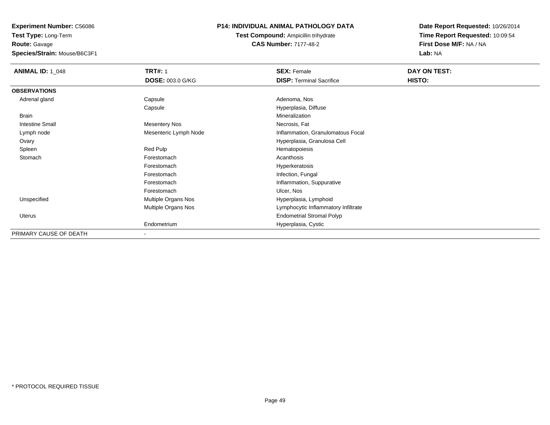**Route:** Gavage

**Species/Strain:** Mouse/B6C3F1

## **P14: INDIVIDUAL ANIMAL PATHOLOGY DATA**

**Test Compound:** Ampicillin trihydrate**CAS Number:** 7177-48-2

| <b>ANIMAL ID: 1_048</b> | <b>TRT#: 1</b>        | <b>SEX: Female</b>                  | DAY ON TEST: |  |
|-------------------------|-----------------------|-------------------------------------|--------------|--|
|                         | DOSE: 003.0 G/KG      | <b>DISP: Terminal Sacrifice</b>     | HISTO:       |  |
| <b>OBSERVATIONS</b>     |                       |                                     |              |  |
| Adrenal gland           | Capsule               | Adenoma, Nos                        |              |  |
|                         | Capsule               | Hyperplasia, Diffuse                |              |  |
| <b>Brain</b>            |                       | Mineralization                      |              |  |
| <b>Intestine Small</b>  | <b>Mesentery Nos</b>  | Necrosis, Fat                       |              |  |
| Lymph node              | Mesenteric Lymph Node | Inflammation, Granulomatous Focal   |              |  |
| Ovary                   |                       | Hyperplasia, Granulosa Cell         |              |  |
| Spleen                  | Red Pulp              | Hematopoiesis                       |              |  |
| Stomach                 | Forestomach           | Acanthosis                          |              |  |
|                         | Forestomach           | Hyperkeratosis                      |              |  |
|                         | Forestomach           | Infection, Fungal                   |              |  |
|                         | Forestomach           | Inflammation, Suppurative           |              |  |
|                         | Forestomach           | Ulcer, Nos                          |              |  |
| Unspecified             | Multiple Organs Nos   | Hyperplasia, Lymphoid               |              |  |
|                         | Multiple Organs Nos   | Lymphocytic Inflammatory Infiltrate |              |  |
| Uterus                  |                       | <b>Endometrial Stromal Polyp</b>    |              |  |
|                         | Endometrium           | Hyperplasia, Cystic                 |              |  |
| PRIMARY CAUSE OF DEATH  | $\blacksquare$        |                                     |              |  |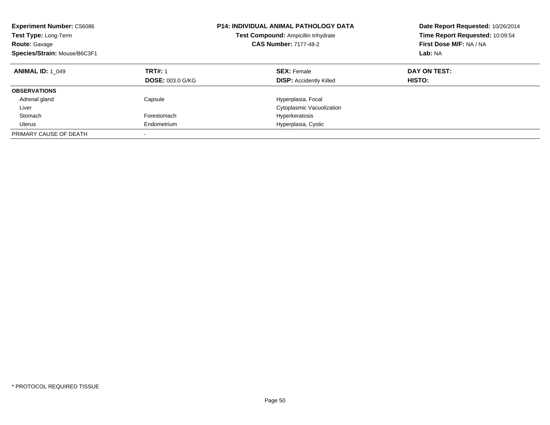| <b>Experiment Number: C56086</b><br>Test Type: Long-Term<br><b>Route: Gavage</b><br>Species/Strain: Mouse/B6C3F1 |                                           | <b>P14: INDIVIDUAL ANIMAL PATHOLOGY DATA</b><br>Test Compound: Ampicillin trihydrate<br><b>CAS Number: 7177-48-2</b> | Date Report Requested: 10/26/2014<br>Time Report Requested: 10:09:54<br>First Dose M/F: NA / NA<br>Lab: NA |
|------------------------------------------------------------------------------------------------------------------|-------------------------------------------|----------------------------------------------------------------------------------------------------------------------|------------------------------------------------------------------------------------------------------------|
| <b>ANIMAL ID: 1 049</b>                                                                                          | <b>TRT#: 1</b><br><b>DOSE: 003.0 G/KG</b> | <b>SEX: Female</b><br><b>DISP:</b> Accidently Killed                                                                 | DAY ON TEST:<br>HISTO:                                                                                     |
| <b>OBSERVATIONS</b>                                                                                              |                                           |                                                                                                                      |                                                                                                            |
| Adrenal gland                                                                                                    | Capsule                                   | Hyperplasia, Focal                                                                                                   |                                                                                                            |
| Liver                                                                                                            |                                           | Cytoplasmic Vacuolization                                                                                            |                                                                                                            |
| Stomach                                                                                                          | Forestomach                               | Hyperkeratosis                                                                                                       |                                                                                                            |
| Uterus                                                                                                           | Endometrium                               | Hyperplasia, Cystic                                                                                                  |                                                                                                            |
| PRIMARY CAUSE OF DEATH                                                                                           |                                           |                                                                                                                      |                                                                                                            |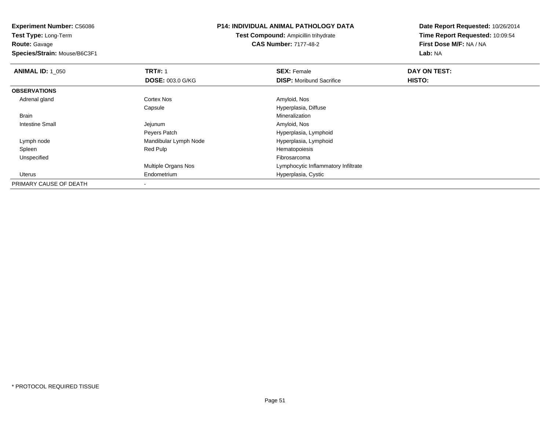**Experiment Number:** C56086**Test Type:** Long-Term**Route:** Gavage **Species/Strain:** Mouse/B6C3F1**P14: INDIVIDUAL ANIMAL PATHOLOGY DATATest Compound:** Ampicillin trihydrate**CAS Number:** 7177-48-2**Date Report Requested:** 10/26/2014**Time Report Requested:** 10:09:54**First Dose M/F:** NA / NA**Lab:** NA**ANIMAL ID: 1\_050 C TRT#:** 1 **SEX:** Female **DAY ON TEST: DOSE:** 003.0 G/KG**DISP:** Moribund Sacrifice **HISTO: OBSERVATIONS** Adrenal glandd and the Cortex Nos and the Cortex Nos and the Amyloid, Nos and the Amyloid, Nos Capsule Hyperplasia, Diffuse Brainn and the control of the control of the control of the control of the control of the control of the control of the control of the control of the control of the control of the control of the control of the control of the co Intestine Small Jejunum Amyloid, Nos Peyers Patch Hyperplasia, Lymphoid Lymph nodeMandibular Lymph Node Hyperplasia, Lymphoide Hyperplasia, Lymphonide Hyperplasia, Lymphonide Hematopoiesis Spleen Red Pulp Hematopoiesis Unspecifiedd **Example 2018** and the control of the control of the control of the control of the control of the control of the control of the control of the control of the control of the control of the control of the control of the co Multiple Organs Nos Lymphocytic Inflammatory Infiltrate Uterus Endometrium Hyperplasia, Cystic PRIMARY CAUSE OF DEATH-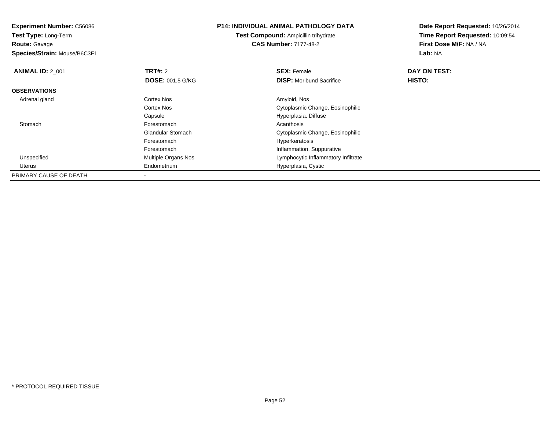**Experiment Number:** C56086**Test Type:** Long-Term**Route:** Gavage **Species/Strain:** Mouse/B6C3F1**P14: INDIVIDUAL ANIMAL PATHOLOGY DATATest Compound:** Ampicillin trihydrate**CAS Number:** 7177-48-2**Date Report Requested:** 10/26/2014**Time Report Requested:** 10:09:54**First Dose M/F:** NA / NA**Lab:** NA**ANIMAL ID: 2 001 TRT#:** 2 **SEX:** Female **DAY ON TEST: DOSE:** 001.5 G/KG**DISP:** Moribund Sacrifice **HISTO: OBSERVATIONS** Adrenal glandd and the Cortex Nos and the Cortex Nos and the Amyloid, Nos and the Amyloid, Nos Cortex Nos Cytoplasmic Change, Eosinophilic CapsuleCapsule Capsulation Capsulation of Capsulation Capsulation Capsulation Capsulation Capsulation Capsulation Capsulation Capsulation Capsulation Capsulation Capsulation Capsulation Capsulation Capsulation Capsulation Capsula **Stomach** h anns an t-India anns an t-India anns an t-India anns an t-India anns an t-India anns an t-India anns an t-In Glandular Stomach Cytoplasmic Change, Eosinophilic Forestomach Hyperkeratosis ForestomachForestomach **Inflammation, Suppurative**<br>
Multiple Organs Nos **Inflammation** Lymphocytic Inflammatory UnspecifiedLymphocytic Inflammatory Infiltrate Uterus Endometrium Hyperplasia, Cystic PRIMARY CAUSE OF DEATH-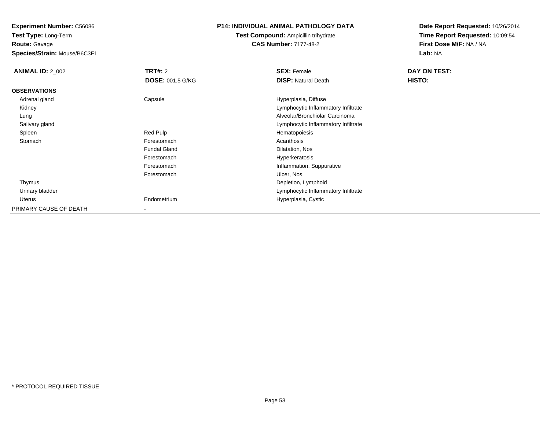**Test Type:** Long-Term**Route:** Gavage

**Species/Strain:** Mouse/B6C3F1

## **P14: INDIVIDUAL ANIMAL PATHOLOGY DATA**

## **Test Compound:** Ampicillin trihydrate**CAS Number:** 7177-48-2

| <b>ANIMAL ID: 2_002</b> | <b>TRT#: 2</b>          | <b>SEX: Female</b>                  | DAY ON TEST: |  |
|-------------------------|-------------------------|-------------------------------------|--------------|--|
|                         | <b>DOSE: 001.5 G/KG</b> | <b>DISP: Natural Death</b>          | HISTO:       |  |
| <b>OBSERVATIONS</b>     |                         |                                     |              |  |
| Adrenal gland           | Capsule                 | Hyperplasia, Diffuse                |              |  |
| Kidney                  |                         | Lymphocytic Inflammatory Infiltrate |              |  |
| Lung                    |                         | Alveolar/Bronchiolar Carcinoma      |              |  |
| Salivary gland          |                         | Lymphocytic Inflammatory Infiltrate |              |  |
| Spleen                  | Red Pulp                | Hematopoiesis                       |              |  |
| Stomach                 | Forestomach             | Acanthosis                          |              |  |
|                         | <b>Fundal Gland</b>     | Dilatation, Nos                     |              |  |
|                         | Forestomach             | Hyperkeratosis                      |              |  |
|                         | Forestomach             | Inflammation, Suppurative           |              |  |
|                         | Forestomach             | Ulcer, Nos                          |              |  |
| Thymus                  |                         | Depletion, Lymphoid                 |              |  |
| Urinary bladder         |                         | Lymphocytic Inflammatory Infiltrate |              |  |
| Uterus                  | Endometrium             | Hyperplasia, Cystic                 |              |  |
| PRIMARY CAUSE OF DEATH  |                         |                                     |              |  |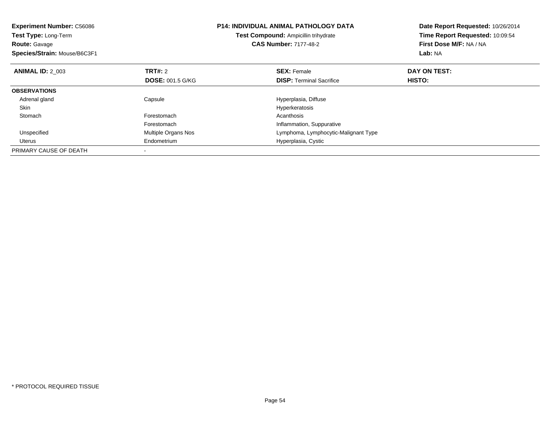| <b>Experiment Number: C56086</b><br><b>Test Type: Long-Term</b><br><b>Route: Gavage</b><br>Species/Strain: Mouse/B6C3F1 |                         | <b>P14: INDIVIDUAL ANIMAL PATHOLOGY DATA</b><br>Date Report Requested: 10/26/2014<br>Time Report Requested: 10:09:54<br>Test Compound: Ampicillin trihydrate<br>First Dose M/F: NA / NA<br><b>CAS Number: 7177-48-2</b><br>Lab: NA |              |
|-------------------------------------------------------------------------------------------------------------------------|-------------------------|------------------------------------------------------------------------------------------------------------------------------------------------------------------------------------------------------------------------------------|--------------|
| <b>ANIMAL ID: 2 003</b>                                                                                                 | TRT#: 2                 | <b>SEX: Female</b>                                                                                                                                                                                                                 | DAY ON TEST: |
|                                                                                                                         | <b>DOSE: 001.5 G/KG</b> | <b>DISP:</b> Terminal Sacrifice                                                                                                                                                                                                    | HISTO:       |
| <b>OBSERVATIONS</b>                                                                                                     |                         |                                                                                                                                                                                                                                    |              |
| Adrenal gland                                                                                                           | Capsule                 | Hyperplasia, Diffuse                                                                                                                                                                                                               |              |
| Skin                                                                                                                    |                         | Hyperkeratosis                                                                                                                                                                                                                     |              |
| Stomach                                                                                                                 | Forestomach             | Acanthosis                                                                                                                                                                                                                         |              |
|                                                                                                                         | Forestomach             | Inflammation, Suppurative                                                                                                                                                                                                          |              |
| Unspecified                                                                                                             | Multiple Organs Nos     | Lymphoma, Lymphocytic-Malignant Type                                                                                                                                                                                               |              |
| Uterus                                                                                                                  | Endometrium             | Hyperplasia, Cystic                                                                                                                                                                                                                |              |
| PRIMARY CAUSE OF DEATH                                                                                                  |                         |                                                                                                                                                                                                                                    |              |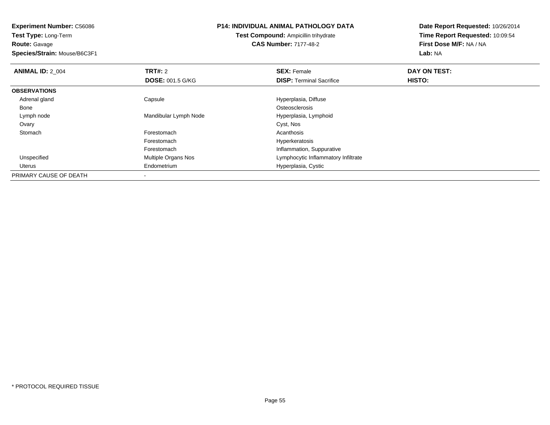**Experiment Number:** C56086**Test Type:** Long-Term**Route:** Gavage **Species/Strain:** Mouse/B6C3F1**P14: INDIVIDUAL ANIMAL PATHOLOGY DATATest Compound:** Ampicillin trihydrate**CAS Number:** 7177-48-2**Date Report Requested:** 10/26/2014**Time Report Requested:** 10:09:54**First Dose M/F:** NA / NA**Lab:** NA**ANIMAL ID: 2 004 TRT#:** 2 **SEX:** Female **DAY ON TEST: DOSE:** 001.5 G/KG**DISP:** Terminal Sacrifice **HISTO: OBSERVATIONS** Adrenal glandCapsule **Capsule Capsule Capsule**<br>
Capsule Capsulate Content Content Content Content Content Content Content Content Content Content Content Conte<br>
Content Content Content Content Content Content Content Content Content Co Bonee de la constitución de la constitución de la constitución de la constitución de la constitución de la constitución<br>En el constitución de la constitución de la constitución de la constitución de la constitución de la const Lymph nodeMandibular Lymph Node Hyperplasia, Lymphoid<br>Cyst, Nos Ovaryy and the control of the control of the control of the control of the control of the control of the control of the control of the control of the control of the control of the control of the control of the control of the co **Stomach** h anns an t-India anns an t-India anns an t-India anns an t-India anns an t-India anns an t-India anns an t-In Forestomach Hyperkeratosis ForestomachForestomach **Inflammation, Suppurative**<br>
Multiple Organs Nos **Inflammation** Lymphocytic Inflammatory UnspecifiedLymphocytic Inflammatory Infiltrate Uterus Endometrium Hyperplasia, Cystic PRIMARY CAUSE OF DEATH-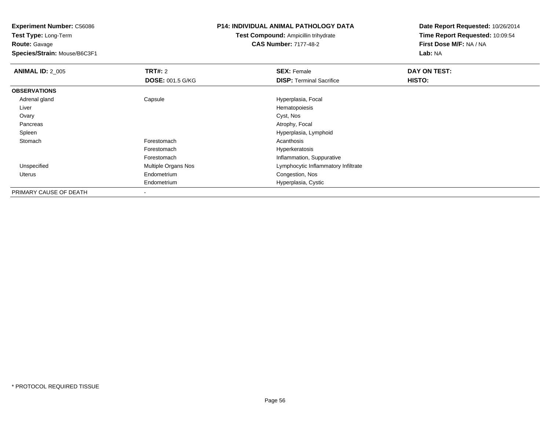**Test Type:** Long-Term**Route:** Gavage

**Species/Strain:** Mouse/B6C3F1

#### **P14: INDIVIDUAL ANIMAL PATHOLOGY DATA**

**Test Compound:** Ampicillin trihydrate**CAS Number:** 7177-48-2

| <b>ANIMAL ID: 2_005</b> | TRT#: 2                    | <b>SEX: Female</b>                  | DAY ON TEST: |
|-------------------------|----------------------------|-------------------------------------|--------------|
|                         | <b>DOSE: 001.5 G/KG</b>    | <b>DISP: Terminal Sacrifice</b>     | HISTO:       |
| <b>OBSERVATIONS</b>     |                            |                                     |              |
| Adrenal gland           | Capsule                    | Hyperplasia, Focal                  |              |
| Liver                   |                            | Hematopoiesis                       |              |
| Ovary                   |                            | Cyst, Nos                           |              |
| Pancreas                |                            | Atrophy, Focal                      |              |
| Spleen                  |                            | Hyperplasia, Lymphoid               |              |
| Stomach                 | Forestomach                | Acanthosis                          |              |
|                         | Forestomach                | Hyperkeratosis                      |              |
|                         | Forestomach                | Inflammation, Suppurative           |              |
| Unspecified             | <b>Multiple Organs Nos</b> | Lymphocytic Inflammatory Infiltrate |              |
| Uterus                  | Endometrium                | Congestion, Nos                     |              |
|                         | Endometrium                | Hyperplasia, Cystic                 |              |
| PRIMARY CAUSE OF DEATH  |                            |                                     |              |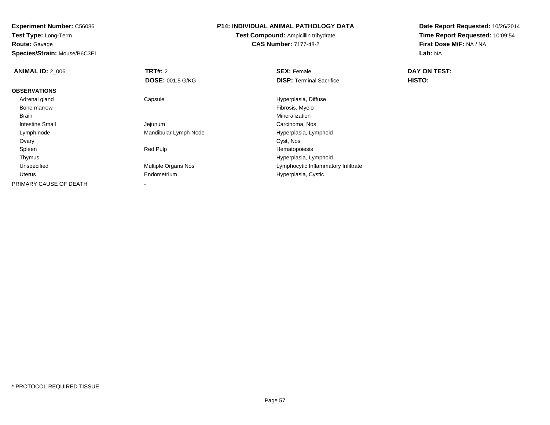**Route:** Gavage

**Species/Strain:** Mouse/B6C3F1

#### **P14: INDIVIDUAL ANIMAL PATHOLOGY DATA**

**Test Compound:** Ampicillin trihydrate**CAS Number:** 7177-48-2

| <b>ANIMAL ID: 2_006</b> | TRT#: 2                  | <b>SEX: Female</b>                  | DAY ON TEST: |  |
|-------------------------|--------------------------|-------------------------------------|--------------|--|
|                         | <b>DOSE: 001.5 G/KG</b>  | <b>DISP: Terminal Sacrifice</b>     | HISTO:       |  |
| <b>OBSERVATIONS</b>     |                          |                                     |              |  |
| Adrenal gland           | Capsule                  | Hyperplasia, Diffuse                |              |  |
| Bone marrow             |                          | Fibrosis, Myelo                     |              |  |
| Brain                   |                          | Mineralization                      |              |  |
| <b>Intestine Small</b>  | Jejunum                  | Carcinoma, Nos                      |              |  |
| Lymph node              | Mandibular Lymph Node    | Hyperplasia, Lymphoid               |              |  |
| Ovary                   |                          | Cyst, Nos                           |              |  |
| Spleen                  | Red Pulp                 | Hematopoiesis                       |              |  |
| Thymus                  |                          | Hyperplasia, Lymphoid               |              |  |
| Unspecified             | Multiple Organs Nos      | Lymphocytic Inflammatory Infiltrate |              |  |
| Uterus                  | Endometrium              | Hyperplasia, Cystic                 |              |  |
| PRIMARY CAUSE OF DEATH  | $\overline{\phantom{a}}$ |                                     |              |  |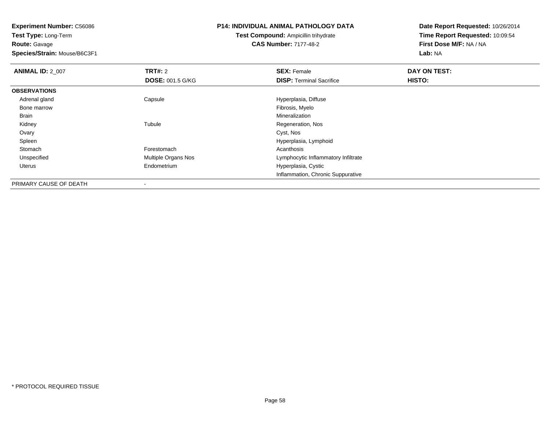**Test Type:** Long-Term**Route:** Gavage

**Species/Strain:** Mouse/B6C3F1

#### **P14: INDIVIDUAL ANIMAL PATHOLOGY DATA**

**Test Compound:** Ampicillin trihydrate**CAS Number:** 7177-48-2

| <b>ANIMAL ID: 2 007</b> | TRT#: 2                 | <b>SEX: Female</b>                  | DAY ON TEST: |  |
|-------------------------|-------------------------|-------------------------------------|--------------|--|
|                         | <b>DOSE: 001.5 G/KG</b> | <b>DISP: Terminal Sacrifice</b>     | HISTO:       |  |
| <b>OBSERVATIONS</b>     |                         |                                     |              |  |
| Adrenal gland           | Capsule                 | Hyperplasia, Diffuse                |              |  |
| Bone marrow             |                         | Fibrosis, Myelo                     |              |  |
| Brain                   |                         | Mineralization                      |              |  |
| Kidney                  | Tubule                  | Regeneration, Nos                   |              |  |
| Ovary                   |                         | Cyst, Nos                           |              |  |
| Spleen                  |                         | Hyperplasia, Lymphoid               |              |  |
| Stomach                 | Forestomach             | Acanthosis                          |              |  |
| Unspecified             | Multiple Organs Nos     | Lymphocytic Inflammatory Infiltrate |              |  |
| Uterus                  | Endometrium             | Hyperplasia, Cystic                 |              |  |
|                         |                         | Inflammation, Chronic Suppurative   |              |  |
| PRIMARY CAUSE OF DEATH  | -                       |                                     |              |  |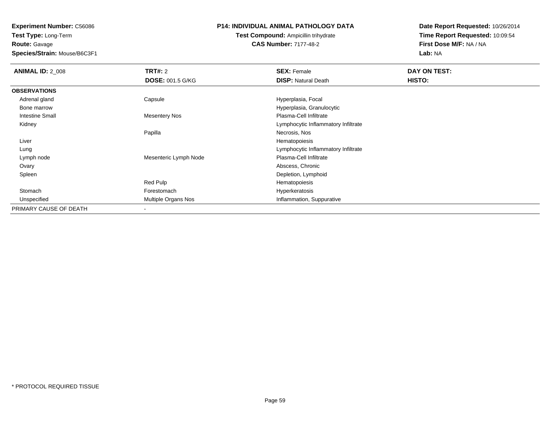**Route:** Gavage

**Species/Strain:** Mouse/B6C3F1

#### **P14: INDIVIDUAL ANIMAL PATHOLOGY DATA**

## **Test Compound:** Ampicillin trihydrate**CAS Number:** 7177-48-2

| <b>ANIMAL ID: 2_008</b> | <b>TRT#: 2</b>          | <b>SEX: Female</b>                  | DAY ON TEST: |  |
|-------------------------|-------------------------|-------------------------------------|--------------|--|
|                         | <b>DOSE: 001.5 G/KG</b> | <b>DISP: Natural Death</b>          | HISTO:       |  |
| <b>OBSERVATIONS</b>     |                         |                                     |              |  |
| Adrenal gland           | Capsule                 | Hyperplasia, Focal                  |              |  |
| Bone marrow             |                         | Hyperplasia, Granulocytic           |              |  |
| Intestine Small         | <b>Mesentery Nos</b>    | Plasma-Cell Infiltrate              |              |  |
| Kidney                  |                         | Lymphocytic Inflammatory Infiltrate |              |  |
|                         | Papilla                 | Necrosis, Nos                       |              |  |
| Liver                   |                         | Hematopoiesis                       |              |  |
| Lung                    |                         | Lymphocytic Inflammatory Infiltrate |              |  |
| Lymph node              | Mesenteric Lymph Node   | Plasma-Cell Infiltrate              |              |  |
| Ovary                   |                         | Abscess, Chronic                    |              |  |
| Spleen                  |                         | Depletion, Lymphoid                 |              |  |
|                         | Red Pulp                | Hematopoiesis                       |              |  |
| Stomach                 | Forestomach             | Hyperkeratosis                      |              |  |
| Unspecified             | Multiple Organs Nos     | Inflammation, Suppurative           |              |  |
| PRIMARY CAUSE OF DEATH  |                         |                                     |              |  |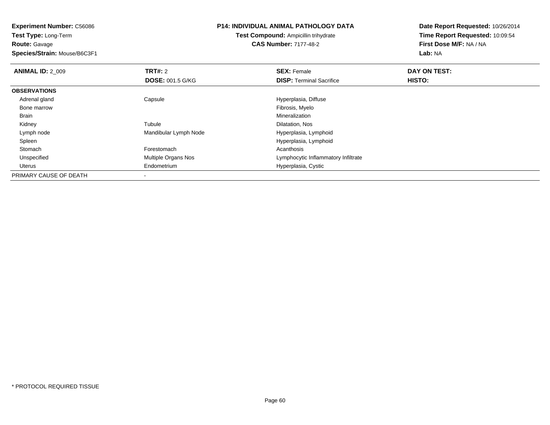**Experiment Number:** C56086**Test Type:** Long-Term**Route:** Gavage **Species/Strain:** Mouse/B6C3F1**P14: INDIVIDUAL ANIMAL PATHOLOGY DATATest Compound:** Ampicillin trihydrate**CAS Number:** 7177-48-2**Date Report Requested:** 10/26/2014**Time Report Requested:** 10:09:54**First Dose M/F:** NA / NA**Lab:** NA**ANIMAL ID: 2 009 TRT#:** 2 **SEX:** Female **DAY ON TEST: DOSE:** 001.5 G/KG**DISP:** Terminal Sacrifice **HISTO: OBSERVATIONS** Adrenal glandCapsule **Capsule Capsule Capsule Hyperplasia**, Diffuse Hyperplasia, Diffuse Hyperplasia, Diffuse Hyperplasia, Diffuse H Bone marroww which is a state of the state of the state of the state of the state of the Fibrosis, Myelo state of the state of the state of the state of the state of the state of the state of the state of the state of the state of th Brainn and the control of the control of the control of the control of the control of the control of the control of the control of the control of the control of the control of the control of the control of the control of the co Kidneyy the contract of the contract of the contract of the contract of the contract of the contract of the contract of the contract of the contract of the contract of the contract of the contract of the contract of the contract Tubule<br>
Mandibular Lymph Node<br>
Mandibular Lymph Node<br>
Mandibular Lymph Node<br>
Mandibular Lymph Node<br>
Mandibular Lymph Node<br>
Mandibular Lymph Node Lymph nodeMandibular Lymph Node SpleenHyperplasia, Lymphoid<br>Forestomach extension of the control of Acanthosis Stomachh anns an t-India anns an t-India anns an t-India anns an t-India anns an t-India anns an t-India anns an t-In UnspecifiedMultiple Organs Nos **Multiple Organs Nos** Lymphocytic Inflammatory Infiltrate Uterus Endometrium Hyperplasia, Cystic PRIMARY CAUSE OF DEATH-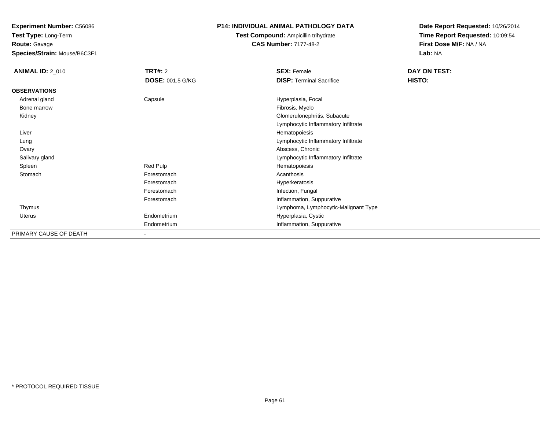**Test Type:** Long-Term**Route:** Gavage

**Species/Strain:** Mouse/B6C3F1

## **P14: INDIVIDUAL ANIMAL PATHOLOGY DATA**

**Test Compound:** Ampicillin trihydrate**CAS Number:** 7177-48-2

| <b>ANIMAL ID: 2_010</b> | <b>TRT#: 2</b>          | <b>SEX: Female</b>                   | DAY ON TEST: |  |
|-------------------------|-------------------------|--------------------------------------|--------------|--|
|                         | <b>DOSE: 001.5 G/KG</b> | <b>DISP: Terminal Sacrifice</b>      | HISTO:       |  |
| <b>OBSERVATIONS</b>     |                         |                                      |              |  |
| Adrenal gland           | Capsule                 | Hyperplasia, Focal                   |              |  |
| Bone marrow             |                         | Fibrosis, Myelo                      |              |  |
| Kidney                  |                         | Glomerulonephritis, Subacute         |              |  |
|                         |                         | Lymphocytic Inflammatory Infiltrate  |              |  |
| Liver                   |                         | Hematopoiesis                        |              |  |
| Lung                    |                         | Lymphocytic Inflammatory Infiltrate  |              |  |
| Ovary                   |                         | Abscess, Chronic                     |              |  |
| Salivary gland          |                         | Lymphocytic Inflammatory Infiltrate  |              |  |
| Spleen                  | Red Pulp                | Hematopoiesis                        |              |  |
| Stomach                 | Forestomach             | Acanthosis                           |              |  |
|                         | Forestomach             | Hyperkeratosis                       |              |  |
|                         | Forestomach             | Infection, Fungal                    |              |  |
|                         | Forestomach             | Inflammation, Suppurative            |              |  |
| Thymus                  |                         | Lymphoma, Lymphocytic-Malignant Type |              |  |
| Uterus                  | Endometrium             | Hyperplasia, Cystic                  |              |  |
|                         | Endometrium             | Inflammation, Suppurative            |              |  |
| PRIMARY CAUSE OF DEATH  | ۰                       |                                      |              |  |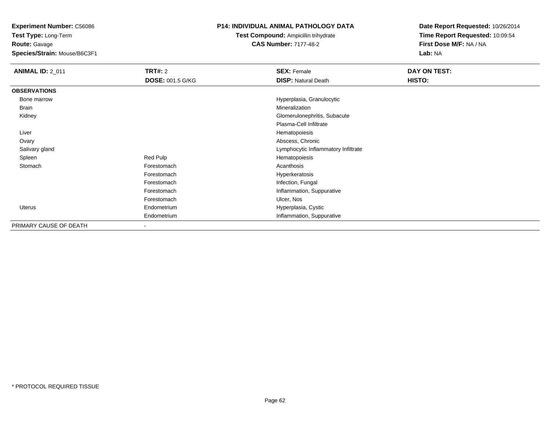**Test Type:** Long-Term**Route:** Gavage

**Species/Strain:** Mouse/B6C3F1

## **P14: INDIVIDUAL ANIMAL PATHOLOGY DATA**

**Test Compound:** Ampicillin trihydrate**CAS Number:** 7177-48-2

| <b>ANIMAL ID: 2_011</b> | <b>TRT#: 2</b>           | <b>SEX: Female</b>                  | DAY ON TEST: |
|-------------------------|--------------------------|-------------------------------------|--------------|
|                         | <b>DOSE: 001.5 G/KG</b>  | <b>DISP: Natural Death</b>          | HISTO:       |
| <b>OBSERVATIONS</b>     |                          |                                     |              |
| Bone marrow             |                          | Hyperplasia, Granulocytic           |              |
| Brain                   |                          | Mineralization                      |              |
| Kidney                  |                          | Glomerulonephritis, Subacute        |              |
|                         |                          | Plasma-Cell Infiltrate              |              |
| Liver                   |                          | Hematopoiesis                       |              |
| Ovary                   |                          | Abscess, Chronic                    |              |
| Salivary gland          |                          | Lymphocytic Inflammatory Infiltrate |              |
| Spleen                  | Red Pulp                 | Hematopoiesis                       |              |
| Stomach                 | Forestomach              | Acanthosis                          |              |
|                         | Forestomach              | Hyperkeratosis                      |              |
|                         | Forestomach              | Infection, Fungal                   |              |
|                         | Forestomach              | Inflammation, Suppurative           |              |
|                         | Forestomach              | Ulcer, Nos                          |              |
| Uterus                  | Endometrium              | Hyperplasia, Cystic                 |              |
|                         | Endometrium              | Inflammation, Suppurative           |              |
| PRIMARY CAUSE OF DEATH  | $\overline{\phantom{a}}$ |                                     |              |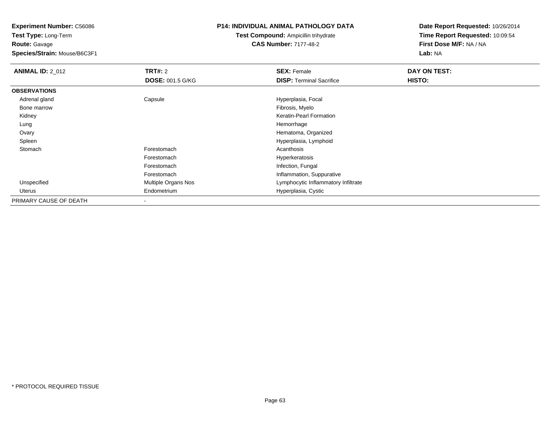**Test Type:** Long-Term**Route:** Gavage

**Species/Strain:** Mouse/B6C3F1

## **P14: INDIVIDUAL ANIMAL PATHOLOGY DATA**

**Test Compound:** Ampicillin trihydrate**CAS Number:** 7177-48-2

| <b>ANIMAL ID: 2_012</b> | TRT#: 2                 | <b>SEX: Female</b>                  | DAY ON TEST: |  |
|-------------------------|-------------------------|-------------------------------------|--------------|--|
|                         | <b>DOSE: 001.5 G/KG</b> | <b>DISP: Terminal Sacrifice</b>     | HISTO:       |  |
| <b>OBSERVATIONS</b>     |                         |                                     |              |  |
| Adrenal gland           | Capsule                 | Hyperplasia, Focal                  |              |  |
| Bone marrow             |                         | Fibrosis, Myelo                     |              |  |
| Kidney                  |                         | Keratin-Pearl Formation             |              |  |
| Lung                    |                         | Hemorrhage                          |              |  |
| Ovary                   |                         | Hematoma, Organized                 |              |  |
| Spleen                  |                         | Hyperplasia, Lymphoid               |              |  |
| Stomach                 | Forestomach             | Acanthosis                          |              |  |
|                         | Forestomach             | Hyperkeratosis                      |              |  |
|                         | Forestomach             | Infection, Fungal                   |              |  |
|                         | Forestomach             | Inflammation, Suppurative           |              |  |
| Unspecified             | Multiple Organs Nos     | Lymphocytic Inflammatory Infiltrate |              |  |
| Uterus                  | Endometrium             | Hyperplasia, Cystic                 |              |  |
| PRIMARY CAUSE OF DEATH  |                         |                                     |              |  |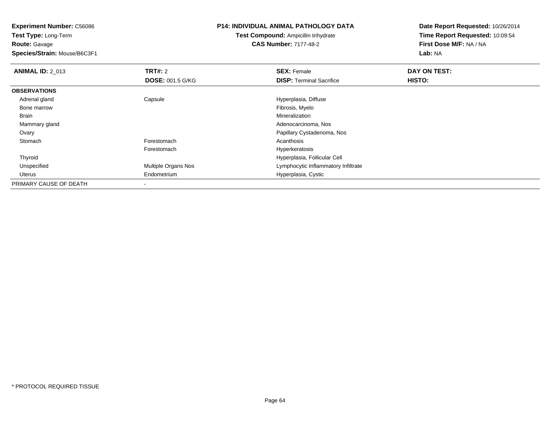**Test Type:** Long-Term**Route:** Gavage

**Species/Strain:** Mouse/B6C3F1

#### **P14: INDIVIDUAL ANIMAL PATHOLOGY DATA**

**Test Compound:** Ampicillin trihydrate**CAS Number:** 7177-48-2

| <b>ANIMAL ID: 2 013</b> | TRT#: 2                    | <b>SEX: Female</b>                  | DAY ON TEST:  |  |
|-------------------------|----------------------------|-------------------------------------|---------------|--|
|                         | <b>DOSE: 001.5 G/KG</b>    | <b>DISP: Terminal Sacrifice</b>     | <b>HISTO:</b> |  |
| <b>OBSERVATIONS</b>     |                            |                                     |               |  |
| Adrenal gland           | Capsule                    | Hyperplasia, Diffuse                |               |  |
| Bone marrow             |                            | Fibrosis, Myelo                     |               |  |
| Brain                   |                            | Mineralization                      |               |  |
| Mammary gland           |                            | Adenocarcinoma, Nos                 |               |  |
| Ovary                   |                            | Papillary Cystadenoma, Nos          |               |  |
| Stomach                 | Forestomach                | Acanthosis                          |               |  |
|                         | Forestomach                | Hyperkeratosis                      |               |  |
| Thyroid                 |                            | Hyperplasia, Follicular Cell        |               |  |
| Unspecified             | <b>Multiple Organs Nos</b> | Lymphocytic Inflammatory Infiltrate |               |  |
| Uterus                  | Endometrium                | Hyperplasia, Cystic                 |               |  |
| PRIMARY CAUSE OF DEATH  |                            |                                     |               |  |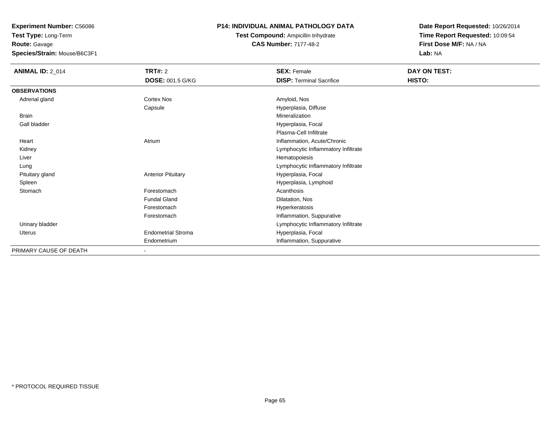**Test Type:** Long-Term**Route:** Gavage

**Species/Strain:** Mouse/B6C3F1

## **P14: INDIVIDUAL ANIMAL PATHOLOGY DATA**

**Test Compound:** Ampicillin trihydrate**CAS Number:** 7177-48-2

| <b>ANIMAL ID: 2_014</b> | TRT#: 2                   | <b>SEX: Female</b>                  | DAY ON TEST: |
|-------------------------|---------------------------|-------------------------------------|--------------|
|                         | <b>DOSE: 001.5 G/KG</b>   | <b>DISP: Terminal Sacrifice</b>     | HISTO:       |
| <b>OBSERVATIONS</b>     |                           |                                     |              |
| Adrenal gland           | Cortex Nos                | Amyloid, Nos                        |              |
|                         | Capsule                   | Hyperplasia, Diffuse                |              |
| Brain                   |                           | Mineralization                      |              |
| Gall bladder            |                           | Hyperplasia, Focal                  |              |
|                         |                           | Plasma-Cell Infiltrate              |              |
| Heart                   | Atrium                    | Inflammation, Acute/Chronic         |              |
| Kidney                  |                           | Lymphocytic Inflammatory Infiltrate |              |
| Liver                   |                           | Hematopoiesis                       |              |
| Lung                    |                           | Lymphocytic Inflammatory Infiltrate |              |
| Pituitary gland         | <b>Anterior Pituitary</b> | Hyperplasia, Focal                  |              |
| Spleen                  |                           | Hyperplasia, Lymphoid               |              |
| Stomach                 | Forestomach               | Acanthosis                          |              |
|                         | <b>Fundal Gland</b>       | Dilatation, Nos                     |              |
|                         | Forestomach               | Hyperkeratosis                      |              |
|                         | Forestomach               | Inflammation, Suppurative           |              |
| Urinary bladder         |                           | Lymphocytic Inflammatory Infiltrate |              |
| Uterus                  | <b>Endometrial Stroma</b> | Hyperplasia, Focal                  |              |
|                         | Endometrium               | Inflammation, Suppurative           |              |
| PRIMARY CAUSE OF DEATH  |                           |                                     |              |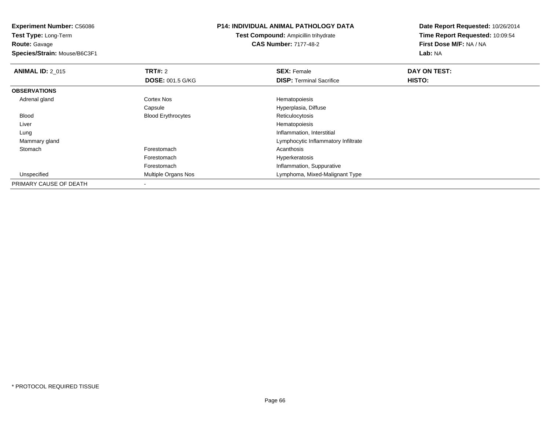**Experiment Number:** C56086**Test Type:** Long-Term**Route:** Gavage **Species/Strain:** Mouse/B6C3F1**P14: INDIVIDUAL ANIMAL PATHOLOGY DATATest Compound:** Ampicillin trihydrate**CAS Number:** 7177-48-2**Date Report Requested:** 10/26/2014**Time Report Requested:** 10:09:54**First Dose M/F:** NA / NA**Lab:** NA**ANIMAL ID: 2 015 TRT#:** 2 **SEX:** Female **DAY ON TEST: DOSE:** 001.5 G/KG**DISP:** Terminal Sacrifice **HISTO: OBSERVATIONS** Adrenal glandCortex Nos **Hematopoiesis** Capsule Hyperplasia, Diffuse BloodBlood Erythrocytes Liver Hematopoiesisg and the state of the state of the state of the state of the state of the state of the state of the state of the state of the state of the state of the state of the state of the state of the state of the state of the stat Lung Mammary gland Lymphocytic Inflammatory Infiltrate Stomachh anns an t-India anns an t-India anns an t-India anns an t-India anns an t-India anns an t-India anns an t-In Forestomach Hyperkeratosis ForestomachForestomach **Inflammation, Suppurative**<br>Multiple Organs Nos **Antique State Control Control Control Cymphoma**, Mixed-Maligna UnspecifiedLymphoma, Mixed-Malignant Type PRIMARY CAUSE OF DEATH-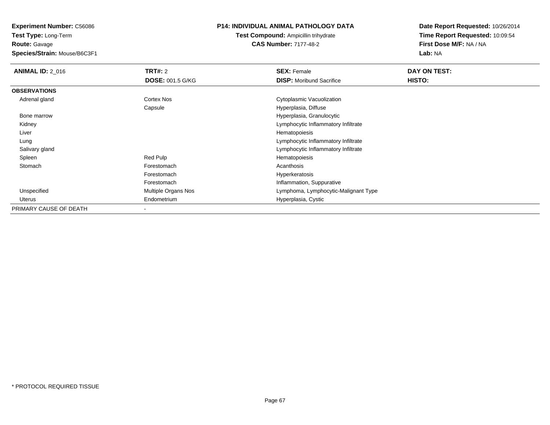**Test Type:** Long-Term**Route:** Gavage

**Species/Strain:** Mouse/B6C3F1

#### **P14: INDIVIDUAL ANIMAL PATHOLOGY DATA**

**Test Compound:** Ampicillin trihydrate**CAS Number:** 7177-48-2

| <b>ANIMAL ID: 2_016</b> | <b>TRT#: 2</b>          | <b>SEX: Female</b>                   | DAY ON TEST: |  |
|-------------------------|-------------------------|--------------------------------------|--------------|--|
|                         | <b>DOSE: 001.5 G/KG</b> | <b>DISP:</b> Moribund Sacrifice      | HISTO:       |  |
| <b>OBSERVATIONS</b>     |                         |                                      |              |  |
| Adrenal gland           | Cortex Nos              | Cytoplasmic Vacuolization            |              |  |
|                         | Capsule                 | Hyperplasia, Diffuse                 |              |  |
| Bone marrow             |                         | Hyperplasia, Granulocytic            |              |  |
| Kidney                  |                         | Lymphocytic Inflammatory Infiltrate  |              |  |
| Liver                   |                         | Hematopoiesis                        |              |  |
| Lung                    |                         | Lymphocytic Inflammatory Infiltrate  |              |  |
| Salivary gland          |                         | Lymphocytic Inflammatory Infiltrate  |              |  |
| Spleen                  | Red Pulp                | Hematopoiesis                        |              |  |
| Stomach                 | Forestomach             | Acanthosis                           |              |  |
|                         | Forestomach             | Hyperkeratosis                       |              |  |
|                         | Forestomach             | Inflammation, Suppurative            |              |  |
| Unspecified             | Multiple Organs Nos     | Lymphoma, Lymphocytic-Malignant Type |              |  |
| Uterus                  | Endometrium             | Hyperplasia, Cystic                  |              |  |
| PRIMARY CAUSE OF DEATH  |                         |                                      |              |  |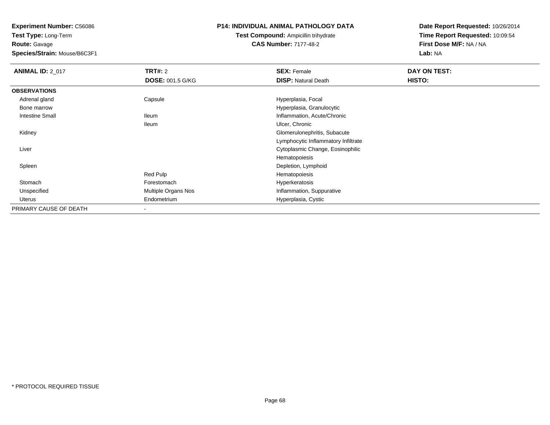**Test Type:** Long-Term**Route:** Gavage

**Species/Strain:** Mouse/B6C3F1

#### **P14: INDIVIDUAL ANIMAL PATHOLOGY DATA**

## **Test Compound:** Ampicillin trihydrate**CAS Number:** 7177-48-2

| <b>ANIMAL ID: 2_017</b> | TRT#: 2                 | <b>SEX: Female</b>                  | DAY ON TEST: |
|-------------------------|-------------------------|-------------------------------------|--------------|
|                         | <b>DOSE: 001.5 G/KG</b> | <b>DISP: Natural Death</b>          | HISTO:       |
| <b>OBSERVATIONS</b>     |                         |                                     |              |
| Adrenal gland           | Capsule                 | Hyperplasia, Focal                  |              |
| Bone marrow             |                         | Hyperplasia, Granulocytic           |              |
| <b>Intestine Small</b>  | <b>Ileum</b>            | Inflammation, Acute/Chronic         |              |
|                         | lleum                   | Ulcer, Chronic                      |              |
| Kidney                  |                         | Glomerulonephritis, Subacute        |              |
|                         |                         | Lymphocytic Inflammatory Infiltrate |              |
| Liver                   |                         | Cytoplasmic Change, Eosinophilic    |              |
|                         |                         | Hematopoiesis                       |              |
| Spleen                  |                         | Depletion, Lymphoid                 |              |
|                         | Red Pulp                | Hematopoiesis                       |              |
| Stomach                 | Forestomach             | Hyperkeratosis                      |              |
| Unspecified             | Multiple Organs Nos     | Inflammation, Suppurative           |              |
| Uterus                  | Endometrium             | Hyperplasia, Cystic                 |              |
| PRIMARY CAUSE OF DEATH  |                         |                                     |              |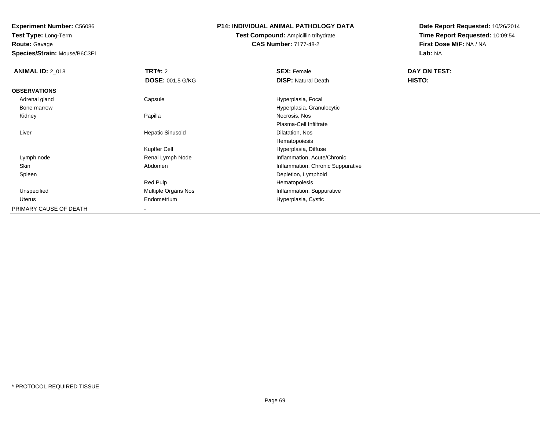**Test Type:** Long-Term**Route:** Gavage

**Species/Strain:** Mouse/B6C3F1

## **P14: INDIVIDUAL ANIMAL PATHOLOGY DATA**

**Test Compound:** Ampicillin trihydrate**CAS Number:** 7177-48-2

| <b>ANIMAL ID: 2_018</b> | <b>TRT#: 2</b>          | <b>SEX: Female</b>                | DAY ON TEST: |
|-------------------------|-------------------------|-----------------------------------|--------------|
|                         | <b>DOSE: 001.5 G/KG</b> | <b>DISP: Natural Death</b>        | HISTO:       |
| <b>OBSERVATIONS</b>     |                         |                                   |              |
| Adrenal gland           | Capsule                 | Hyperplasia, Focal                |              |
| Bone marrow             |                         | Hyperplasia, Granulocytic         |              |
| Kidney                  | Papilla                 | Necrosis, Nos                     |              |
|                         |                         | Plasma-Cell Infiltrate            |              |
| Liver                   | <b>Hepatic Sinusoid</b> | Dilatation, Nos                   |              |
|                         |                         | Hematopoiesis                     |              |
|                         | Kupffer Cell            | Hyperplasia, Diffuse              |              |
| Lymph node              | Renal Lymph Node        | Inflammation, Acute/Chronic       |              |
| Skin                    | Abdomen                 | Inflammation, Chronic Suppurative |              |
| Spleen                  |                         | Depletion, Lymphoid               |              |
|                         | Red Pulp                | Hematopoiesis                     |              |
| Unspecified             | Multiple Organs Nos     | Inflammation, Suppurative         |              |
| Uterus                  | Endometrium             | Hyperplasia, Cystic               |              |
| PRIMARY CAUSE OF DEATH  |                         |                                   |              |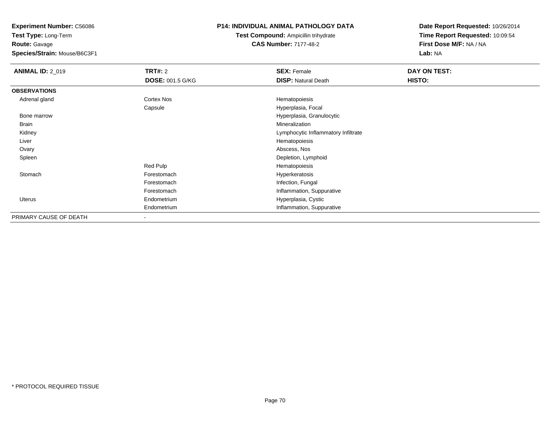**Test Type:** Long-Term**Route:** Gavage

**Species/Strain:** Mouse/B6C3F1

## **P14: INDIVIDUAL ANIMAL PATHOLOGY DATA**

# **Test Compound:** Ampicillin trihydrate**CAS Number:** 7177-48-2

| <b>ANIMAL ID: 2_019</b> | <b>TRT#: 2</b>          | <b>SEX: Female</b>                  | DAY ON TEST: |
|-------------------------|-------------------------|-------------------------------------|--------------|
|                         | <b>DOSE: 001.5 G/KG</b> | <b>DISP: Natural Death</b>          | HISTO:       |
| <b>OBSERVATIONS</b>     |                         |                                     |              |
| Adrenal gland           | Cortex Nos              | Hematopoiesis                       |              |
|                         | Capsule                 | Hyperplasia, Focal                  |              |
| Bone marrow             |                         | Hyperplasia, Granulocytic           |              |
| <b>Brain</b>            |                         | Mineralization                      |              |
| Kidney                  |                         | Lymphocytic Inflammatory Infiltrate |              |
| Liver                   |                         | Hematopoiesis                       |              |
| Ovary                   |                         | Abscess, Nos                        |              |
| Spleen                  |                         | Depletion, Lymphoid                 |              |
|                         | Red Pulp                | Hematopoiesis                       |              |
| Stomach                 | Forestomach             | Hyperkeratosis                      |              |
|                         | Forestomach             | Infection, Fungal                   |              |
|                         | Forestomach             | Inflammation, Suppurative           |              |
| <b>Uterus</b>           | Endometrium             | Hyperplasia, Cystic                 |              |
|                         | Endometrium             | Inflammation, Suppurative           |              |
| PRIMARY CAUSE OF DEATH  | $\blacksquare$          |                                     |              |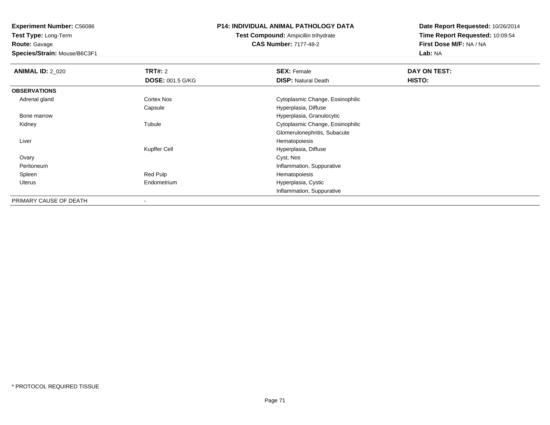**Test Type:** Long-Term**Route:** Gavage

**Species/Strain:** Mouse/B6C3F1

#### **P14: INDIVIDUAL ANIMAL PATHOLOGY DATA**

**Test Compound:** Ampicillin trihydrate**CAS Number:** 7177-48-2

| <b>ANIMAL ID: 2 020</b> | TRT#: 2                  | <b>SEX: Female</b>               | DAY ON TEST: |  |
|-------------------------|--------------------------|----------------------------------|--------------|--|
|                         | <b>DOSE: 001.5 G/KG</b>  | <b>DISP: Natural Death</b>       | HISTO:       |  |
| <b>OBSERVATIONS</b>     |                          |                                  |              |  |
| Adrenal gland           | <b>Cortex Nos</b>        | Cytoplasmic Change, Eosinophilic |              |  |
|                         | Capsule                  | Hyperplasia, Diffuse             |              |  |
| Bone marrow             |                          | Hyperplasia, Granulocytic        |              |  |
| Kidney                  | Tubule                   | Cytoplasmic Change, Eosinophilic |              |  |
|                         |                          | Glomerulonephritis, Subacute     |              |  |
| Liver                   |                          | Hematopoiesis                    |              |  |
|                         | Kupffer Cell             | Hyperplasia, Diffuse             |              |  |
| Ovary                   |                          | Cyst, Nos                        |              |  |
| Peritoneum              |                          | Inflammation, Suppurative        |              |  |
| Spleen                  | Red Pulp                 | Hematopoiesis                    |              |  |
| Uterus                  | Endometrium              | Hyperplasia, Cystic              |              |  |
|                         |                          | Inflammation, Suppurative        |              |  |
| PRIMARY CAUSE OF DEATH  | $\overline{\phantom{a}}$ |                                  |              |  |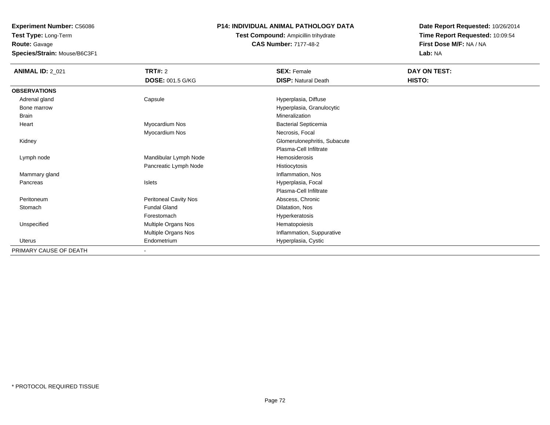**Route:** Gavage

**Species/Strain:** Mouse/B6C3F1

#### **P14: INDIVIDUAL ANIMAL PATHOLOGY DATA**

**Test Compound:** Ampicillin trihydrate**CAS Number:** 7177-48-2

| <b>ANIMAL ID: 2_021</b> | <b>TRT#: 2</b>          | <b>SEX: Female</b>           | DAY ON TEST: |  |
|-------------------------|-------------------------|------------------------------|--------------|--|
|                         | <b>DOSE: 001.5 G/KG</b> | <b>DISP: Natural Death</b>   | HISTO:       |  |
| <b>OBSERVATIONS</b>     |                         |                              |              |  |
| Adrenal gland           | Capsule                 | Hyperplasia, Diffuse         |              |  |
| Bone marrow             |                         | Hyperplasia, Granulocytic    |              |  |
| Brain                   |                         | Mineralization               |              |  |
| Heart                   | Myocardium Nos          | <b>Bacterial Septicemia</b>  |              |  |
|                         | Myocardium Nos          | Necrosis, Focal              |              |  |
| Kidney                  |                         | Glomerulonephritis, Subacute |              |  |
|                         |                         | Plasma-Cell Infiltrate       |              |  |
| Lymph node              | Mandibular Lymph Node   | Hemosiderosis                |              |  |
|                         | Pancreatic Lymph Node   | Histiocytosis                |              |  |
| Mammary gland           |                         | Inflammation, Nos            |              |  |
| Pancreas                | Islets                  | Hyperplasia, Focal           |              |  |
|                         |                         | Plasma-Cell Infiltrate       |              |  |
| Peritoneum              | Peritoneal Cavity Nos   | Abscess, Chronic             |              |  |
| Stomach                 | <b>Fundal Gland</b>     | Dilatation, Nos              |              |  |
|                         | Forestomach             | Hyperkeratosis               |              |  |
| Unspecified             | Multiple Organs Nos     | Hematopoiesis                |              |  |
|                         | Multiple Organs Nos     | Inflammation, Suppurative    |              |  |
| Uterus                  | Endometrium             | Hyperplasia, Cystic          |              |  |
| PRIMARY CAUSE OF DEATH  | ۰                       |                              |              |  |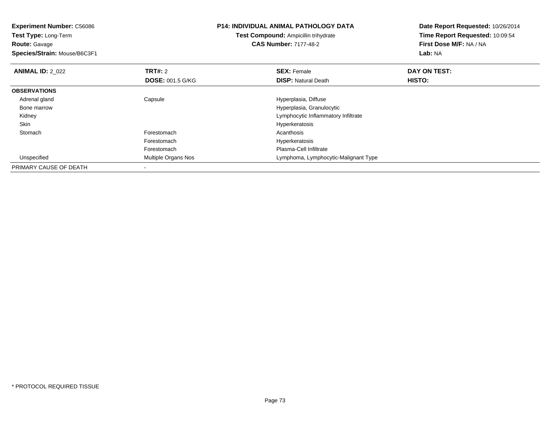| <b>Experiment Number: C56086</b><br>Test Type: Long-Term<br><b>Route: Gavage</b> |                         | <b>P14: INDIVIDUAL ANIMAL PATHOLOGY DATA</b><br><b>Test Compound: Ampicillin trihydrate</b> | Date Report Requested: 10/26/2014<br>Time Report Requested: 10:09:54 |  |
|----------------------------------------------------------------------------------|-------------------------|---------------------------------------------------------------------------------------------|----------------------------------------------------------------------|--|
|                                                                                  |                         | <b>CAS Number: 7177-48-2</b>                                                                | First Dose M/F: NA / NA                                              |  |
| Species/Strain: Mouse/B6C3F1                                                     |                         |                                                                                             | Lab: NA                                                              |  |
| <b>ANIMAL ID: 2 022</b>                                                          | <b>TRT#: 2</b>          | <b>SEX: Female</b>                                                                          | DAY ON TEST:                                                         |  |
|                                                                                  | <b>DOSE: 001.5 G/KG</b> | <b>DISP: Natural Death</b>                                                                  | HISTO:                                                               |  |
| <b>OBSERVATIONS</b>                                                              |                         |                                                                                             |                                                                      |  |
| Adrenal gland                                                                    | Capsule                 | Hyperplasia, Diffuse                                                                        |                                                                      |  |
| Bone marrow                                                                      |                         | Hyperplasia, Granulocytic                                                                   |                                                                      |  |
| Kidney                                                                           |                         | Lymphocytic Inflammatory Infiltrate                                                         |                                                                      |  |
| Skin                                                                             |                         | Hyperkeratosis                                                                              |                                                                      |  |
| Stomach                                                                          | Forestomach             | Acanthosis                                                                                  |                                                                      |  |
|                                                                                  | Forestomach             | Hyperkeratosis                                                                              |                                                                      |  |
|                                                                                  | Forestomach             | Plasma-Cell Infiltrate                                                                      |                                                                      |  |
| Unspecified                                                                      | Multiple Organs Nos     | Lymphoma, Lymphocytic-Malignant Type                                                        |                                                                      |  |
| PRIMARY CAUSE OF DEATH                                                           |                         |                                                                                             |                                                                      |  |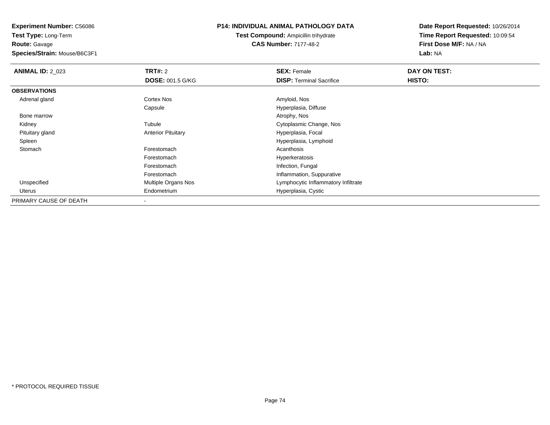**Route:** Gavage

**Species/Strain:** Mouse/B6C3F1

## **P14: INDIVIDUAL ANIMAL PATHOLOGY DATA**

**Test Compound:** Ampicillin trihydrate**CAS Number:** 7177-48-2

| <b>ANIMAL ID: 2_023</b> | TRT#: 2                    | <b>SEX: Female</b>                  | DAY ON TEST: |  |
|-------------------------|----------------------------|-------------------------------------|--------------|--|
|                         | <b>DOSE: 001.5 G/KG</b>    | <b>DISP:</b> Terminal Sacrifice     | HISTO:       |  |
| <b>OBSERVATIONS</b>     |                            |                                     |              |  |
| Adrenal gland           | <b>Cortex Nos</b>          | Amyloid, Nos                        |              |  |
|                         | Capsule                    | Hyperplasia, Diffuse                |              |  |
| Bone marrow             |                            | Atrophy, Nos                        |              |  |
| Kidney                  | Tubule                     | Cytoplasmic Change, Nos             |              |  |
| Pituitary gland         | <b>Anterior Pituitary</b>  | Hyperplasia, Focal                  |              |  |
| Spleen                  |                            | Hyperplasia, Lymphoid               |              |  |
| Stomach                 | Forestomach                | Acanthosis                          |              |  |
|                         | Forestomach                | Hyperkeratosis                      |              |  |
|                         | Forestomach                | Infection, Fungal                   |              |  |
|                         | Forestomach                | Inflammation, Suppurative           |              |  |
| Unspecified             | <b>Multiple Organs Nos</b> | Lymphocytic Inflammatory Infiltrate |              |  |
| Uterus                  | Endometrium                | Hyperplasia, Cystic                 |              |  |
| PRIMARY CAUSE OF DEATH  |                            |                                     |              |  |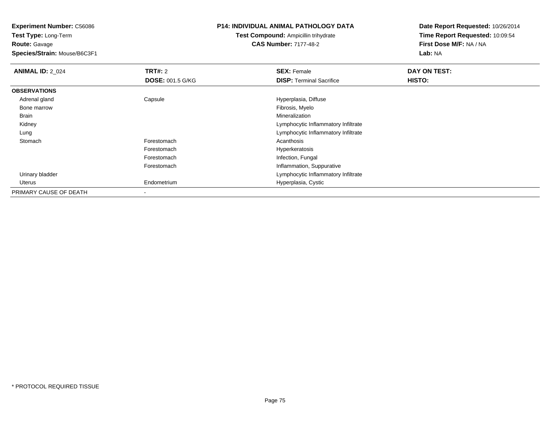**Test Type:** Long-Term**Route:** Gavage

**Species/Strain:** Mouse/B6C3F1

## **P14: INDIVIDUAL ANIMAL PATHOLOGY DATA**

**Test Compound:** Ampicillin trihydrate**CAS Number:** 7177-48-2

| <b>ANIMAL ID: 2 024</b> | TRT#: 2                 | <b>SEX: Female</b>                  | DAY ON TEST: |  |
|-------------------------|-------------------------|-------------------------------------|--------------|--|
|                         | <b>DOSE: 001.5 G/KG</b> | <b>DISP:</b> Terminal Sacrifice     | HISTO:       |  |
| <b>OBSERVATIONS</b>     |                         |                                     |              |  |
| Adrenal gland           | Capsule                 | Hyperplasia, Diffuse                |              |  |
| Bone marrow             |                         | Fibrosis, Myelo                     |              |  |
| Brain                   |                         | Mineralization                      |              |  |
| Kidney                  |                         | Lymphocytic Inflammatory Infiltrate |              |  |
| Lung                    |                         | Lymphocytic Inflammatory Infiltrate |              |  |
| Stomach                 | Forestomach             | Acanthosis                          |              |  |
|                         | Forestomach             | Hyperkeratosis                      |              |  |
|                         | Forestomach             | Infection, Fungal                   |              |  |
|                         | Forestomach             | Inflammation, Suppurative           |              |  |
| Urinary bladder         |                         | Lymphocytic Inflammatory Infiltrate |              |  |
| Uterus                  | Endometrium             | Hyperplasia, Cystic                 |              |  |
| PRIMARY CAUSE OF DEATH  |                         |                                     |              |  |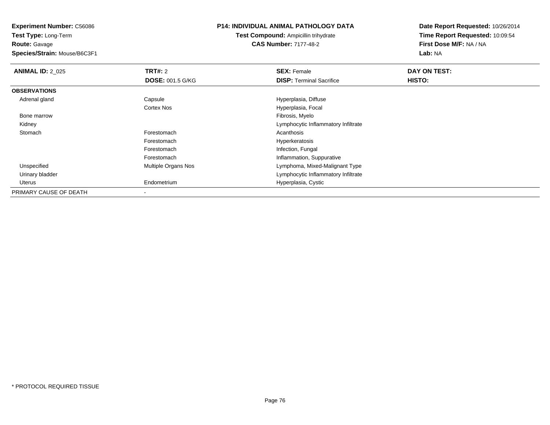**Test Type:** Long-Term**Route:** Gavage

**Species/Strain:** Mouse/B6C3F1

## **P14: INDIVIDUAL ANIMAL PATHOLOGY DATA**

**Test Compound:** Ampicillin trihydrate**CAS Number:** 7177-48-2

| <b>ANIMAL ID: 2_025</b> | TRT#: 2                 | <b>SEX: Female</b>                  | DAY ON TEST: |  |
|-------------------------|-------------------------|-------------------------------------|--------------|--|
|                         | <b>DOSE: 001.5 G/KG</b> | <b>DISP:</b> Terminal Sacrifice     | HISTO:       |  |
| <b>OBSERVATIONS</b>     |                         |                                     |              |  |
| Adrenal gland           | Capsule                 | Hyperplasia, Diffuse                |              |  |
|                         | Cortex Nos              | Hyperplasia, Focal                  |              |  |
| Bone marrow             |                         | Fibrosis, Myelo                     |              |  |
| Kidney                  |                         | Lymphocytic Inflammatory Infiltrate |              |  |
| Stomach                 | Forestomach             | Acanthosis                          |              |  |
|                         | Forestomach             | Hyperkeratosis                      |              |  |
|                         | Forestomach             | Infection, Fungal                   |              |  |
|                         | Forestomach             | Inflammation, Suppurative           |              |  |
| Unspecified             | Multiple Organs Nos     | Lymphoma, Mixed-Malignant Type      |              |  |
| Urinary bladder         |                         | Lymphocytic Inflammatory Infiltrate |              |  |
| Uterus                  | Endometrium             | Hyperplasia, Cystic                 |              |  |
| PRIMARY CAUSE OF DEATH  |                         |                                     |              |  |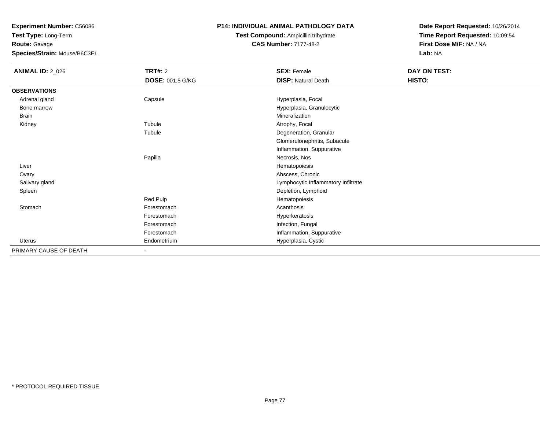**Test Type:** Long-Term**Route:** Gavage

**Species/Strain:** Mouse/B6C3F1

# **P14: INDIVIDUAL ANIMAL PATHOLOGY DATA**

# **Test Compound:** Ampicillin trihydrate**CAS Number:** 7177-48-2

| <b>ANIMAL ID: 2_026</b> | <b>TRT#: 2</b>          | <b>SEX: Female</b>                  | DAY ON TEST: |  |
|-------------------------|-------------------------|-------------------------------------|--------------|--|
|                         | <b>DOSE: 001.5 G/KG</b> | <b>DISP: Natural Death</b>          | HISTO:       |  |
| <b>OBSERVATIONS</b>     |                         |                                     |              |  |
| Adrenal gland           | Capsule                 | Hyperplasia, Focal                  |              |  |
| Bone marrow             |                         | Hyperplasia, Granulocytic           |              |  |
| Brain                   |                         | Mineralization                      |              |  |
| Kidney                  | Tubule                  | Atrophy, Focal                      |              |  |
|                         | Tubule                  | Degeneration, Granular              |              |  |
|                         |                         | Glomerulonephritis, Subacute        |              |  |
|                         |                         | Inflammation, Suppurative           |              |  |
|                         | Papilla                 | Necrosis, Nos                       |              |  |
| Liver                   |                         | Hematopoiesis                       |              |  |
| Ovary                   |                         | Abscess, Chronic                    |              |  |
| Salivary gland          |                         | Lymphocytic Inflammatory Infiltrate |              |  |
| Spleen                  |                         | Depletion, Lymphoid                 |              |  |
|                         | Red Pulp                | Hematopoiesis                       |              |  |
| Stomach                 | Forestomach             | Acanthosis                          |              |  |
|                         | Forestomach             | Hyperkeratosis                      |              |  |
|                         | Forestomach             | Infection, Fungal                   |              |  |
|                         | Forestomach             | Inflammation, Suppurative           |              |  |
| Uterus                  | Endometrium             | Hyperplasia, Cystic                 |              |  |
| PRIMARY CAUSE OF DEATH  | $\blacksquare$          |                                     |              |  |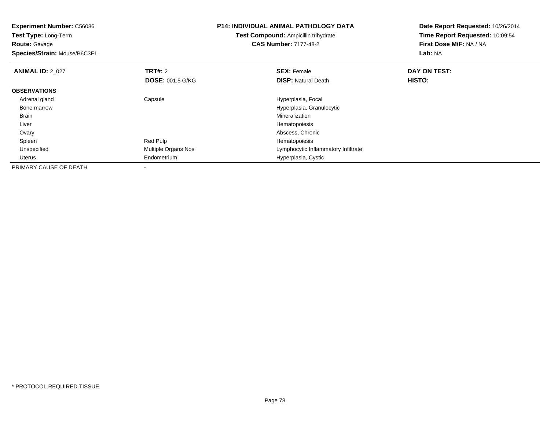| <b>Experiment Number: C56086</b><br>Test Type: Long-Term<br><b>Route: Gavage</b> |                         | <b>P14: INDIVIDUAL ANIMAL PATHOLOGY DATA</b><br><b>Test Compound: Ampicillin trihydrate</b><br><b>CAS Number: 7177-48-2</b> | Date Report Requested: 10/26/2014<br>Time Report Requested: 10:09:54<br>First Dose M/F: NA / NA |  |
|----------------------------------------------------------------------------------|-------------------------|-----------------------------------------------------------------------------------------------------------------------------|-------------------------------------------------------------------------------------------------|--|
| Species/Strain: Mouse/B6C3F1                                                     |                         |                                                                                                                             | Lab: NA                                                                                         |  |
| <b>ANIMAL ID: 2 027</b>                                                          | <b>TRT#:</b> 2          | <b>SEX: Female</b>                                                                                                          | DAY ON TEST:                                                                                    |  |
|                                                                                  | <b>DOSE: 001.5 G/KG</b> | <b>DISP:</b> Natural Death                                                                                                  | HISTO:                                                                                          |  |
| <b>OBSERVATIONS</b>                                                              |                         |                                                                                                                             |                                                                                                 |  |
| Adrenal gland                                                                    | Capsule                 | Hyperplasia, Focal                                                                                                          |                                                                                                 |  |
| Bone marrow                                                                      |                         | Hyperplasia, Granulocytic                                                                                                   |                                                                                                 |  |
| Brain                                                                            |                         | Mineralization                                                                                                              |                                                                                                 |  |
| Liver                                                                            |                         | Hematopoiesis                                                                                                               |                                                                                                 |  |
| Ovary                                                                            |                         | Abscess, Chronic                                                                                                            |                                                                                                 |  |
| Spleen                                                                           | Red Pulp                | Hematopoiesis                                                                                                               |                                                                                                 |  |
| Unspecified                                                                      | Multiple Organs Nos     | Lymphocytic Inflammatory Infiltrate                                                                                         |                                                                                                 |  |
| Uterus                                                                           | Endometrium             | Hyperplasia, Cystic                                                                                                         |                                                                                                 |  |
| PRIMARY CAUSE OF DEATH                                                           |                         |                                                                                                                             |                                                                                                 |  |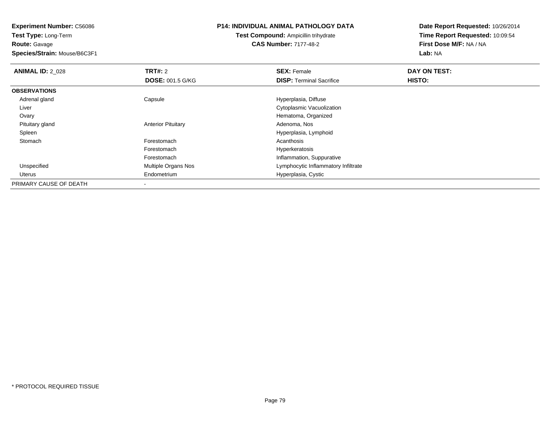**Route:** Gavage

**Species/Strain:** Mouse/B6C3F1

### **P14: INDIVIDUAL ANIMAL PATHOLOGY DATA**

**Test Compound:** Ampicillin trihydrate**CAS Number:** 7177-48-2

| <b>ANIMAL ID: 2_028</b> | TRT#: 2                    | <b>SEX: Female</b>                  | DAY ON TEST: |  |
|-------------------------|----------------------------|-------------------------------------|--------------|--|
|                         | <b>DOSE: 001.5 G/KG</b>    | <b>DISP: Terminal Sacrifice</b>     | HISTO:       |  |
| <b>OBSERVATIONS</b>     |                            |                                     |              |  |
| Adrenal gland           | Capsule                    | Hyperplasia, Diffuse                |              |  |
| Liver                   |                            | Cytoplasmic Vacuolization           |              |  |
| Ovary                   |                            | Hematoma, Organized                 |              |  |
| Pituitary gland         | <b>Anterior Pituitary</b>  | Adenoma, Nos                        |              |  |
| Spleen                  |                            | Hyperplasia, Lymphoid               |              |  |
| Stomach                 | Forestomach                | Acanthosis                          |              |  |
|                         | Forestomach                | Hyperkeratosis                      |              |  |
|                         | Forestomach                | Inflammation, Suppurative           |              |  |
| Unspecified             | <b>Multiple Organs Nos</b> | Lymphocytic Inflammatory Infiltrate |              |  |
| Uterus                  | Endometrium                | Hyperplasia, Cystic                 |              |  |
| PRIMARY CAUSE OF DEATH  | $\overline{\phantom{a}}$   |                                     |              |  |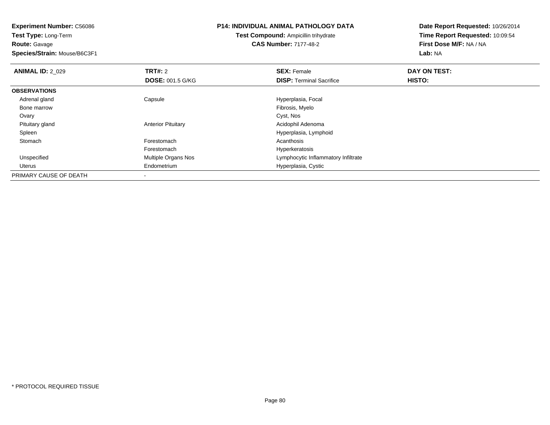**Experiment Number:** C56086**Test Type:** Long-Term**Route:** Gavage **Species/Strain:** Mouse/B6C3F1**P14: INDIVIDUAL ANIMAL PATHOLOGY DATATest Compound:** Ampicillin trihydrate**CAS Number:** 7177-48-2**Date Report Requested:** 10/26/2014**Time Report Requested:** 10:09:54**First Dose M/F:** NA / NA**Lab:** NA**ANIMAL ID: 2 029 TRT#:** 2 **SEX:** Female **DAY ON TEST: DOSE:** 001.5 G/KG**DISP:** Terminal Sacrifice **HISTO: OBSERVATIONS** Adrenal glandCapsule **Capsule Capsule Capsule**<br>
Fibrosis, Myelo Bone marroww which is a state of the state of the state of the state of the state of the Fibrosis, Myelo state of the state of the state of the state of the state of the state of the state of the state of the state of the state of th Ovaryy and the control of the control of the control of the control of the control of the control of the control of the control of the control of the control of the control of the control of the control of the control of the co Pituitary glandAnterior Pituitary **Acidophil Adenoma** 

Hyperplasia, Lymphoid

Lymphocytic Inflammatory Infiltrate

Hyperplasia, Cystic

Hyperkeratosis

h anns an t-India anns an t-India anns an t-India anns an t-India anns an t-India anns an t-India anns an t-In Forestomach

Endometrium

-

Spleen

Uterus

Stomach

Unspecified

PRIMARY CAUSE OF DEATH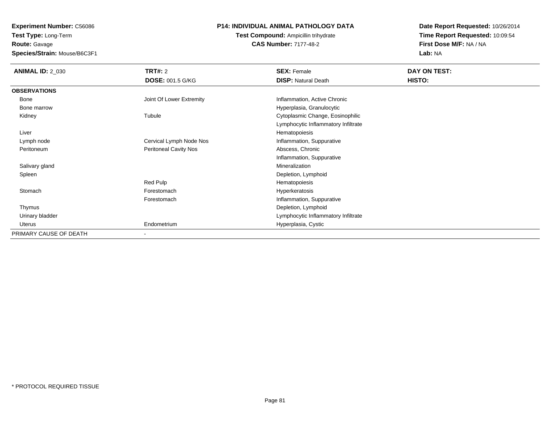**Route:** Gavage

**Species/Strain:** Mouse/B6C3F1

# **P14: INDIVIDUAL ANIMAL PATHOLOGY DATA**

**Test Compound:** Ampicillin trihydrate**CAS Number:** 7177-48-2

| <b>ANIMAL ID: 2_030</b> | <b>TRT#: 2</b><br><b>DOSE: 001.5 G/KG</b> | <b>SEX: Female</b><br><b>DISP: Natural Death</b> | DAY ON TEST:<br>HISTO: |
|-------------------------|-------------------------------------------|--------------------------------------------------|------------------------|
| <b>OBSERVATIONS</b>     |                                           |                                                  |                        |
| Bone                    | Joint Of Lower Extremity                  | Inflammation, Active Chronic                     |                        |
| Bone marrow             |                                           | Hyperplasia, Granulocytic                        |                        |
| Kidney                  | Tubule                                    | Cytoplasmic Change, Eosinophilic                 |                        |
|                         |                                           | Lymphocytic Inflammatory Infiltrate              |                        |
| Liver                   |                                           | Hematopoiesis                                    |                        |
| Lymph node              | Cervical Lymph Node Nos                   | Inflammation, Suppurative                        |                        |
| Peritoneum              | Peritoneal Cavity Nos                     | Abscess, Chronic                                 |                        |
|                         |                                           | Inflammation, Suppurative                        |                        |
| Salivary gland          |                                           | Mineralization                                   |                        |
| Spleen                  |                                           | Depletion, Lymphoid                              |                        |
|                         | Red Pulp                                  | Hematopoiesis                                    |                        |
| Stomach                 | Forestomach                               | Hyperkeratosis                                   |                        |
|                         | Forestomach                               | Inflammation, Suppurative                        |                        |
| Thymus                  |                                           | Depletion, Lymphoid                              |                        |
| Urinary bladder         |                                           | Lymphocytic Inflammatory Infiltrate              |                        |
| Uterus                  | Endometrium                               | Hyperplasia, Cystic                              |                        |
| PRIMARY CAUSE OF DEATH  | ۰                                         |                                                  |                        |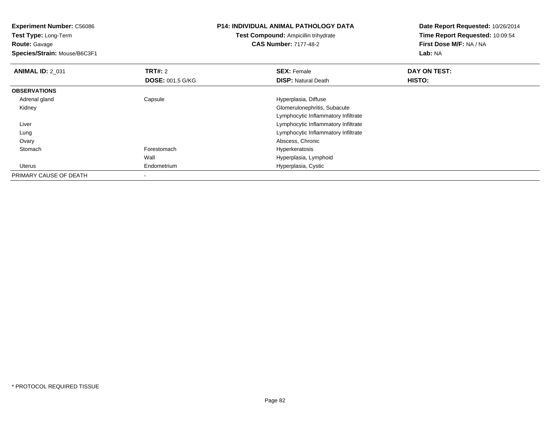**Test Type:** Long-Term**Route:** Gavage

**Species/Strain:** Mouse/B6C3F1

# **P14: INDIVIDUAL ANIMAL PATHOLOGY DATA**

**Test Compound:** Ampicillin trihydrate**CAS Number:** 7177-48-2

| <b>ANIMAL ID: 2 031</b> | <b>TRT#: 2</b>          | <b>SEX: Female</b>                  | DAY ON TEST: |  |
|-------------------------|-------------------------|-------------------------------------|--------------|--|
|                         | <b>DOSE: 001.5 G/KG</b> | <b>DISP:</b> Natural Death          | HISTO:       |  |
| <b>OBSERVATIONS</b>     |                         |                                     |              |  |
| Adrenal gland           | Capsule                 | Hyperplasia, Diffuse                |              |  |
| Kidney                  |                         | Glomerulonephritis, Subacute        |              |  |
|                         |                         | Lymphocytic Inflammatory Infiltrate |              |  |
| Liver                   |                         | Lymphocytic Inflammatory Infiltrate |              |  |
| Lung                    |                         | Lymphocytic Inflammatory Infiltrate |              |  |
| Ovary                   |                         | Abscess, Chronic                    |              |  |
| Stomach                 | Forestomach             | Hyperkeratosis                      |              |  |
|                         | Wall                    | Hyperplasia, Lymphoid               |              |  |
| Uterus                  | Endometrium             | Hyperplasia, Cystic                 |              |  |
| PRIMARY CAUSE OF DEATH  |                         |                                     |              |  |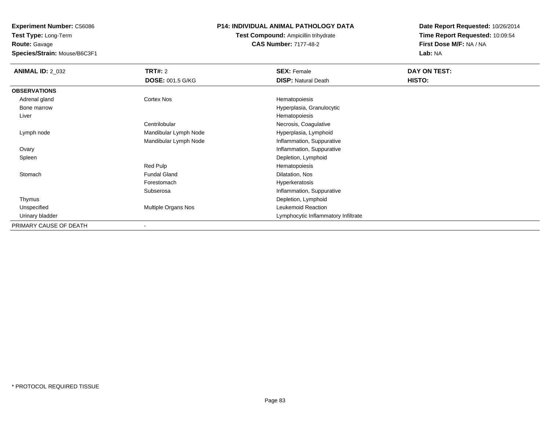**Route:** Gavage

**Species/Strain:** Mouse/B6C3F1

# **P14: INDIVIDUAL ANIMAL PATHOLOGY DATA**

# **Test Compound:** Ampicillin trihydrate**CAS Number:** 7177-48-2

| <b>ANIMAL ID: 2 032</b> | <b>TRT#: 2</b>             | <b>SEX: Female</b>                  | DAY ON TEST: |
|-------------------------|----------------------------|-------------------------------------|--------------|
|                         | <b>DOSE: 001.5 G/KG</b>    | <b>DISP: Natural Death</b>          | HISTO:       |
| <b>OBSERVATIONS</b>     |                            |                                     |              |
| Adrenal gland           | <b>Cortex Nos</b>          | Hematopoiesis                       |              |
| Bone marrow             |                            | Hyperplasia, Granulocytic           |              |
| Liver                   |                            | Hematopoiesis                       |              |
|                         | Centrilobular              | Necrosis, Coagulative               |              |
| Lymph node              | Mandibular Lymph Node      | Hyperplasia, Lymphoid               |              |
|                         | Mandibular Lymph Node      | Inflammation, Suppurative           |              |
| Ovary                   |                            | Inflammation, Suppurative           |              |
| Spleen                  |                            | Depletion, Lymphoid                 |              |
|                         | Red Pulp                   | Hematopoiesis                       |              |
| Stomach                 | <b>Fundal Gland</b>        | Dilatation, Nos                     |              |
|                         | Forestomach                | Hyperkeratosis                      |              |
|                         | Subserosa                  | Inflammation, Suppurative           |              |
| Thymus                  |                            | Depletion, Lymphoid                 |              |
| Unspecified             | <b>Multiple Organs Nos</b> | Leukemoid Reaction                  |              |
| Urinary bladder         |                            | Lymphocytic Inflammatory Infiltrate |              |
| PRIMARY CAUSE OF DEATH  |                            |                                     |              |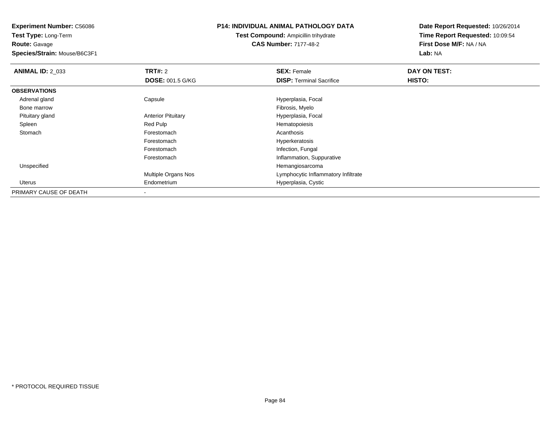**Experiment Number:** C56086**Test Type:** Long-Term**Route:** Gavage **Species/Strain:** Mouse/B6C3F1**P14: INDIVIDUAL ANIMAL PATHOLOGY DATATest Compound:** Ampicillin trihydrate**CAS Number:** 7177-48-2

| <b>ANIMAL ID: 2_033</b> | <b>TRT#: 2</b>            | <b>SEX: Female</b>                  | DAY ON TEST: |  |
|-------------------------|---------------------------|-------------------------------------|--------------|--|
|                         | <b>DOSE: 001.5 G/KG</b>   | <b>DISP:</b> Terminal Sacrifice     | HISTO:       |  |
| <b>OBSERVATIONS</b>     |                           |                                     |              |  |
| Adrenal gland           | Capsule                   | Hyperplasia, Focal                  |              |  |
| Bone marrow             |                           | Fibrosis, Myelo                     |              |  |
| Pituitary gland         | <b>Anterior Pituitary</b> | Hyperplasia, Focal                  |              |  |
| Spleen                  | Red Pulp                  | Hematopoiesis                       |              |  |
| Stomach                 | Forestomach               | Acanthosis                          |              |  |
|                         | Forestomach               | Hyperkeratosis                      |              |  |
|                         | Forestomach               | Infection, Fungal                   |              |  |
|                         | Forestomach               | Inflammation, Suppurative           |              |  |
| Unspecified             |                           | Hemangiosarcoma                     |              |  |
|                         | Multiple Organs Nos       | Lymphocytic Inflammatory Infiltrate |              |  |
| Uterus                  | Endometrium               | Hyperplasia, Cystic                 |              |  |
| PRIMARY CAUSE OF DEATH  |                           |                                     |              |  |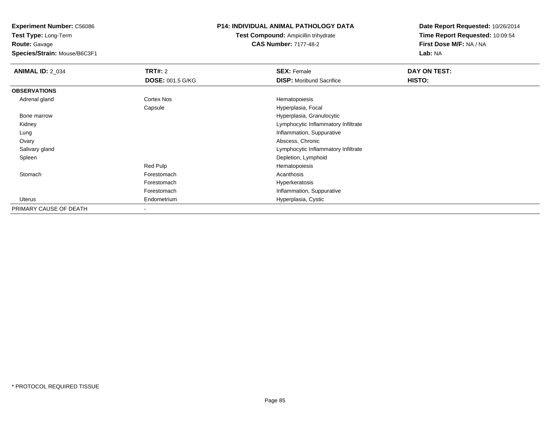**Test Type:** Long-Term**Route:** Gavage

**Species/Strain:** Mouse/B6C3F1

# **P14: INDIVIDUAL ANIMAL PATHOLOGY DATA**

# **Test Compound:** Ampicillin trihydrate**CAS Number:** 7177-48-2

| <b>ANIMAL ID: 2_034</b> | <b>TRT#: 2</b>           | <b>SEX: Female</b>                  | DAY ON TEST: |
|-------------------------|--------------------------|-------------------------------------|--------------|
|                         | <b>DOSE: 001.5 G/KG</b>  | <b>DISP:</b> Moribund Sacrifice     | HISTO:       |
| <b>OBSERVATIONS</b>     |                          |                                     |              |
| Adrenal gland           | Cortex Nos               | Hematopoiesis                       |              |
|                         | Capsule                  | Hyperplasia, Focal                  |              |
| Bone marrow             |                          | Hyperplasia, Granulocytic           |              |
| Kidney                  |                          | Lymphocytic Inflammatory Infiltrate |              |
| Lung                    |                          | Inflammation, Suppurative           |              |
| Ovary                   |                          | Abscess, Chronic                    |              |
| Salivary gland          |                          | Lymphocytic Inflammatory Infiltrate |              |
| Spleen                  |                          | Depletion, Lymphoid                 |              |
|                         | Red Pulp                 | Hematopoiesis                       |              |
| Stomach                 | Forestomach              | Acanthosis                          |              |
|                         | Forestomach              | Hyperkeratosis                      |              |
|                         | Forestomach              | Inflammation, Suppurative           |              |
| Uterus                  | Endometrium              | Hyperplasia, Cystic                 |              |
| PRIMARY CAUSE OF DEATH  | $\overline{\phantom{a}}$ |                                     |              |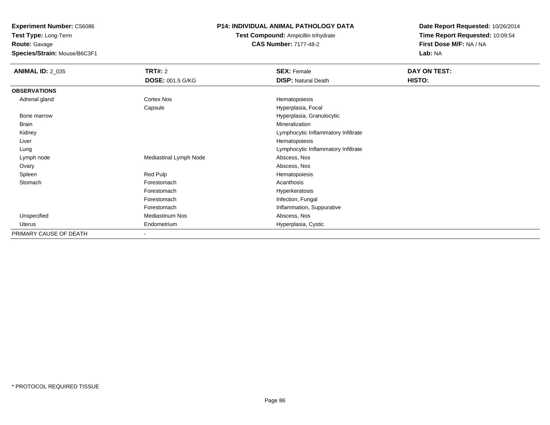**Test Type:** Long-Term**Route:** Gavage

**Species/Strain:** Mouse/B6C3F1

# **P14: INDIVIDUAL ANIMAL PATHOLOGY DATA**

# **Test Compound:** Ampicillin trihydrate**CAS Number:** 7177-48-2

| <b>ANIMAL ID: 2_035</b> | <b>TRT#: 2</b>           | <b>SEX: Female</b>                  | DAY ON TEST: |
|-------------------------|--------------------------|-------------------------------------|--------------|
|                         | <b>DOSE: 001.5 G/KG</b>  | <b>DISP: Natural Death</b>          | HISTO:       |
| <b>OBSERVATIONS</b>     |                          |                                     |              |
| Adrenal gland           | Cortex Nos               | Hematopoiesis                       |              |
|                         | Capsule                  | Hyperplasia, Focal                  |              |
| Bone marrow             |                          | Hyperplasia, Granulocytic           |              |
| <b>Brain</b>            |                          | Mineralization                      |              |
| Kidney                  |                          | Lymphocytic Inflammatory Infiltrate |              |
| Liver                   |                          | Hematopoiesis                       |              |
| Lung                    |                          | Lymphocytic Inflammatory Infiltrate |              |
| Lymph node              | Mediastinal Lymph Node   | Abscess, Nos                        |              |
| Ovary                   |                          | Abscess, Nos                        |              |
| Spleen                  | Red Pulp                 | Hematopoiesis                       |              |
| Stomach                 | Forestomach              | Acanthosis                          |              |
|                         | Forestomach              | Hyperkeratosis                      |              |
|                         | Forestomach              | Infection, Fungal                   |              |
|                         | Forestomach              | Inflammation, Suppurative           |              |
| Unspecified             | <b>Mediastinum Nos</b>   | Abscess, Nos                        |              |
| Uterus                  | Endometrium              | Hyperplasia, Cystic                 |              |
| PRIMARY CAUSE OF DEATH  | $\overline{\phantom{a}}$ |                                     |              |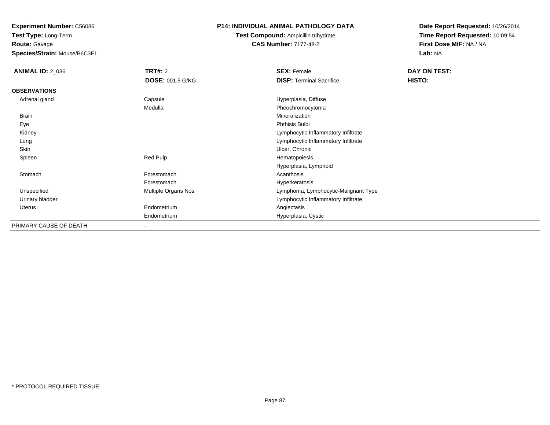**Test Type:** Long-Term**Route:** Gavage

**Species/Strain:** Mouse/B6C3F1

# **P14: INDIVIDUAL ANIMAL PATHOLOGY DATA**

**Test Compound:** Ampicillin trihydrate**CAS Number:** 7177-48-2

| <b>ANIMAL ID: 2_036</b> | <b>TRT#: 2</b>           | <b>SEX: Female</b>                   | DAY ON TEST: |  |
|-------------------------|--------------------------|--------------------------------------|--------------|--|
|                         | <b>DOSE: 001.5 G/KG</b>  | <b>DISP:</b> Terminal Sacrifice      | HISTO:       |  |
| <b>OBSERVATIONS</b>     |                          |                                      |              |  |
| Adrenal gland           | Capsule                  | Hyperplasia, Diffuse                 |              |  |
|                         | Medulla                  | Pheochromocytoma                     |              |  |
| Brain                   |                          | Mineralization                       |              |  |
| Eye                     |                          | Phthisis Bulbi                       |              |  |
| Kidney                  |                          | Lymphocytic Inflammatory Infiltrate  |              |  |
| Lung                    |                          | Lymphocytic Inflammatory Infiltrate  |              |  |
| Skin                    |                          | Ulcer, Chronic                       |              |  |
| Spleen                  | Red Pulp                 | Hematopoiesis                        |              |  |
|                         |                          | Hyperplasia, Lymphoid                |              |  |
| Stomach                 | Forestomach              | Acanthosis                           |              |  |
|                         | Forestomach              | Hyperkeratosis                       |              |  |
| Unspecified             | Multiple Organs Nos      | Lymphoma, Lymphocytic-Malignant Type |              |  |
| Urinary bladder         |                          | Lymphocytic Inflammatory Infiltrate  |              |  |
| Uterus                  | Endometrium              | Angiectasis                          |              |  |
|                         | Endometrium              | Hyperplasia, Cystic                  |              |  |
| PRIMARY CAUSE OF DEATH  | $\overline{\phantom{a}}$ |                                      |              |  |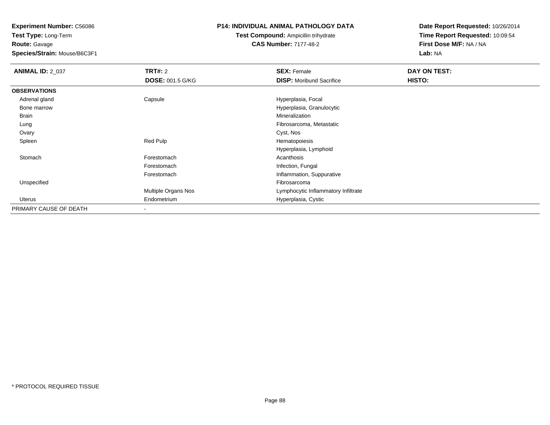**Test Type:** Long-Term**Route:** Gavage

**Species/Strain:** Mouse/B6C3F1

# **P14: INDIVIDUAL ANIMAL PATHOLOGY DATA**

# **Test Compound:** Ampicillin trihydrate**CAS Number:** 7177-48-2

| <b>ANIMAL ID: 2_037</b> | <b>TRT#: 2</b>          | <b>SEX: Female</b>                  | DAY ON TEST: |  |
|-------------------------|-------------------------|-------------------------------------|--------------|--|
|                         | <b>DOSE: 001.5 G/KG</b> | <b>DISP:</b> Moribund Sacrifice     | HISTO:       |  |
| <b>OBSERVATIONS</b>     |                         |                                     |              |  |
| Adrenal gland           | Capsule                 | Hyperplasia, Focal                  |              |  |
| Bone marrow             |                         | Hyperplasia, Granulocytic           |              |  |
| Brain                   |                         | Mineralization                      |              |  |
| Lung                    |                         | Fibrosarcoma, Metastatic            |              |  |
| Ovary                   |                         | Cyst, Nos                           |              |  |
| Spleen                  | Red Pulp                | Hematopoiesis                       |              |  |
|                         |                         | Hyperplasia, Lymphoid               |              |  |
| Stomach                 | Forestomach             | Acanthosis                          |              |  |
|                         | Forestomach             | Infection, Fungal                   |              |  |
|                         | Forestomach             | Inflammation, Suppurative           |              |  |
| Unspecified             |                         | Fibrosarcoma                        |              |  |
|                         | Multiple Organs Nos     | Lymphocytic Inflammatory Infiltrate |              |  |
| Uterus                  | Endometrium             | Hyperplasia, Cystic                 |              |  |
| PRIMARY CAUSE OF DEATH  |                         |                                     |              |  |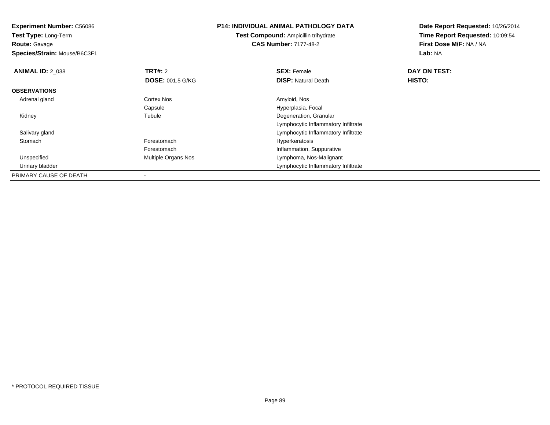**Experiment Number:** C56086**Test Type:** Long-Term**Route:** Gavage **Species/Strain:** Mouse/B6C3F1**P14: INDIVIDUAL ANIMAL PATHOLOGY DATATest Compound:** Ampicillin trihydrate**CAS Number:** 7177-48-2**Date Report Requested:** 10/26/2014**Time Report Requested:** 10:09:54**First Dose M/F:** NA / NA**Lab:** NA**ANIMAL ID: 2 038 REX:** Female **DAY ON TEST: CONSIST: SEX:** Female **DAY ON TEST: DOSE:** 001.5 G/KG**DISP:** Natural Death **HISTO: OBSERVATIONS** Adrenal glandd and the Cortex Nos and the Cortex Nos and the Amyloid, Nos and the Amyloid, Nos CapsuleCapsule **Capsulate Capsulate Capsulate Capsulate Capsulate Capsulate Capsulate Capsulate Capsulate Capsulate C**<br>
Tubule Capsulate Capsulate Capsulate Capsulate Capsulate Capsulate Capsulate Capsulate Capsulate Capsulate Ca Kidneyy the contract of the contract of the contract of the contract of the contract of the contract of the contract of the contract of the contract of the contract of the contract of the contract of the contract of the contract Degeneration, Granular Lymphocytic Inflammatory Infiltrated contract the contract of the contract of the contract of the contract of the contract of the contract of the contract of the contract of the contract of the contract of the contract of the contract of the contract of the Salivary gland StomachForestomach **Hyperkeratosis** ForestomachForestomach **Inflammation, Suppurative**<br>
Multiple Organs Nos<br> **Inflammation, Suppurative**<br>
Lymphoma, Nos-Malignant UnspecifiedLymphoma, Nos-Malignant Urinary bladder Lymphocytic Inflammatory InfiltratePRIMARY CAUSE OF DEATH-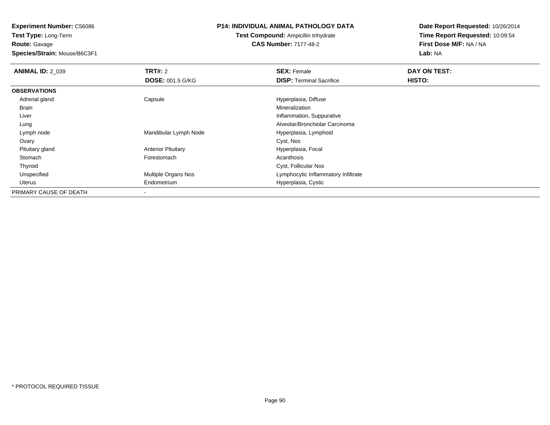**Test Type:** Long-Term**Route:** Gavage

**Species/Strain:** Mouse/B6C3F1

### **P14: INDIVIDUAL ANIMAL PATHOLOGY DATA**

**Test Compound:** Ampicillin trihydrate**CAS Number:** 7177-48-2

| <b>ANIMAL ID: 2 039</b> | TRT#: 2                   | <b>SEX: Female</b>                  | DAY ON TEST: |  |
|-------------------------|---------------------------|-------------------------------------|--------------|--|
|                         | <b>DOSE: 001.5 G/KG</b>   | <b>DISP: Terminal Sacrifice</b>     | HISTO:       |  |
| <b>OBSERVATIONS</b>     |                           |                                     |              |  |
| Adrenal gland           | Capsule                   | Hyperplasia, Diffuse                |              |  |
| Brain                   |                           | Mineralization                      |              |  |
| Liver                   |                           | Inflammation, Suppurative           |              |  |
| Lung                    |                           | Alveolar/Bronchiolar Carcinoma      |              |  |
| Lymph node              | Mandibular Lymph Node     | Hyperplasia, Lymphoid               |              |  |
| Ovary                   |                           | Cyst, Nos                           |              |  |
| Pituitary gland         | <b>Anterior Pituitary</b> | Hyperplasia, Focal                  |              |  |
| Stomach                 | Forestomach               | Acanthosis                          |              |  |
| Thyroid                 |                           | Cyst, Follicular Nos                |              |  |
| Unspecified             | Multiple Organs Nos       | Lymphocytic Inflammatory Infiltrate |              |  |
| Uterus                  | Endometrium               | Hyperplasia, Cystic                 |              |  |
| PRIMARY CAUSE OF DEATH  | $\,$                      |                                     |              |  |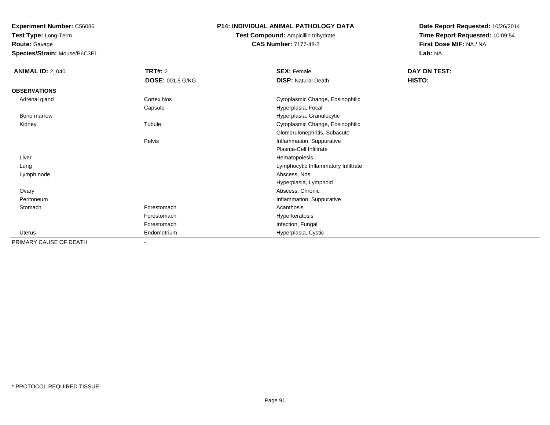**Test Type:** Long-Term**Route:** Gavage

**Species/Strain:** Mouse/B6C3F1

# **P14: INDIVIDUAL ANIMAL PATHOLOGY DATA**

**Test Compound:** Ampicillin trihydrate**CAS Number:** 7177-48-2

| <b>ANIMAL ID: 2_040</b> | <b>TRT#: 2</b>          | <b>SEX: Female</b>                  | DAY ON TEST: |
|-------------------------|-------------------------|-------------------------------------|--------------|
|                         | <b>DOSE: 001.5 G/KG</b> | <b>DISP: Natural Death</b>          | HISTO:       |
| <b>OBSERVATIONS</b>     |                         |                                     |              |
| Adrenal gland           | Cortex Nos              | Cytoplasmic Change, Eosinophilic    |              |
|                         | Capsule                 | Hyperplasia, Focal                  |              |
| Bone marrow             |                         | Hyperplasia, Granulocytic           |              |
| Kidney                  | Tubule                  | Cytoplasmic Change, Eosinophilic    |              |
|                         |                         | Glomerulonephritis, Subacute        |              |
|                         | Pelvis                  | Inflammation, Suppurative           |              |
|                         |                         | Plasma-Cell Infiltrate              |              |
| Liver                   |                         | Hematopoiesis                       |              |
| Lung                    |                         | Lymphocytic Inflammatory Infiltrate |              |
| Lymph node              |                         | Abscess, Nos                        |              |
|                         |                         | Hyperplasia, Lymphoid               |              |
| Ovary                   |                         | Abscess, Chronic                    |              |
| Peritoneum              |                         | Inflammation, Suppurative           |              |
| Stomach                 | Forestomach             | Acanthosis                          |              |
|                         | Forestomach             | Hyperkeratosis                      |              |
|                         | Forestomach             | Infection, Fungal                   |              |
| <b>Uterus</b>           | Endometrium             | Hyperplasia, Cystic                 |              |
| PRIMARY CAUSE OF DEATH  |                         |                                     |              |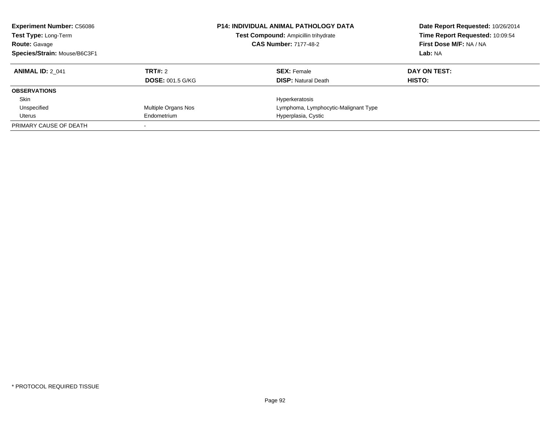| <b>Experiment Number: C56086</b><br>Test Type: Long-Term<br><b>Route: Gavage</b><br>Species/Strain: Mouse/B6C3F1 |                         | <b>P14: INDIVIDUAL ANIMAL PATHOLOGY DATA</b><br>Date Report Requested: 10/26/2014<br>Time Report Requested: 10:09:54<br>Test Compound: Ampicillin trihydrate<br>First Dose M/F: NA / NA<br><b>CAS Number: 7177-48-2</b><br>Lab: NA |              |
|------------------------------------------------------------------------------------------------------------------|-------------------------|------------------------------------------------------------------------------------------------------------------------------------------------------------------------------------------------------------------------------------|--------------|
| <b>ANIMAL ID: 2 041</b>                                                                                          | TRT#: 2                 | <b>SEX: Female</b>                                                                                                                                                                                                                 | DAY ON TEST: |
|                                                                                                                  | <b>DOSE: 001.5 G/KG</b> | <b>DISP:</b> Natural Death                                                                                                                                                                                                         | HISTO:       |
| <b>OBSERVATIONS</b>                                                                                              |                         |                                                                                                                                                                                                                                    |              |
| Skin                                                                                                             |                         | Hyperkeratosis                                                                                                                                                                                                                     |              |
| Unspecified                                                                                                      | Multiple Organs Nos     | Lymphoma, Lymphocytic-Malignant Type                                                                                                                                                                                               |              |
| Uterus                                                                                                           | Endometrium             | Hyperplasia, Cystic                                                                                                                                                                                                                |              |
| PRIMARY CAUSE OF DEATH                                                                                           |                         |                                                                                                                                                                                                                                    |              |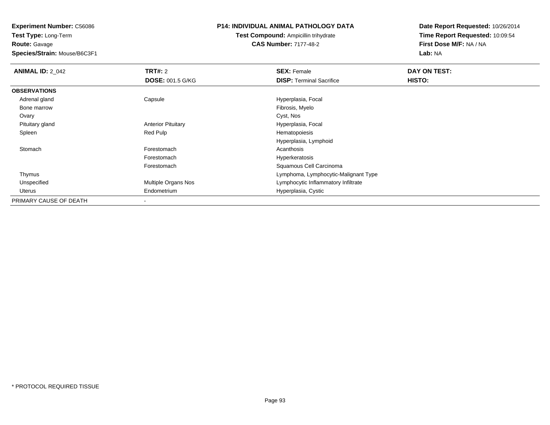**Route:** Gavage

**Species/Strain:** Mouse/B6C3F1

## **P14: INDIVIDUAL ANIMAL PATHOLOGY DATA**

**Test Compound:** Ampicillin trihydrate**CAS Number:** 7177-48-2

| <b>ANIMAL ID: 2_042</b> | TRT#: 2                   | <b>SEX: Female</b>                   | DAY ON TEST: |  |
|-------------------------|---------------------------|--------------------------------------|--------------|--|
|                         | <b>DOSE: 001.5 G/KG</b>   | <b>DISP: Terminal Sacrifice</b>      | HISTO:       |  |
| <b>OBSERVATIONS</b>     |                           |                                      |              |  |
| Adrenal gland           | Capsule                   | Hyperplasia, Focal                   |              |  |
| Bone marrow             |                           | Fibrosis, Myelo                      |              |  |
| Ovary                   |                           | Cyst, Nos                            |              |  |
| Pituitary gland         | <b>Anterior Pituitary</b> | Hyperplasia, Focal                   |              |  |
| Spleen                  | Red Pulp                  | Hematopoiesis                        |              |  |
|                         |                           | Hyperplasia, Lymphoid                |              |  |
| Stomach                 | Forestomach               | Acanthosis                           |              |  |
|                         | Forestomach               | Hyperkeratosis                       |              |  |
|                         | Forestomach               | Squamous Cell Carcinoma              |              |  |
| Thymus                  |                           | Lymphoma, Lymphocytic-Malignant Type |              |  |
| Unspecified             | Multiple Organs Nos       | Lymphocytic Inflammatory Infiltrate  |              |  |
| Uterus                  | Endometrium               | Hyperplasia, Cystic                  |              |  |
| PRIMARY CAUSE OF DEATH  |                           |                                      |              |  |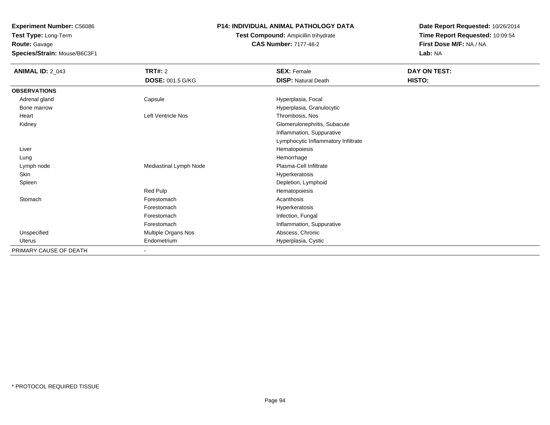**Test Type:** Long-Term**Route:** Gavage

**Species/Strain:** Mouse/B6C3F1

# **P14: INDIVIDUAL ANIMAL PATHOLOGY DATA**

# **Test Compound:** Ampicillin trihydrate**CAS Number:** 7177-48-2

| <b>ANIMAL ID: 2_043</b> | TRT#: 2                  | <b>SEX: Female</b>                  | <b>DAY ON TEST:</b> |
|-------------------------|--------------------------|-------------------------------------|---------------------|
|                         | <b>DOSE: 001.5 G/KG</b>  | <b>DISP: Natural Death</b>          | HISTO:              |
| <b>OBSERVATIONS</b>     |                          |                                     |                     |
| Adrenal gland           | Capsule                  | Hyperplasia, Focal                  |                     |
| Bone marrow             |                          | Hyperplasia, Granulocytic           |                     |
| Heart                   | Left Ventricle Nos       | Thrombosis, Nos                     |                     |
| Kidney                  |                          | Glomerulonephritis, Subacute        |                     |
|                         |                          | Inflammation, Suppurative           |                     |
|                         |                          | Lymphocytic Inflammatory Infiltrate |                     |
| Liver                   |                          | Hematopoiesis                       |                     |
| Lung                    |                          | Hemorrhage                          |                     |
| Lymph node              | Mediastinal Lymph Node   | Plasma-Cell Infiltrate              |                     |
| Skin                    |                          | Hyperkeratosis                      |                     |
| Spleen                  |                          | Depletion, Lymphoid                 |                     |
|                         | Red Pulp                 | Hematopoiesis                       |                     |
| Stomach                 | Forestomach              | Acanthosis                          |                     |
|                         | Forestomach              | Hyperkeratosis                      |                     |
|                         | Forestomach              | Infection, Fungal                   |                     |
|                         | Forestomach              | Inflammation, Suppurative           |                     |
| Unspecified             | Multiple Organs Nos      | Abscess, Chronic                    |                     |
| Uterus                  | Endometrium              | Hyperplasia, Cystic                 |                     |
| PRIMARY CAUSE OF DEATH  | $\overline{\phantom{a}}$ |                                     |                     |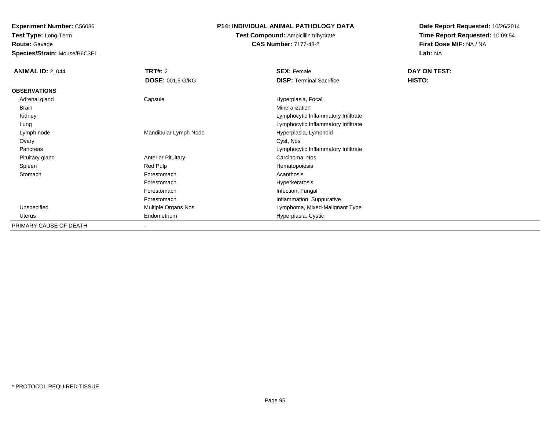**Route:** Gavage

**Species/Strain:** Mouse/B6C3F1

# **P14: INDIVIDUAL ANIMAL PATHOLOGY DATA**

**Test Compound:** Ampicillin trihydrate**CAS Number:** 7177-48-2

| <b>ANIMAL ID: 2_044</b> | <b>TRT#: 2</b>            | <b>SEX: Female</b>                  | DAY ON TEST: |  |
|-------------------------|---------------------------|-------------------------------------|--------------|--|
|                         | <b>DOSE: 001.5 G/KG</b>   | <b>DISP: Terminal Sacrifice</b>     | HISTO:       |  |
| <b>OBSERVATIONS</b>     |                           |                                     |              |  |
| Adrenal gland           | Capsule                   | Hyperplasia, Focal                  |              |  |
| Brain                   |                           | Mineralization                      |              |  |
| Kidney                  |                           | Lymphocytic Inflammatory Infiltrate |              |  |
| Lung                    |                           | Lymphocytic Inflammatory Infiltrate |              |  |
| Lymph node              | Mandibular Lymph Node     | Hyperplasia, Lymphoid               |              |  |
| Ovary                   |                           | Cyst, Nos                           |              |  |
| Pancreas                |                           | Lymphocytic Inflammatory Infiltrate |              |  |
| Pituitary gland         | <b>Anterior Pituitary</b> | Carcinoma, Nos                      |              |  |
| Spleen                  | Red Pulp                  | Hematopoiesis                       |              |  |
| Stomach                 | Forestomach               | Acanthosis                          |              |  |
|                         | Forestomach               | Hyperkeratosis                      |              |  |
|                         | Forestomach               | Infection, Fungal                   |              |  |
|                         | Forestomach               | Inflammation, Suppurative           |              |  |
| Unspecified             | Multiple Organs Nos       | Lymphoma, Mixed-Malignant Type      |              |  |
| Uterus                  | Endometrium               | Hyperplasia, Cystic                 |              |  |
| PRIMARY CAUSE OF DEATH  | $\blacksquare$            |                                     |              |  |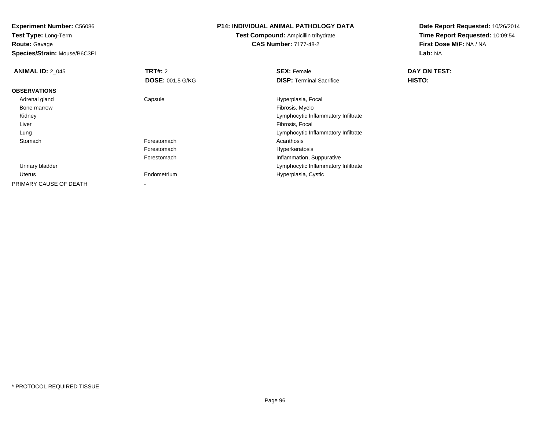**Test Type:** Long-Term**Route:** Gavage

**Species/Strain:** Mouse/B6C3F1

# **P14: INDIVIDUAL ANIMAL PATHOLOGY DATA**

**Test Compound:** Ampicillin trihydrate**CAS Number:** 7177-48-2

| <b>ANIMAL ID: 2 045</b> | TRT#: 2                 | <b>SEX: Female</b>                  | DAY ON TEST: |  |
|-------------------------|-------------------------|-------------------------------------|--------------|--|
|                         | <b>DOSE: 001.5 G/KG</b> | <b>DISP:</b> Terminal Sacrifice     | HISTO:       |  |
| <b>OBSERVATIONS</b>     |                         |                                     |              |  |
| Adrenal gland           | Capsule                 | Hyperplasia, Focal                  |              |  |
| Bone marrow             |                         | Fibrosis, Myelo                     |              |  |
| Kidney                  |                         | Lymphocytic Inflammatory Infiltrate |              |  |
| Liver                   |                         | Fibrosis, Focal                     |              |  |
| Lung                    |                         | Lymphocytic Inflammatory Infiltrate |              |  |
| Stomach                 | Forestomach             | Acanthosis                          |              |  |
|                         | Forestomach             | Hyperkeratosis                      |              |  |
|                         | Forestomach             | Inflammation, Suppurative           |              |  |
| Urinary bladder         |                         | Lymphocytic Inflammatory Infiltrate |              |  |
| Uterus                  | Endometrium             | Hyperplasia, Cystic                 |              |  |
| PRIMARY CAUSE OF DEATH  | $\,$                    |                                     |              |  |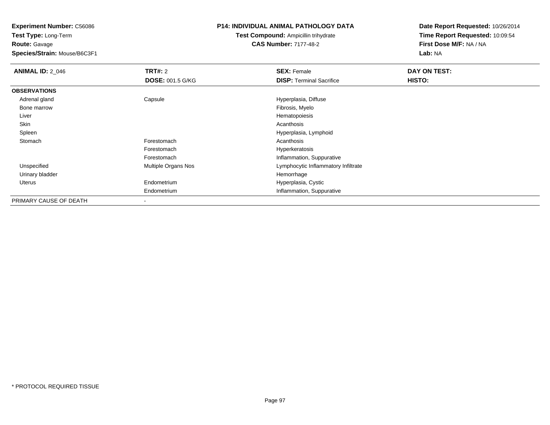**Test Type:** Long-Term**Route:** Gavage

**Species/Strain:** Mouse/B6C3F1

## **P14: INDIVIDUAL ANIMAL PATHOLOGY DATA**

**Test Compound:** Ampicillin trihydrate**CAS Number:** 7177-48-2

| <b>ANIMAL ID: 2 046</b> | <b>TRT#: 2</b>          | <b>SEX: Female</b>                  | DAY ON TEST: |
|-------------------------|-------------------------|-------------------------------------|--------------|
|                         | <b>DOSE: 001.5 G/KG</b> | <b>DISP: Terminal Sacrifice</b>     | HISTO:       |
| <b>OBSERVATIONS</b>     |                         |                                     |              |
| Adrenal gland           | Capsule                 | Hyperplasia, Diffuse                |              |
| Bone marrow             |                         | Fibrosis, Myelo                     |              |
| Liver                   |                         | Hematopoiesis                       |              |
| Skin                    |                         | Acanthosis                          |              |
| Spleen                  |                         | Hyperplasia, Lymphoid               |              |
| Stomach                 | Forestomach             | Acanthosis                          |              |
|                         | Forestomach             | Hyperkeratosis                      |              |
|                         | Forestomach             | Inflammation, Suppurative           |              |
| Unspecified             | Multiple Organs Nos     | Lymphocytic Inflammatory Infiltrate |              |
| Urinary bladder         |                         | Hemorrhage                          |              |
| Uterus                  | Endometrium             | Hyperplasia, Cystic                 |              |
|                         | Endometrium             | Inflammation, Suppurative           |              |
| PRIMARY CAUSE OF DEATH  |                         |                                     |              |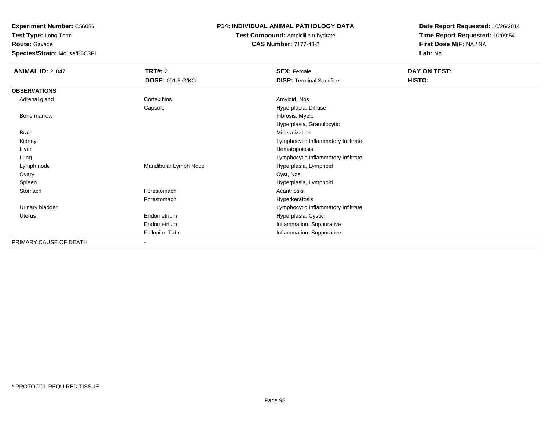**Test Type:** Long-Term**Route:** Gavage

**Species/Strain:** Mouse/B6C3F1

# **P14: INDIVIDUAL ANIMAL PATHOLOGY DATA**

**Test Compound:** Ampicillin trihydrate**CAS Number:** 7177-48-2

| <b>ANIMAL ID: 2_047</b> | <b>TRT#: 2</b>          | <b>SEX: Female</b>                  | DAY ON TEST: |  |
|-------------------------|-------------------------|-------------------------------------|--------------|--|
|                         | <b>DOSE: 001.5 G/KG</b> | <b>DISP: Terminal Sacrifice</b>     | HISTO:       |  |
| <b>OBSERVATIONS</b>     |                         |                                     |              |  |
| Adrenal gland           | Cortex Nos              | Amyloid, Nos                        |              |  |
|                         | Capsule                 | Hyperplasia, Diffuse                |              |  |
| Bone marrow             |                         | Fibrosis, Myelo                     |              |  |
|                         |                         | Hyperplasia, Granulocytic           |              |  |
| <b>Brain</b>            |                         | Mineralization                      |              |  |
| Kidney                  |                         | Lymphocytic Inflammatory Infiltrate |              |  |
| Liver                   |                         | Hematopoiesis                       |              |  |
| Lung                    |                         | Lymphocytic Inflammatory Infiltrate |              |  |
| Lymph node              | Mandibular Lymph Node   | Hyperplasia, Lymphoid               |              |  |
| Ovary                   |                         | Cyst, Nos                           |              |  |
| Spleen                  |                         | Hyperplasia, Lymphoid               |              |  |
| Stomach                 | Forestomach             | Acanthosis                          |              |  |
|                         | Forestomach             | Hyperkeratosis                      |              |  |
| Urinary bladder         |                         | Lymphocytic Inflammatory Infiltrate |              |  |
| Uterus                  | Endometrium             | Hyperplasia, Cystic                 |              |  |
|                         | Endometrium             | Inflammation, Suppurative           |              |  |
|                         | Fallopian Tube          | Inflammation, Suppurative           |              |  |
| PRIMARY CAUSE OF DEATH  | ٠                       |                                     |              |  |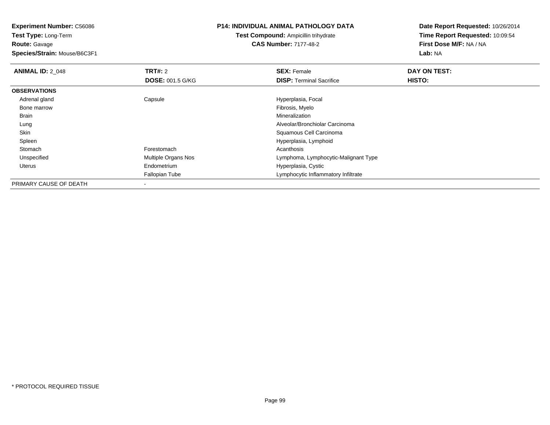**Test Type:** Long-Term**Route:** Gavage

**Species/Strain:** Mouse/B6C3F1

#### **P14: INDIVIDUAL ANIMAL PATHOLOGY DATA**

**Test Compound:** Ampicillin trihydrate**CAS Number:** 7177-48-2

| <b>ANIMAL ID: 2 048</b> | TRT#: 2                 | <b>SEX: Female</b>                   | DAY ON TEST: |  |
|-------------------------|-------------------------|--------------------------------------|--------------|--|
|                         | <b>DOSE: 001.5 G/KG</b> | <b>DISP: Terminal Sacrifice</b>      | HISTO:       |  |
| <b>OBSERVATIONS</b>     |                         |                                      |              |  |
| Adrenal gland           | Capsule                 | Hyperplasia, Focal                   |              |  |
| Bone marrow             |                         | Fibrosis, Myelo                      |              |  |
| <b>Brain</b>            |                         | Mineralization                       |              |  |
| Lung                    |                         | Alveolar/Bronchiolar Carcinoma       |              |  |
| Skin                    |                         | Squamous Cell Carcinoma              |              |  |
| Spleen                  |                         | Hyperplasia, Lymphoid                |              |  |
| Stomach                 | Forestomach             | Acanthosis                           |              |  |
| Unspecified             | Multiple Organs Nos     | Lymphoma, Lymphocytic-Malignant Type |              |  |
| Uterus                  | Endometrium             | Hyperplasia, Cystic                  |              |  |
|                         | Fallopian Tube          | Lymphocytic Inflammatory Infiltrate  |              |  |
| PRIMARY CAUSE OF DEATH  |                         |                                      |              |  |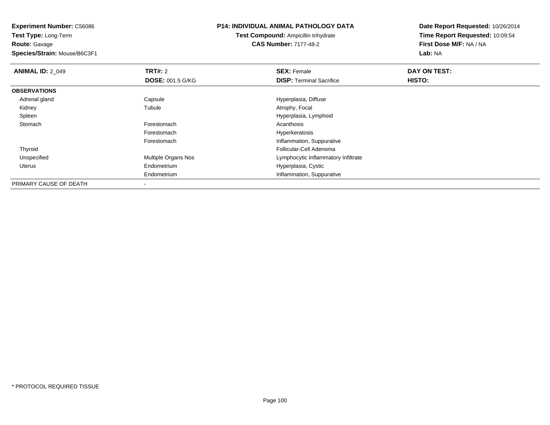**Test Type:** Long-Term**Route:** Gavage

**Species/Strain:** Mouse/B6C3F1

## **P14: INDIVIDUAL ANIMAL PATHOLOGY DATA**

**Test Compound:** Ampicillin trihydrate**CAS Number:** 7177-48-2

| <b>ANIMAL ID: 2_049</b> | TRT#: 2                  | <b>SEX: Female</b>                  | DAY ON TEST:  |  |
|-------------------------|--------------------------|-------------------------------------|---------------|--|
|                         | <b>DOSE: 001.5 G/KG</b>  | <b>DISP: Terminal Sacrifice</b>     | <b>HISTO:</b> |  |
| <b>OBSERVATIONS</b>     |                          |                                     |               |  |
| Adrenal gland           | Capsule                  | Hyperplasia, Diffuse                |               |  |
| Kidney                  | Tubule                   | Atrophy, Focal                      |               |  |
| Spleen                  |                          | Hyperplasia, Lymphoid               |               |  |
| Stomach                 | Forestomach              | Acanthosis                          |               |  |
|                         | Forestomach              | Hyperkeratosis                      |               |  |
|                         | Forestomach              | Inflammation, Suppurative           |               |  |
| Thyroid                 |                          | Follicular-Cell Adenoma             |               |  |
| Unspecified             | Multiple Organs Nos      | Lymphocytic Inflammatory Infiltrate |               |  |
| Uterus                  | Endometrium              | Hyperplasia, Cystic                 |               |  |
|                         | Endometrium              | Inflammation, Suppurative           |               |  |
| PRIMARY CAUSE OF DEATH  | $\overline{\phantom{a}}$ |                                     |               |  |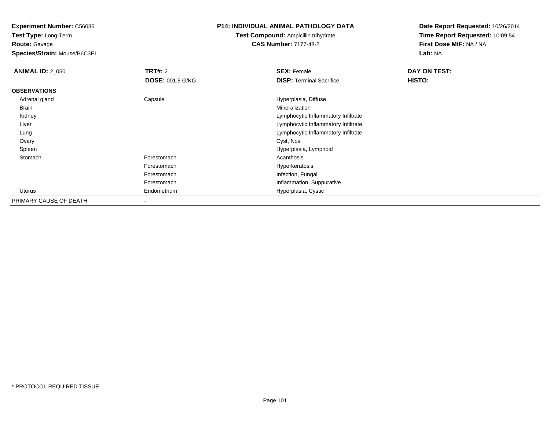**Test Type:** Long-Term**Route:** Gavage

**Species/Strain:** Mouse/B6C3F1

# **P14: INDIVIDUAL ANIMAL PATHOLOGY DATA**

**Test Compound:** Ampicillin trihydrate**CAS Number:** 7177-48-2

| <b>ANIMAL ID: 2 050</b> | TRT#: 2                  | <b>SEX: Female</b>                  | DAY ON TEST:  |
|-------------------------|--------------------------|-------------------------------------|---------------|
|                         | <b>DOSE: 001.5 G/KG</b>  | <b>DISP: Terminal Sacrifice</b>     | <b>HISTO:</b> |
| <b>OBSERVATIONS</b>     |                          |                                     |               |
| Adrenal gland           | Capsule                  | Hyperplasia, Diffuse                |               |
| Brain                   |                          | Mineralization                      |               |
| Kidney                  |                          | Lymphocytic Inflammatory Infiltrate |               |
| Liver                   |                          | Lymphocytic Inflammatory Infiltrate |               |
| Lung                    |                          | Lymphocytic Inflammatory Infiltrate |               |
| Ovary                   |                          | Cyst, Nos                           |               |
| Spleen                  |                          | Hyperplasia, Lymphoid               |               |
| Stomach                 | Forestomach              | Acanthosis                          |               |
|                         | Forestomach              | Hyperkeratosis                      |               |
|                         | Forestomach              | Infection, Fungal                   |               |
|                         | Forestomach              | Inflammation, Suppurative           |               |
| Uterus                  | Endometrium              | Hyperplasia, Cystic                 |               |
| PRIMARY CAUSE OF DEATH  | $\overline{\phantom{a}}$ |                                     |               |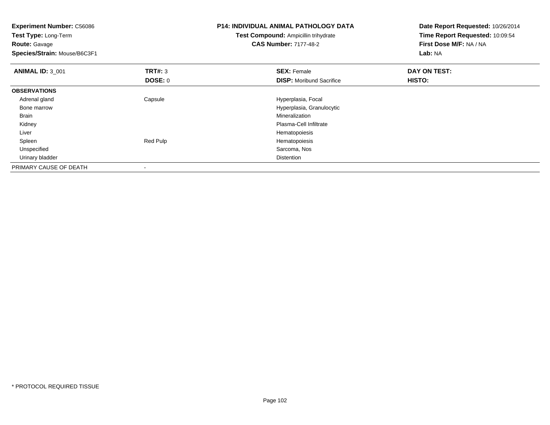| <b>Experiment Number: C56086</b><br>Test Type: Long-Term<br><b>Route:</b> Gavage<br>Species/Strain: Mouse/B6C3F1 |                | <b>P14: INDIVIDUAL ANIMAL PATHOLOGY DATA</b><br><b>Test Compound: Ampicillin trihydrate</b><br><b>CAS Number: 7177-48-2</b> | Date Report Requested: 10/26/2014<br>Time Report Requested: 10:09:54<br>First Dose M/F: NA / NA<br>Lab: NA |
|------------------------------------------------------------------------------------------------------------------|----------------|-----------------------------------------------------------------------------------------------------------------------------|------------------------------------------------------------------------------------------------------------|
| <b>ANIMAL ID: 3 001</b>                                                                                          | <b>TRT#: 3</b> | <b>SEX: Female</b>                                                                                                          | DAY ON TEST:                                                                                               |
|                                                                                                                  | DOSE: 0        | <b>DISP:</b> Moribund Sacrifice                                                                                             | HISTO:                                                                                                     |
| <b>OBSERVATIONS</b>                                                                                              |                |                                                                                                                             |                                                                                                            |
| Adrenal gland                                                                                                    | Capsule        | Hyperplasia, Focal                                                                                                          |                                                                                                            |
| Bone marrow                                                                                                      |                | Hyperplasia, Granulocytic                                                                                                   |                                                                                                            |
| Brain                                                                                                            |                | Mineralization                                                                                                              |                                                                                                            |
| Kidney                                                                                                           |                | Plasma-Cell Infiltrate                                                                                                      |                                                                                                            |
| Liver                                                                                                            |                | Hematopoiesis                                                                                                               |                                                                                                            |
| Spleen                                                                                                           | Red Pulp       | Hematopoiesis                                                                                                               |                                                                                                            |
| Unspecified                                                                                                      |                | Sarcoma, Nos                                                                                                                |                                                                                                            |
| Urinary bladder                                                                                                  |                | Distention                                                                                                                  |                                                                                                            |
| PRIMARY CAUSE OF DEATH                                                                                           |                |                                                                                                                             |                                                                                                            |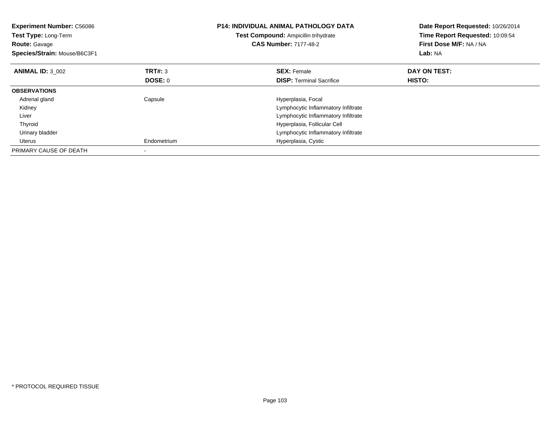| <b>Experiment Number: C56086</b><br>Test Type: Long-Term<br><b>Route: Gavage</b><br>Species/Strain: Mouse/B6C3F1 |                | <b>P14: INDIVIDUAL ANIMAL PATHOLOGY DATA</b><br>Test Compound: Ampicillin trihydrate<br><b>CAS Number: 7177-48-2</b> | Date Report Requested: 10/26/2014<br>Time Report Requested: 10:09:54<br>First Dose M/F: NA / NA<br>Lab: NA |
|------------------------------------------------------------------------------------------------------------------|----------------|----------------------------------------------------------------------------------------------------------------------|------------------------------------------------------------------------------------------------------------|
| <b>ANIMAL ID: 3 002</b>                                                                                          | TRT#: 3        | <b>SEX: Female</b>                                                                                                   | DAY ON TEST:                                                                                               |
|                                                                                                                  | <b>DOSE: 0</b> | <b>DISP:</b> Terminal Sacrifice                                                                                      | HISTO:                                                                                                     |
| <b>OBSERVATIONS</b>                                                                                              |                |                                                                                                                      |                                                                                                            |
| Adrenal gland                                                                                                    | Capsule        | Hyperplasia, Focal                                                                                                   |                                                                                                            |
| Kidney                                                                                                           |                | Lymphocytic Inflammatory Infiltrate                                                                                  |                                                                                                            |
| Liver                                                                                                            |                | Lymphocytic Inflammatory Infiltrate                                                                                  |                                                                                                            |
| Thyroid                                                                                                          |                | Hyperplasia, Follicular Cell                                                                                         |                                                                                                            |
| Urinary bladder                                                                                                  |                | Lymphocytic Inflammatory Infiltrate                                                                                  |                                                                                                            |
| Uterus                                                                                                           | Endometrium    | Hyperplasia, Cystic                                                                                                  |                                                                                                            |
| PRIMARY CAUSE OF DEATH                                                                                           |                |                                                                                                                      |                                                                                                            |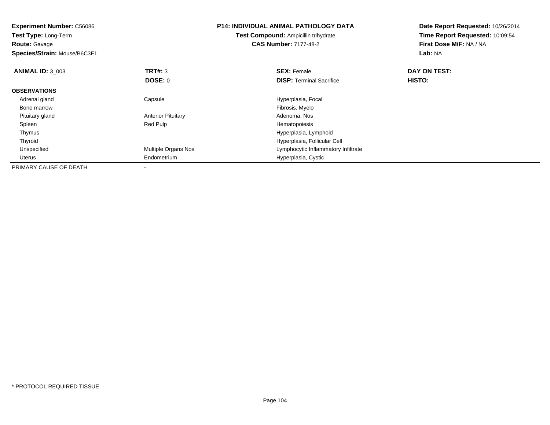| <b>Experiment Number: C56086</b><br><b>Test Type: Long-Term</b><br><b>Route: Gavage</b><br>Species/Strain: Mouse/B6C3F1 |                           | <b>P14: INDIVIDUAL ANIMAL PATHOLOGY DATA</b><br><b>Test Compound: Ampicillin trihydrate</b><br><b>CAS Number: 7177-48-2</b> | Date Report Requested: 10/26/2014<br>Time Report Requested: 10:09:54<br>First Dose M/F: NA / NA<br>Lab: NA |
|-------------------------------------------------------------------------------------------------------------------------|---------------------------|-----------------------------------------------------------------------------------------------------------------------------|------------------------------------------------------------------------------------------------------------|
| <b>ANIMAL ID: 3 003</b>                                                                                                 | <b>TRT#: 3</b>            | <b>SEX: Female</b>                                                                                                          | DAY ON TEST:                                                                                               |
|                                                                                                                         | DOSE: 0                   | <b>DISP:</b> Terminal Sacrifice                                                                                             | <b>HISTO:</b>                                                                                              |
| <b>OBSERVATIONS</b>                                                                                                     |                           |                                                                                                                             |                                                                                                            |
| Adrenal gland                                                                                                           | Capsule                   | Hyperplasia, Focal                                                                                                          |                                                                                                            |
| Bone marrow                                                                                                             |                           | Fibrosis, Myelo                                                                                                             |                                                                                                            |
| Pituitary gland                                                                                                         | <b>Anterior Pituitary</b> | Adenoma, Nos                                                                                                                |                                                                                                            |
| Spleen                                                                                                                  | Red Pulp                  | Hematopoiesis                                                                                                               |                                                                                                            |
| Thymus                                                                                                                  |                           | Hyperplasia, Lymphoid                                                                                                       |                                                                                                            |
| Thyroid                                                                                                                 |                           | Hyperplasia, Follicular Cell                                                                                                |                                                                                                            |
| Unspecified                                                                                                             | Multiple Organs Nos       | Lymphocytic Inflammatory Infiltrate                                                                                         |                                                                                                            |
| Uterus                                                                                                                  | Endometrium               | Hyperplasia, Cystic                                                                                                         |                                                                                                            |
| PRIMARY CAUSE OF DEATH                                                                                                  |                           |                                                                                                                             |                                                                                                            |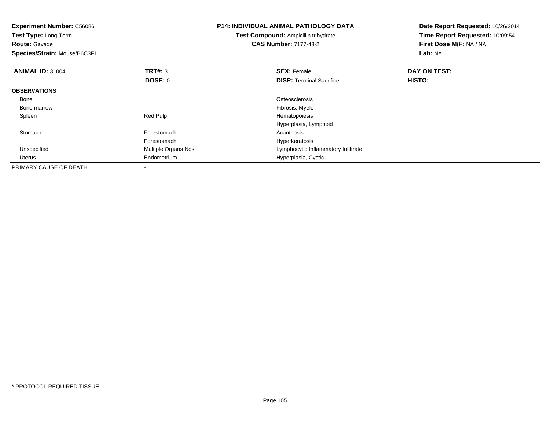| <b>Experiment Number: C56086</b><br>Test Type: Long-Term<br><b>Route: Gavage</b><br>Species/Strain: Mouse/B6C3F1 |                     | P14: INDIVIDUAL ANIMAL PATHOLOGY DATA<br><b>Test Compound: Ampicillin trihydrate</b><br><b>CAS Number: 7177-48-2</b> | Date Report Requested: 10/26/2014<br>Time Report Requested: 10:09:54<br>First Dose M/F: NA / NA<br>Lab: NA |
|------------------------------------------------------------------------------------------------------------------|---------------------|----------------------------------------------------------------------------------------------------------------------|------------------------------------------------------------------------------------------------------------|
| <b>ANIMAL ID: 3 004</b>                                                                                          | TRT#: 3             | <b>SEX: Female</b>                                                                                                   | DAY ON TEST:                                                                                               |
|                                                                                                                  | DOSE: 0             | <b>DISP:</b> Terminal Sacrifice                                                                                      | HISTO:                                                                                                     |
| <b>OBSERVATIONS</b>                                                                                              |                     |                                                                                                                      |                                                                                                            |
| Bone                                                                                                             |                     | Osteosclerosis                                                                                                       |                                                                                                            |
| Bone marrow                                                                                                      |                     | Fibrosis, Myelo                                                                                                      |                                                                                                            |
| Spleen                                                                                                           | Red Pulp            | Hematopoiesis                                                                                                        |                                                                                                            |
|                                                                                                                  |                     | Hyperplasia, Lymphoid                                                                                                |                                                                                                            |
| Stomach                                                                                                          | Forestomach         | Acanthosis                                                                                                           |                                                                                                            |
|                                                                                                                  | Forestomach         | Hyperkeratosis                                                                                                       |                                                                                                            |
| Unspecified                                                                                                      | Multiple Organs Nos | Lymphocytic Inflammatory Infiltrate                                                                                  |                                                                                                            |
| Uterus                                                                                                           | Endometrium         | Hyperplasia, Cystic                                                                                                  |                                                                                                            |
| PRIMARY CAUSE OF DEATH                                                                                           |                     |                                                                                                                      |                                                                                                            |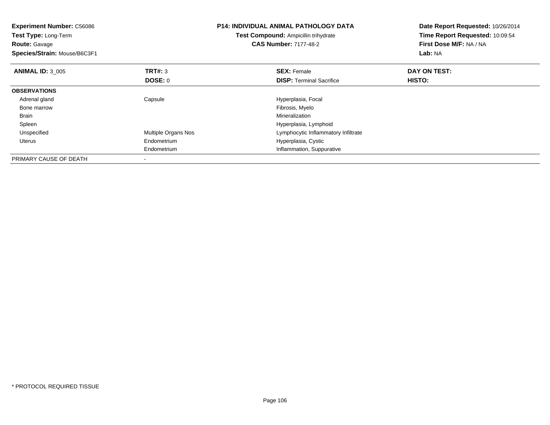| <b>Experiment Number: C56086</b><br>Test Type: Long-Term<br><b>Route:</b> Gavage<br>Species/Strain: Mouse/B6C3F1 |                            | <b>P14: INDIVIDUAL ANIMAL PATHOLOGY DATA</b><br>Test Compound: Ampicillin trihydrate<br><b>CAS Number: 7177-48-2</b> | Date Report Requested: 10/26/2014<br>Time Report Requested: 10:09:54<br>First Dose M/F: NA / NA<br>Lab: NA |
|------------------------------------------------------------------------------------------------------------------|----------------------------|----------------------------------------------------------------------------------------------------------------------|------------------------------------------------------------------------------------------------------------|
| <b>ANIMAL ID: 3 005</b>                                                                                          | <b>TRT#: 3</b>             | <b>SEX: Female</b>                                                                                                   | DAY ON TEST:                                                                                               |
|                                                                                                                  | DOSE: 0                    | <b>DISP: Terminal Sacrifice</b>                                                                                      | HISTO:                                                                                                     |
| <b>OBSERVATIONS</b>                                                                                              |                            |                                                                                                                      |                                                                                                            |
| Adrenal gland                                                                                                    | Capsule                    | Hyperplasia, Focal                                                                                                   |                                                                                                            |
| Bone marrow                                                                                                      |                            | Fibrosis, Myelo                                                                                                      |                                                                                                            |
| Brain                                                                                                            |                            | Mineralization                                                                                                       |                                                                                                            |
| Spleen                                                                                                           |                            | Hyperplasia, Lymphoid                                                                                                |                                                                                                            |
| Unspecified                                                                                                      | <b>Multiple Organs Nos</b> | Lymphocytic Inflammatory Infiltrate                                                                                  |                                                                                                            |
| Uterus                                                                                                           | Endometrium                | Hyperplasia, Cystic                                                                                                  |                                                                                                            |
|                                                                                                                  | Endometrium                | Inflammation, Suppurative                                                                                            |                                                                                                            |
| PRIMARY CAUSE OF DEATH                                                                                           |                            |                                                                                                                      |                                                                                                            |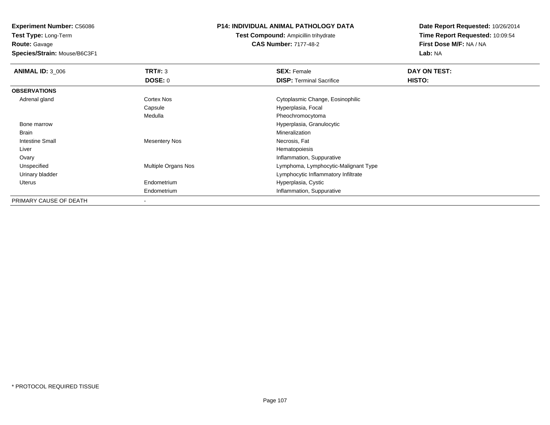**Route:** Gavage

**Species/Strain:** Mouse/B6C3F1

## **P14: INDIVIDUAL ANIMAL PATHOLOGY DATA**

**Test Compound:** Ampicillin trihydrate**CAS Number:** 7177-48-2

| <b>ANIMAL ID: 3 006</b> | TRT#: 3                  | <b>SEX: Female</b>                   | DAY ON TEST: |  |
|-------------------------|--------------------------|--------------------------------------|--------------|--|
|                         | DOSE: 0                  | <b>DISP: Terminal Sacrifice</b>      | HISTO:       |  |
| <b>OBSERVATIONS</b>     |                          |                                      |              |  |
| Adrenal gland           | Cortex Nos               | Cytoplasmic Change, Eosinophilic     |              |  |
|                         | Capsule                  | Hyperplasia, Focal                   |              |  |
|                         | Medulla                  | Pheochromocytoma                     |              |  |
| Bone marrow             |                          | Hyperplasia, Granulocytic            |              |  |
| Brain                   |                          | Mineralization                       |              |  |
| <b>Intestine Small</b>  | <b>Mesentery Nos</b>     | Necrosis, Fat                        |              |  |
| Liver                   |                          | Hematopoiesis                        |              |  |
| Ovary                   |                          | Inflammation, Suppurative            |              |  |
| Unspecified             | Multiple Organs Nos      | Lymphoma, Lymphocytic-Malignant Type |              |  |
| Urinary bladder         |                          | Lymphocytic Inflammatory Infiltrate  |              |  |
| <b>Uterus</b>           | Endometrium              | Hyperplasia, Cystic                  |              |  |
|                         | Endometrium              | Inflammation, Suppurative            |              |  |
| PRIMARY CAUSE OF DEATH  | $\overline{\phantom{a}}$ |                                      |              |  |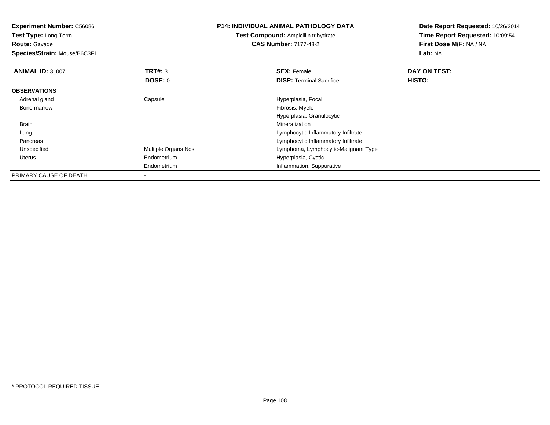| <b>Experiment Number: C56086</b><br>Test Type: Long-Term |                     | <b>P14: INDIVIDUAL ANIMAL PATHOLOGY DATA</b> | Date Report Requested: 10/26/2014<br>Time Report Requested: 10:09:54 |  |
|----------------------------------------------------------|---------------------|----------------------------------------------|----------------------------------------------------------------------|--|
|                                                          |                     | <b>Test Compound: Ampicillin trihydrate</b>  |                                                                      |  |
| <b>Route: Gavage</b>                                     |                     | <b>CAS Number: 7177-48-2</b>                 | First Dose M/F: NA / NA                                              |  |
| Species/Strain: Mouse/B6C3F1                             |                     |                                              | Lab: NA                                                              |  |
| <b>ANIMAL ID: 3 007</b>                                  | <b>TRT#: 3</b>      | <b>SEX: Female</b>                           | DAY ON TEST:                                                         |  |
|                                                          | DOSE: 0             | <b>DISP:</b> Terminal Sacrifice              | <b>HISTO:</b>                                                        |  |
| <b>OBSERVATIONS</b>                                      |                     |                                              |                                                                      |  |
| Adrenal gland                                            | Capsule             | Hyperplasia, Focal                           |                                                                      |  |
| Bone marrow                                              |                     | Fibrosis, Myelo                              |                                                                      |  |
|                                                          |                     | Hyperplasia, Granulocytic                    |                                                                      |  |
| Brain                                                    |                     | Mineralization                               |                                                                      |  |
| Lung                                                     |                     | Lymphocytic Inflammatory Infiltrate          |                                                                      |  |
| Pancreas                                                 |                     | Lymphocytic Inflammatory Infiltrate          |                                                                      |  |
| Unspecified                                              | Multiple Organs Nos | Lymphoma, Lymphocytic-Malignant Type         |                                                                      |  |
| <b>Uterus</b>                                            | Endometrium         | Hyperplasia, Cystic                          |                                                                      |  |
|                                                          | Endometrium         | Inflammation, Suppurative                    |                                                                      |  |
| PRIMARY CAUSE OF DEATH                                   |                     |                                              |                                                                      |  |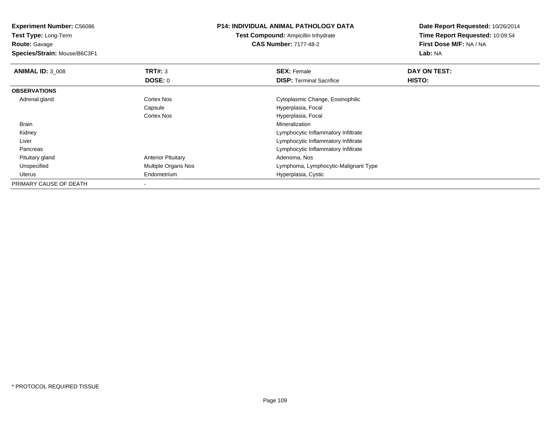**Experiment Number:** C56086**Test Type:** Long-Term**Route:** Gavage **Species/Strain:** Mouse/B6C3F1**P14: INDIVIDUAL ANIMAL PATHOLOGY DATATest Compound:** Ampicillin trihydrate**CAS Number:** 7177-48-2**Date Report Requested:** 10/26/2014**Time Report Requested:** 10:09:54**First Dose M/F:** NA / NA**Lab:** NA**ANIMAL ID:** 3\_008**REX:** Female **DAY ON TEST: SEX:** Female **SEX:** Female **DOSE:** 0**DISP:** Terminal Sacrifice **HISTO: OBSERVATIONS** Adrenal glandCortex Nos Cytoplasmic Change, Eosinophilic Capsule Hyperplasia, Focal Cortex Nos Hyperplasia, Focal Brainn and the control of the control of the control of the control of the control of the control of the control of the control of the control of the control of the control of the control of the control of the control of the co Kidney Lymphocytic Inflammatory Infiltrate Lymphocytic Inflammatory Infiltrate Livers **Example 20** Section 2012 11:30 Section 2013 12:40 Section 2013 12:40 Section 2013 12:40 Section 2013 12:40 Section 2013 12:40 Section 2013 12:40 Section 2013 12:40 Section 2013 12:40 Section 2013 12:40 Section 2013 12:4 Pancreas Pituitary glandAnterior Pituitary **Adenoma, Nos** Adenoma, Nos Unspecified Multiple Organs Nos Lymphoma, Lymphocytic-Malignant Type Uterus Endometrium Hyperplasia, Cystic PRIMARY CAUSE OF DEATH-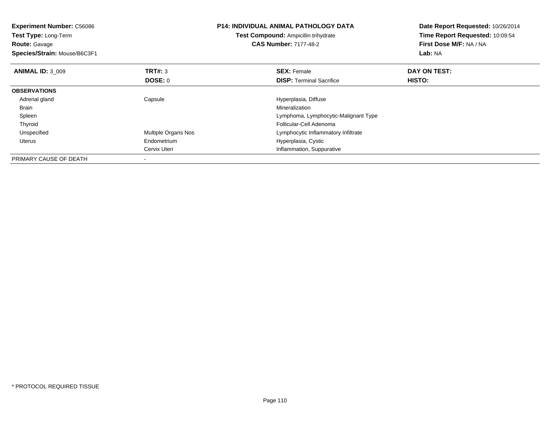| <b>Experiment Number: C56086</b><br>Test Type: Long-Term<br><b>Route: Gavage</b><br>Species/Strain: Mouse/B6C3F1 |                     | <b>P14: INDIVIDUAL ANIMAL PATHOLOGY DATA</b><br>Test Compound: Ampicillin trihydrate<br><b>CAS Number: 7177-48-2</b> | Date Report Requested: 10/26/2014<br>Time Report Requested: 10:09:54<br>First Dose M/F: NA / NA<br>Lab: NA |
|------------------------------------------------------------------------------------------------------------------|---------------------|----------------------------------------------------------------------------------------------------------------------|------------------------------------------------------------------------------------------------------------|
| <b>ANIMAL ID: 3 009</b>                                                                                          | TRT#: 3             | <b>SEX: Female</b>                                                                                                   | DAY ON TEST:                                                                                               |
|                                                                                                                  | DOSE: 0             | <b>DISP:</b> Terminal Sacrifice                                                                                      | HISTO:                                                                                                     |
| <b>OBSERVATIONS</b>                                                                                              |                     |                                                                                                                      |                                                                                                            |
| Adrenal gland                                                                                                    | Capsule             | Hyperplasia, Diffuse                                                                                                 |                                                                                                            |
| Brain                                                                                                            |                     | Mineralization                                                                                                       |                                                                                                            |
| Spleen                                                                                                           |                     | Lymphoma, Lymphocytic-Malignant Type                                                                                 |                                                                                                            |
| Thyroid                                                                                                          |                     | Follicular-Cell Adenoma                                                                                              |                                                                                                            |
| Unspecified                                                                                                      | Multiple Organs Nos | Lymphocytic Inflammatory Infiltrate                                                                                  |                                                                                                            |
| Uterus                                                                                                           | Endometrium         | Hyperplasia, Cystic                                                                                                  |                                                                                                            |
|                                                                                                                  | Cervix Uteri        | Inflammation, Suppurative                                                                                            |                                                                                                            |
| PRIMARY CAUSE OF DEATH                                                                                           |                     |                                                                                                                      |                                                                                                            |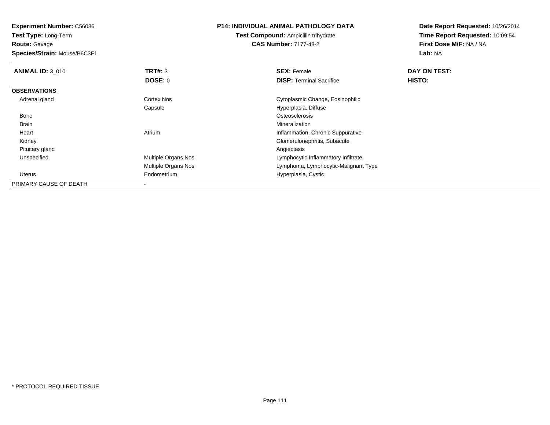**Experiment Number:** C56086**Test Type:** Long-Term

**Route:** Gavage

**Species/Strain:** Mouse/B6C3F1

## **P14: INDIVIDUAL ANIMAL PATHOLOGY DATA**

**Test Compound:** Ampicillin trihydrate**CAS Number:** 7177-48-2

| <b>ANIMAL ID: 3 010</b> | TRT#: 3                    | <b>SEX: Female</b>                   | DAY ON TEST: |  |
|-------------------------|----------------------------|--------------------------------------|--------------|--|
|                         | DOSE: 0                    | <b>DISP: Terminal Sacrifice</b>      | HISTO:       |  |
| <b>OBSERVATIONS</b>     |                            |                                      |              |  |
| Adrenal gland           | <b>Cortex Nos</b>          | Cytoplasmic Change, Eosinophilic     |              |  |
|                         | Capsule                    | Hyperplasia, Diffuse                 |              |  |
| Bone                    |                            | Osteosclerosis                       |              |  |
| Brain                   |                            | Mineralization                       |              |  |
| Heart                   | Atrium                     | Inflammation, Chronic Suppurative    |              |  |
| Kidney                  |                            | Glomerulonephritis, Subacute         |              |  |
| Pituitary gland         |                            | Angiectasis                          |              |  |
| Unspecified             | <b>Multiple Organs Nos</b> | Lymphocytic Inflammatory Infiltrate  |              |  |
|                         | <b>Multiple Organs Nos</b> | Lymphoma, Lymphocytic-Malignant Type |              |  |
| Uterus                  | Endometrium                | Hyperplasia, Cystic                  |              |  |
| PRIMARY CAUSE OF DEATH  |                            |                                      |              |  |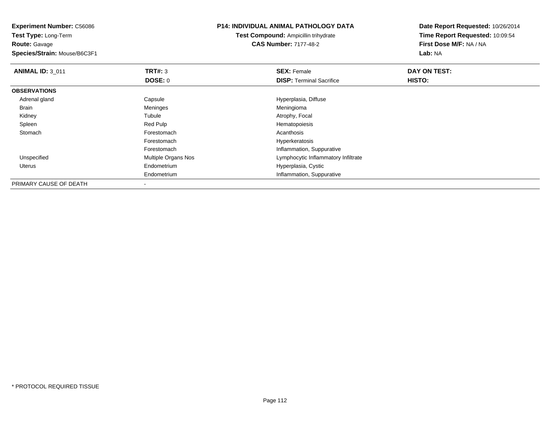**Experiment Number:** C56086**Test Type:** Long-Term**Route:** Gavage **Species/Strain:** Mouse/B6C3F1**P14: INDIVIDUAL ANIMAL PATHOLOGY DATATest Compound:** Ampicillin trihydrate**CAS Number:** 7177-48-2**Date Report Requested:** 10/26/2014**Time Report Requested:** 10:09:54**First Dose M/F:** NA / NA**Lab:** NA**ANIMAL ID:** 3\_011**TRT#:** 3 **SEX:** Female **DAY ON TEST: DOSE:** 0**DISP:** Terminal Sacrifice **HISTO: OBSERVATIONS** Adrenal glandCapsule Capsule Hyperplasia, Diffuse Hyperplasia, Diffuse Meninges Brainn and the meninges of the meningion of the meningional meningional meningional meningional meningional meningi Kidneyy the contract of the contract of the contract of the contract of the contract of the contract of the contract of the contract of the contract of the contract of the contract of the contract of the contract of the contract Tubule Atrophy, Focal Red Pulp<br>Red Pulp and Red Pulp and Atrophy, Focal Hematopoiesis Spleen Red Pulp Hematopoiesis **Stomach** h anns an t-India anns an t-India anns an t-India anns an t-India anns an t-India anns an t-India anns an t-In Forestomach Hyperkeratosis ForestomachForestomach<br>
Multiple Organs Nos<br>
Multiple Organs Nos<br>
Channel Cymphocytic Inflammatory UnspecifiedLymphocytic Inflammatory Infiltrate Uterus Endometrium Hyperplasia, Cystic Endometrium Inflammation, Suppurative PRIMARY CAUSE OF DEATH-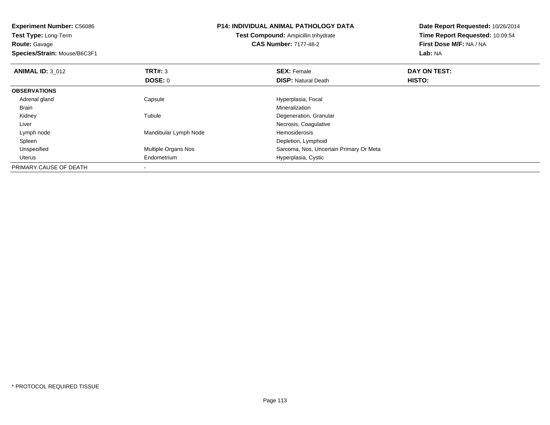| <b>Experiment Number: C56086</b> |                       | <b>P14: INDIVIDUAL ANIMAL PATHOLOGY DATA</b> | Date Report Requested: 10/26/2014 |  |
|----------------------------------|-----------------------|----------------------------------------------|-----------------------------------|--|
| <b>Test Type: Long-Term</b>      |                       | Test Compound: Ampicillin trihydrate         | Time Report Requested: 10:09:54   |  |
| <b>Route: Gavage</b>             |                       | <b>CAS Number: 7177-48-2</b>                 | First Dose M/F: NA / NA           |  |
| Species/Strain: Mouse/B6C3F1     |                       |                                              | Lab: NA                           |  |
| <b>ANIMAL ID: 3 012</b>          | TRT#: 3               | <b>SEX: Female</b>                           | DAY ON TEST:                      |  |
|                                  | DOSE: 0               | <b>DISP:</b> Natural Death                   | HISTO:                            |  |
| <b>OBSERVATIONS</b>              |                       |                                              |                                   |  |
| Adrenal gland                    | Capsule               | Hyperplasia, Focal                           |                                   |  |
| Brain                            |                       | Mineralization                               |                                   |  |
| Kidney                           | Tubule                | Degeneration, Granular                       |                                   |  |
| Liver                            |                       | Necrosis, Coagulative                        |                                   |  |
| Lymph node                       | Mandibular Lymph Node | <b>Hemosiderosis</b>                         |                                   |  |
| Spleen                           |                       | Depletion, Lymphoid                          |                                   |  |
| Unspecified                      | Multiple Organs Nos   | Sarcoma, Nos, Uncertain Primary Or Meta      |                                   |  |
| Uterus                           | Endometrium           | Hyperplasia, Cystic                          |                                   |  |
| PRIMARY CAUSE OF DEATH           |                       |                                              |                                   |  |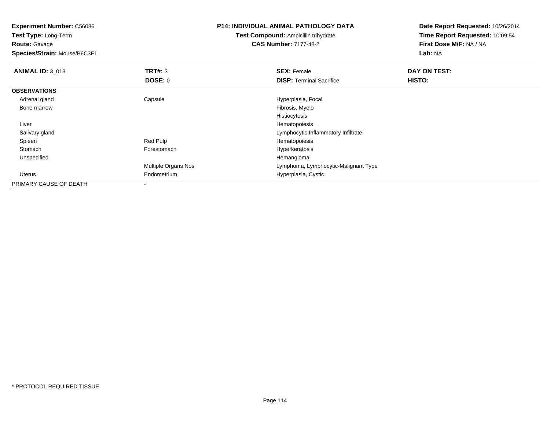**Experiment Number:** C56086**Test Type:** Long-Term**Route:** Gavage **Species/Strain:** Mouse/B6C3F1**P14: INDIVIDUAL ANIMAL PATHOLOGY DATATest Compound:** Ampicillin trihydrate**CAS Number:** 7177-48-2**Date Report Requested:** 10/26/2014**Time Report Requested:** 10:09:54**First Dose M/F:** NA / NA**Lab:** NA**ANIMAL ID: 3 013 TRT#:** 3 **SEX:** Female **DAY ON TEST: DOSE:** 0**DISP:** Terminal Sacrifice **HISTO: OBSERVATIONS** Adrenal glandCapsule **Capsule Capsule Capsule**<br>
Fibrosis, Myelo Bone marroww which is a state of the state of the state of the state of the state of the Fibrosis, Myelo state of the state of the state of the state of the state of the state of the state of the state of the state of the state of th Histiocytosisr and the state of the state of the state of the state of the state of the state of the state of the state of the state of the state of the state of the state of the state of the state of the state of the state of the stat Liverd contract the contract of the contract of the contract of the contract of the contract of the contract of the contract of the contract of the contract of the contract of the contract of the contract of the contract of the Salivary gland Spleen Red Pulp Hematopoiesis StomachForestomach **Hyperkeratosis**<br>
Hemangioma<br>
Hemangioma Unspecifiedd and the control of the control of the control of the control of the control of the control of the control of the control of the control of the control of the control of the control of the control of the control of the co Multiple Organs Nos Lymphoma, Lymphocytic-Malignant Type Uterus Endometrium Hyperplasia, Cystic PRIMARY CAUSE OF DEATH-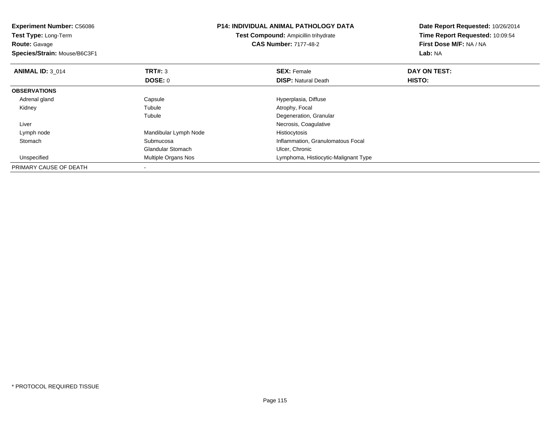| <b>Experiment Number: C56086</b> |                                      | <b>P14: INDIVIDUAL ANIMAL PATHOLOGY DATA</b> | Date Report Requested: 10/26/2014 |  |
|----------------------------------|--------------------------------------|----------------------------------------------|-----------------------------------|--|
| Test Type: Long-Term             | Test Compound: Ampicillin trihydrate |                                              | Time Report Requested: 10:09:54   |  |
| <b>Route: Gavage</b>             |                                      | <b>CAS Number: 7177-48-2</b>                 | First Dose M/F: NA / NA           |  |
| Species/Strain: Mouse/B6C3F1     |                                      |                                              | Lab: NA                           |  |
| <b>ANIMAL ID: 3 014</b>          | <b>TRT#: 3</b>                       | <b>SEX: Female</b>                           | DAY ON TEST:                      |  |
|                                  | <b>DOSE: 0</b>                       | <b>DISP: Natural Death</b>                   | HISTO:                            |  |
| <b>OBSERVATIONS</b>              |                                      |                                              |                                   |  |
| Adrenal gland                    | Capsule                              | Hyperplasia, Diffuse                         |                                   |  |
| Kidney                           | Tubule                               | Atrophy, Focal                               |                                   |  |
|                                  | Tubule                               | Degeneration, Granular                       |                                   |  |
| Liver                            |                                      | Necrosis, Coagulative                        |                                   |  |
| Lymph node                       | Mandibular Lymph Node                | Histiocytosis                                |                                   |  |
| Stomach                          | Submucosa                            | Inflammation, Granulomatous Focal            |                                   |  |
|                                  | <b>Glandular Stomach</b>             | Ulcer, Chronic                               |                                   |  |
| Unspecified                      | Multiple Organs Nos                  | Lymphoma, Histiocytic-Malignant Type         |                                   |  |
| PRIMARY CAUSE OF DEATH           |                                      |                                              |                                   |  |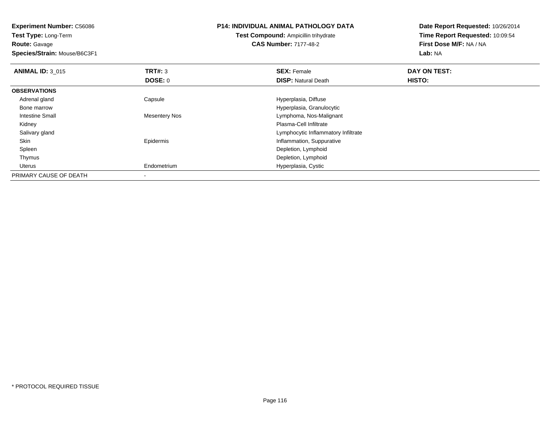**Experiment Number:** C56086**Test Type:** Long-Term

**Route:** Gavage

**Species/Strain:** Mouse/B6C3F1

## **P14: INDIVIDUAL ANIMAL PATHOLOGY DATA**

# **Test Compound:** Ampicillin trihydrate**CAS Number:** 7177-48-2

| <b>ANIMAL ID: 3 015</b> | TRT#: 3              | <b>SEX: Female</b>                  | <b>DAY ON TEST:</b> |  |
|-------------------------|----------------------|-------------------------------------|---------------------|--|
|                         | <b>DOSE: 0</b>       | <b>DISP: Natural Death</b>          | HISTO:              |  |
| <b>OBSERVATIONS</b>     |                      |                                     |                     |  |
| Adrenal gland           | Capsule              | Hyperplasia, Diffuse                |                     |  |
| Bone marrow             |                      | Hyperplasia, Granulocytic           |                     |  |
| <b>Intestine Small</b>  | <b>Mesentery Nos</b> | Lymphoma, Nos-Malignant             |                     |  |
| Kidney                  |                      | Plasma-Cell Infiltrate              |                     |  |
| Salivary gland          |                      | Lymphocytic Inflammatory Infiltrate |                     |  |
| Skin                    | Epidermis            | Inflammation, Suppurative           |                     |  |
| Spleen                  |                      | Depletion, Lymphoid                 |                     |  |
| Thymus                  |                      | Depletion, Lymphoid                 |                     |  |
| Uterus                  | Endometrium          | Hyperplasia, Cystic                 |                     |  |
| PRIMARY CAUSE OF DEATH  |                      |                                     |                     |  |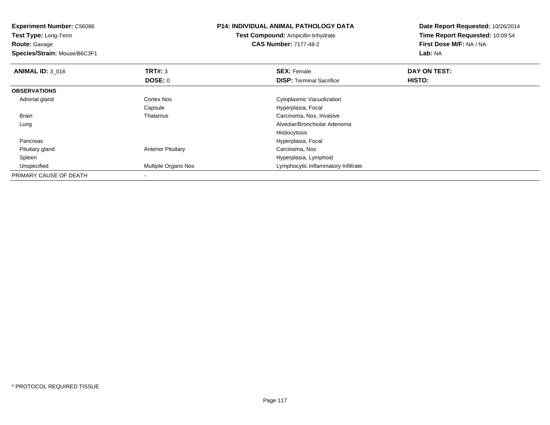| <b>Experiment Number: C56086</b><br>Test Type: Long-Term |                           | <b>P14: INDIVIDUAL ANIMAL PATHOLOGY DATA</b><br><b>Test Compound: Ampicillin trihydrate</b> | Date Report Requested: 10/26/2014<br>Time Report Requested: 10:09:54 |
|----------------------------------------------------------|---------------------------|---------------------------------------------------------------------------------------------|----------------------------------------------------------------------|
| <b>Route: Gavage</b><br>Species/Strain: Mouse/B6C3F1     |                           | <b>CAS Number: 7177-48-2</b>                                                                | First Dose M/F: NA / NA<br>Lab: NA                                   |
| <b>ANIMAL ID: 3 016</b>                                  | TRT#: 3                   | <b>SEX: Female</b>                                                                          | DAY ON TEST:                                                         |
|                                                          | DOSE: 0                   | <b>DISP: Terminal Sacrifice</b>                                                             | HISTO:                                                               |
| <b>OBSERVATIONS</b>                                      |                           |                                                                                             |                                                                      |
| Adrenal gland                                            | Cortex Nos                | Cytoplasmic Vacuolization                                                                   |                                                                      |
|                                                          | Capsule                   | Hyperplasia, Focal                                                                          |                                                                      |
| Brain                                                    | Thalamus                  | Carcinoma, Nos, Invasive                                                                    |                                                                      |
| Lung                                                     |                           | Alveolar/Bronchiolar Adenoma                                                                |                                                                      |
|                                                          |                           | Histiocytosis                                                                               |                                                                      |
| Pancreas                                                 |                           | Hyperplasia, Focal                                                                          |                                                                      |
| Pituitary gland                                          | <b>Anterior Pituitary</b> | Carcinoma, Nos                                                                              |                                                                      |
| Spleen                                                   |                           | Hyperplasia, Lymphoid                                                                       |                                                                      |
| Unspecified                                              | Multiple Organs Nos       | Lymphocytic Inflammatory Infiltrate                                                         |                                                                      |
| PRIMARY CAUSE OF DEATH                                   |                           |                                                                                             |                                                                      |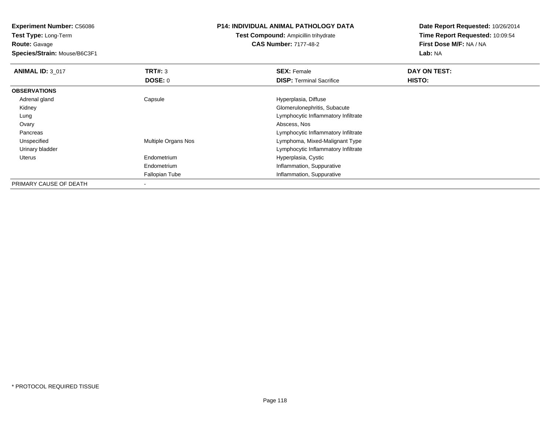**Test Type:** Long-Term**Route:** Gavage

**Species/Strain:** Mouse/B6C3F1

## **P14: INDIVIDUAL ANIMAL PATHOLOGY DATA**

**Test Compound:** Ampicillin trihydrate**CAS Number:** 7177-48-2

| <b>ANIMAL ID: 3 017</b> | TRT#: 3             | <b>SEX: Female</b>                  | DAY ON TEST: |  |
|-------------------------|---------------------|-------------------------------------|--------------|--|
|                         | DOSE: 0             | <b>DISP: Terminal Sacrifice</b>     | HISTO:       |  |
| <b>OBSERVATIONS</b>     |                     |                                     |              |  |
| Adrenal gland           | Capsule             | Hyperplasia, Diffuse                |              |  |
| Kidney                  |                     | Glomerulonephritis, Subacute        |              |  |
| Lung                    |                     | Lymphocytic Inflammatory Infiltrate |              |  |
| Ovary                   |                     | Abscess, Nos                        |              |  |
| Pancreas                |                     | Lymphocytic Inflammatory Infiltrate |              |  |
| Unspecified             | Multiple Organs Nos | Lymphoma, Mixed-Malignant Type      |              |  |
| Urinary bladder         |                     | Lymphocytic Inflammatory Infiltrate |              |  |
| Uterus                  | Endometrium         | Hyperplasia, Cystic                 |              |  |
|                         | Endometrium         | Inflammation, Suppurative           |              |  |
|                         | Fallopian Tube      | Inflammation, Suppurative           |              |  |
| PRIMARY CAUSE OF DEATH  |                     |                                     |              |  |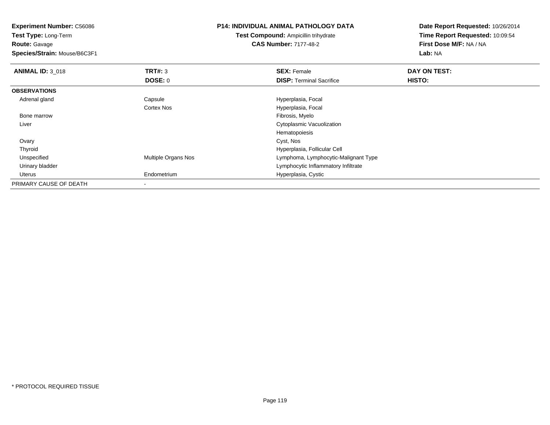**Experiment Number:** C56086**Test Type:** Long-Term**Route:** Gavage **Species/Strain:** Mouse/B6C3F1**P14: INDIVIDUAL ANIMAL PATHOLOGY DATATest Compound:** Ampicillin trihydrate**CAS Number:** 7177-48-2**Date Report Requested:** 10/26/2014**Time Report Requested:** 10:09:54**First Dose M/F:** NA / NA**Lab:** NA**ANIMAL ID: 3 018 REX:** Female **DAY ON TEST: SEX:** Female **SEX:** Female **DOSE:** 0**DISP:** Terminal Sacrifice **HISTO: OBSERVATIONS** Adrenal glandCapsule **Capsule Hyperplasia**, Focal Cortex NosHyperplasia, Focal<br>Fibrosis, Myelo Bone marroww which is a state of the state of the state of the state of the state of the Fibrosis, Myelo state of the state of the state of the state of the state of the state of the state of the state of the state of the state of th Liver Cytoplasmic VacuolizationHematopoiesis**Ovary** y and the control of the control of the control of the control of the control of the control of the control of the control of the control of the control of the control of the control of the control of the control of the co ThyroidHyperplasia, Follicular Cell<br>Multiple Organs Nos extension of the Hymphoma, Lymphocytic-M UnspecifiedLymphoma, Lymphocytic-Malignant Type Urinary bladder Lymphocytic Inflammatory Infiltrate Uterus Endometrium Hyperplasia, Cystic PRIMARY CAUSE OF DEATH-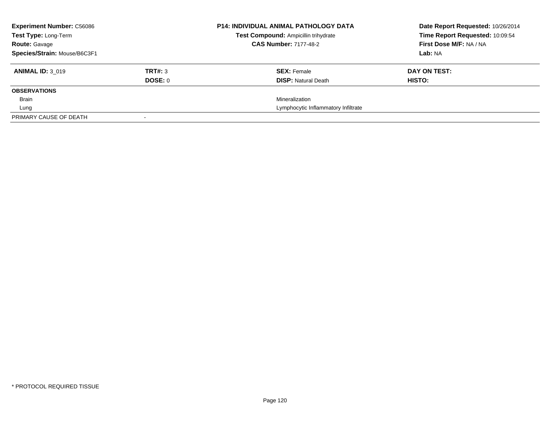| <b>Experiment Number: C56086</b><br>Test Type: Long-Term |         | <b>P14: INDIVIDUAL ANIMAL PATHOLOGY DATA</b><br>Test Compound: Ampicillin trihydrate | Date Report Requested: 10/26/2014<br>Time Report Requested: 10:09:54 |
|----------------------------------------------------------|---------|--------------------------------------------------------------------------------------|----------------------------------------------------------------------|
| <b>Route: Gavage</b>                                     |         | <b>CAS Number: 7177-48-2</b>                                                         | First Dose M/F: NA / NA                                              |
| Species/Strain: Mouse/B6C3F1                             |         |                                                                                      | Lab: NA                                                              |
| <b>ANIMAL ID: 3 019</b>                                  | TRT#: 3 | <b>SEX: Female</b>                                                                   | DAY ON TEST:                                                         |
|                                                          | DOSE: 0 | <b>DISP:</b> Natural Death                                                           | HISTO:                                                               |
| <b>OBSERVATIONS</b>                                      |         |                                                                                      |                                                                      |
| <b>Brain</b>                                             |         | Mineralization                                                                       |                                                                      |
| Lung                                                     |         | Lymphocytic Inflammatory Infiltrate                                                  |                                                                      |
| PRIMARY CAUSE OF DEATH                                   |         |                                                                                      |                                                                      |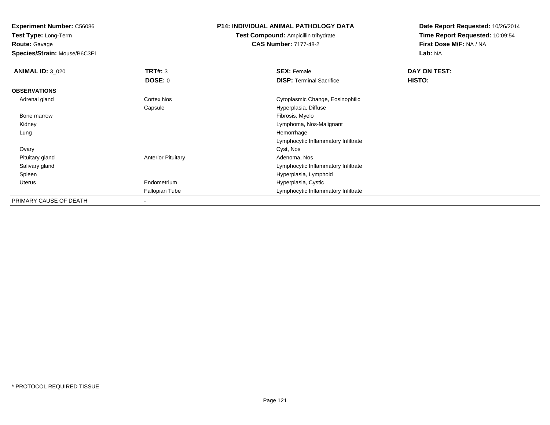**Test Type:** Long-Term**Route:** Gavage

**Species/Strain:** Mouse/B6C3F1

## **P14: INDIVIDUAL ANIMAL PATHOLOGY DATA**

**Test Compound:** Ampicillin trihydrate**CAS Number:** 7177-48-2

| <b>ANIMAL ID: 3 020</b> | TRT#: 3                   | <b>SEX: Female</b>                  | DAY ON TEST: |  |
|-------------------------|---------------------------|-------------------------------------|--------------|--|
|                         | <b>DOSE: 0</b>            | <b>DISP: Terminal Sacrifice</b>     | HISTO:       |  |
| <b>OBSERVATIONS</b>     |                           |                                     |              |  |
| Adrenal gland           | Cortex Nos                | Cytoplasmic Change, Eosinophilic    |              |  |
|                         | Capsule                   | Hyperplasia, Diffuse                |              |  |
| Bone marrow             |                           | Fibrosis, Myelo                     |              |  |
| Kidney                  |                           | Lymphoma, Nos-Malignant             |              |  |
| Lung                    |                           | Hemorrhage                          |              |  |
|                         |                           | Lymphocytic Inflammatory Infiltrate |              |  |
| Ovary                   |                           | Cyst, Nos                           |              |  |
| Pituitary gland         | <b>Anterior Pituitary</b> | Adenoma, Nos                        |              |  |
| Salivary gland          |                           | Lymphocytic Inflammatory Infiltrate |              |  |
| Spleen                  |                           | Hyperplasia, Lymphoid               |              |  |
| Uterus                  | Endometrium               | Hyperplasia, Cystic                 |              |  |
|                         | Fallopian Tube            | Lymphocytic Inflammatory Infiltrate |              |  |
| PRIMARY CAUSE OF DEATH  |                           |                                     |              |  |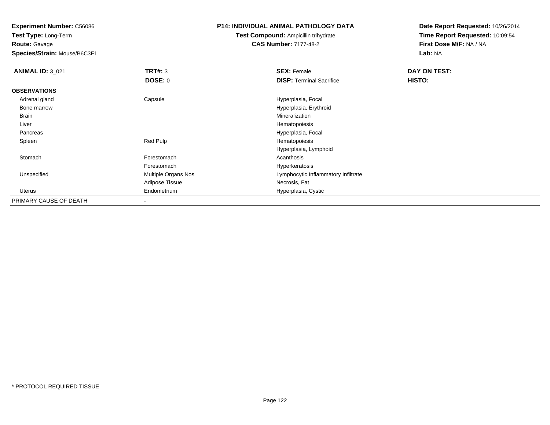**Test Type:** Long-Term**Route:** Gavage

**Species/Strain:** Mouse/B6C3F1

## **P14: INDIVIDUAL ANIMAL PATHOLOGY DATA**

**Test Compound:** Ampicillin trihydrate**CAS Number:** 7177-48-2

| <b>ANIMAL ID: 3 021</b> | TRT#: 3             | <b>SEX: Female</b>                  | DAY ON TEST: |  |
|-------------------------|---------------------|-------------------------------------|--------------|--|
|                         | <b>DOSE: 0</b>      | <b>DISP: Terminal Sacrifice</b>     | HISTO:       |  |
| <b>OBSERVATIONS</b>     |                     |                                     |              |  |
| Adrenal gland           | Capsule             | Hyperplasia, Focal                  |              |  |
| Bone marrow             |                     | Hyperplasia, Erythroid              |              |  |
| Brain                   |                     | Mineralization                      |              |  |
| Liver                   |                     | Hematopoiesis                       |              |  |
| Pancreas                |                     | Hyperplasia, Focal                  |              |  |
| Spleen                  | Red Pulp            | Hematopoiesis                       |              |  |
|                         |                     | Hyperplasia, Lymphoid               |              |  |
| Stomach                 | Forestomach         | Acanthosis                          |              |  |
|                         | Forestomach         | Hyperkeratosis                      |              |  |
| Unspecified             | Multiple Organs Nos | Lymphocytic Inflammatory Infiltrate |              |  |
|                         | Adipose Tissue      | Necrosis, Fat                       |              |  |
| Uterus                  | Endometrium         | Hyperplasia, Cystic                 |              |  |
| PRIMARY CAUSE OF DEATH  |                     |                                     |              |  |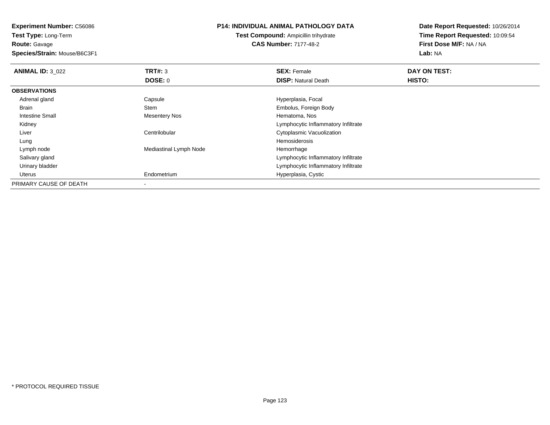**Experiment Number:** C56086**Test Type:** Long-Term

**Route:** Gavage

**Species/Strain:** Mouse/B6C3F1

## **P14: INDIVIDUAL ANIMAL PATHOLOGY DATA**

**Test Compound:** Ampicillin trihydrate**CAS Number:** 7177-48-2

| <b>ANIMAL ID: 3 022</b> | TRT#: 3                | <b>SEX: Female</b>                  | DAY ON TEST: |  |
|-------------------------|------------------------|-------------------------------------|--------------|--|
|                         | <b>DOSE: 0</b>         | <b>DISP: Natural Death</b>          | HISTO:       |  |
| <b>OBSERVATIONS</b>     |                        |                                     |              |  |
| Adrenal gland           | Capsule                | Hyperplasia, Focal                  |              |  |
| Brain                   | Stem                   | Embolus, Foreign Body               |              |  |
| Intestine Small         | <b>Mesentery Nos</b>   | Hematoma, Nos                       |              |  |
| Kidney                  |                        | Lymphocytic Inflammatory Infiltrate |              |  |
| Liver                   | Centrilobular          | Cytoplasmic Vacuolization           |              |  |
| Lung                    |                        | Hemosiderosis                       |              |  |
| Lymph node              | Mediastinal Lymph Node | Hemorrhage                          |              |  |
| Salivary gland          |                        | Lymphocytic Inflammatory Infiltrate |              |  |
| Urinary bladder         |                        | Lymphocytic Inflammatory Infiltrate |              |  |
| Uterus                  | Endometrium            | Hyperplasia, Cystic                 |              |  |
| PRIMARY CAUSE OF DEATH  |                        |                                     |              |  |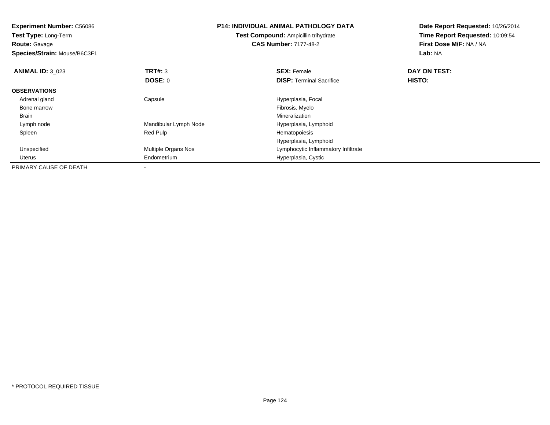| <b>Experiment Number: C56086</b> |                       | <b>P14: INDIVIDUAL ANIMAL PATHOLOGY DATA</b> | Date Report Requested: 10/26/2014 |  |
|----------------------------------|-----------------------|----------------------------------------------|-----------------------------------|--|
| Test Type: Long-Term             |                       | Test Compound: Ampicillin trihydrate         | Time Report Requested: 10:09:54   |  |
| <b>Route: Gavage</b>             |                       | <b>CAS Number: 7177-48-2</b>                 | First Dose M/F: NA / NA           |  |
| Species/Strain: Mouse/B6C3F1     |                       |                                              | Lab: NA                           |  |
| <b>ANIMAL ID: 3 023</b>          | <b>TRT#: 3</b>        | <b>SEX: Female</b>                           | DAY ON TEST:                      |  |
|                                  | DOSE: 0               | <b>DISP: Terminal Sacrifice</b>              | HISTO:                            |  |
| <b>OBSERVATIONS</b>              |                       |                                              |                                   |  |
| Adrenal gland                    | Capsule               | Hyperplasia, Focal                           |                                   |  |
| Bone marrow                      |                       | Fibrosis, Myelo                              |                                   |  |
| Brain                            |                       | Mineralization                               |                                   |  |
| Lymph node                       | Mandibular Lymph Node | Hyperplasia, Lymphoid                        |                                   |  |
| Spleen                           | Red Pulp              | Hematopoiesis                                |                                   |  |
|                                  |                       | Hyperplasia, Lymphoid                        |                                   |  |
| Unspecified                      | Multiple Organs Nos   | Lymphocytic Inflammatory Infiltrate          |                                   |  |
| <b>Uterus</b>                    | Endometrium           | Hyperplasia, Cystic                          |                                   |  |
| PRIMARY CAUSE OF DEATH           |                       |                                              |                                   |  |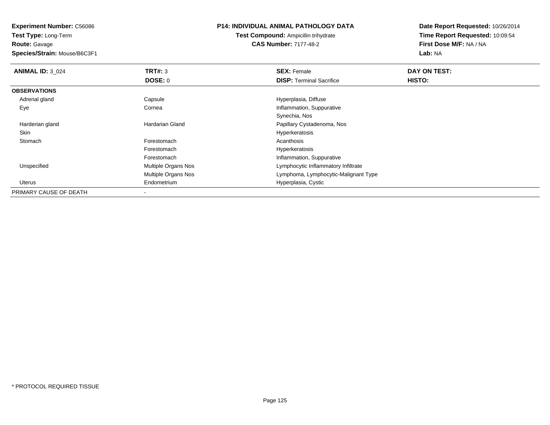**Test Type:** Long-Term**Route:** Gavage

**Species/Strain:** Mouse/B6C3F1

## **P14: INDIVIDUAL ANIMAL PATHOLOGY DATA**

**Test Compound:** Ampicillin trihydrate**CAS Number:** 7177-48-2

| <b>ANIMAL ID: 3_024</b> | TRT#: 3             | <b>SEX: Female</b>                   | DAY ON TEST: |  |
|-------------------------|---------------------|--------------------------------------|--------------|--|
|                         | DOSE: 0             | <b>DISP:</b> Terminal Sacrifice      | HISTO:       |  |
| <b>OBSERVATIONS</b>     |                     |                                      |              |  |
| Adrenal gland           | Capsule             | Hyperplasia, Diffuse                 |              |  |
| Eye                     | Cornea              | Inflammation, Suppurative            |              |  |
|                         |                     | Synechia, Nos                        |              |  |
| Harderian gland         | Hardarian Gland     | Papillary Cystadenoma, Nos           |              |  |
| Skin                    |                     | Hyperkeratosis                       |              |  |
| Stomach                 | Forestomach         | Acanthosis                           |              |  |
|                         | Forestomach         | Hyperkeratosis                       |              |  |
|                         | Forestomach         | Inflammation, Suppurative            |              |  |
| Unspecified             | Multiple Organs Nos | Lymphocytic Inflammatory Infiltrate  |              |  |
|                         | Multiple Organs Nos | Lymphoma, Lymphocytic-Malignant Type |              |  |
| Uterus                  | Endometrium         | Hyperplasia, Cystic                  |              |  |
| PRIMARY CAUSE OF DEATH  |                     |                                      |              |  |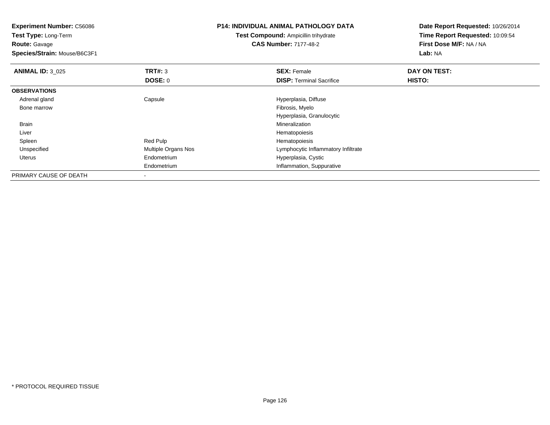| <b>Experiment Number: C56086</b><br><b>Test Type: Long-Term</b> |                     | <b>P14: INDIVIDUAL ANIMAL PATHOLOGY DATA</b> | Date Report Requested: 10/26/2014 |
|-----------------------------------------------------------------|---------------------|----------------------------------------------|-----------------------------------|
|                                                                 |                     | <b>Test Compound: Ampicillin trihydrate</b>  | Time Report Requested: 10:09:54   |
| <b>Route: Gavage</b>                                            |                     | <b>CAS Number: 7177-48-2</b>                 | First Dose M/F: NA / NA           |
| Species/Strain: Mouse/B6C3F1                                    |                     |                                              | Lab: NA                           |
| <b>ANIMAL ID: 3_025</b>                                         | <b>TRT#:</b> 3      | <b>SEX: Female</b>                           | DAY ON TEST:                      |
|                                                                 | <b>DOSE: 0</b>      | <b>DISP:</b> Terminal Sacrifice              | HISTO:                            |
| <b>OBSERVATIONS</b>                                             |                     |                                              |                                   |
| Adrenal gland                                                   | Capsule             | Hyperplasia, Diffuse                         |                                   |
| Bone marrow                                                     |                     | Fibrosis, Myelo                              |                                   |
|                                                                 |                     | Hyperplasia, Granulocytic                    |                                   |
| Brain                                                           |                     | Mineralization                               |                                   |
| Liver                                                           |                     | Hematopoiesis                                |                                   |
| Spleen                                                          | Red Pulp            | Hematopoiesis                                |                                   |
| Unspecified                                                     | Multiple Organs Nos | Lymphocytic Inflammatory Infiltrate          |                                   |
| <b>Uterus</b>                                                   | Endometrium         | Hyperplasia, Cystic                          |                                   |
|                                                                 | Endometrium         | Inflammation, Suppurative                    |                                   |
| PRIMARY CAUSE OF DEATH                                          |                     |                                              |                                   |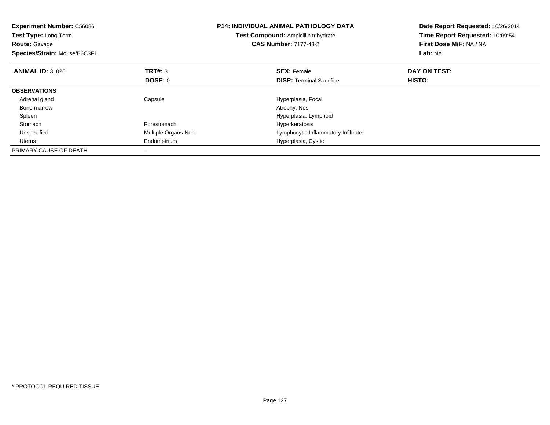| <b>Experiment Number: C56086</b><br>Test Type: Long-Term<br><b>Route: Gavage</b><br>Species/Strain: Mouse/B6C3F1 |                     | <b>P14: INDIVIDUAL ANIMAL PATHOLOGY DATA</b><br>Test Compound: Ampicillin trihydrate<br><b>CAS Number: 7177-48-2</b> | Date Report Requested: 10/26/2014<br>Time Report Requested: 10:09:54<br>First Dose M/F: NA / NA<br>Lab: NA |
|------------------------------------------------------------------------------------------------------------------|---------------------|----------------------------------------------------------------------------------------------------------------------|------------------------------------------------------------------------------------------------------------|
| <b>ANIMAL ID: 3 026</b>                                                                                          | <b>TRT#: 3</b>      | <b>SEX: Female</b>                                                                                                   | DAY ON TEST:                                                                                               |
|                                                                                                                  | DOSE: 0             | <b>DISP:</b> Terminal Sacrifice                                                                                      | <b>HISTO:</b>                                                                                              |
| <b>OBSERVATIONS</b>                                                                                              |                     |                                                                                                                      |                                                                                                            |
| Adrenal gland                                                                                                    | Capsule             | Hyperplasia, Focal                                                                                                   |                                                                                                            |
| Bone marrow                                                                                                      |                     | Atrophy, Nos                                                                                                         |                                                                                                            |
| Spleen                                                                                                           |                     | Hyperplasia, Lymphoid                                                                                                |                                                                                                            |
| Stomach                                                                                                          | Forestomach         | Hyperkeratosis                                                                                                       |                                                                                                            |
| Unspecified                                                                                                      | Multiple Organs Nos | Lymphocytic Inflammatory Infiltrate                                                                                  |                                                                                                            |
| Uterus                                                                                                           | Endometrium         | Hyperplasia, Cystic                                                                                                  |                                                                                                            |
| PRIMARY CAUSE OF DEATH                                                                                           |                     |                                                                                                                      |                                                                                                            |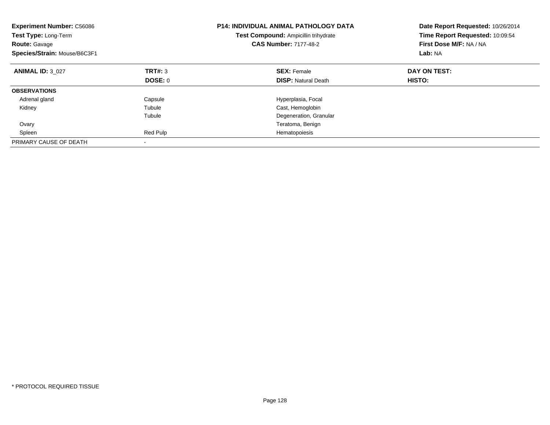| <b>Experiment Number: C56086</b><br>Test Type: Long-Term<br><b>Route: Gavage</b><br>Species/Strain: Mouse/B6C3F1 |          | <b>P14: INDIVIDUAL ANIMAL PATHOLOGY DATA</b><br>Test Compound: Ampicillin trihydrate<br><b>CAS Number: 7177-48-2</b> | Date Report Requested: 10/26/2014<br>Time Report Requested: 10:09:54<br>First Dose M/F: NA / NA<br>Lab: NA |
|------------------------------------------------------------------------------------------------------------------|----------|----------------------------------------------------------------------------------------------------------------------|------------------------------------------------------------------------------------------------------------|
| <b>ANIMAL ID: 3 027</b>                                                                                          | TRT#: 3  | <b>SEX: Female</b>                                                                                                   | DAY ON TEST:                                                                                               |
|                                                                                                                  | DOSE: 0  | <b>DISP: Natural Death</b>                                                                                           | <b>HISTO:</b>                                                                                              |
| <b>OBSERVATIONS</b>                                                                                              |          |                                                                                                                      |                                                                                                            |
| Adrenal gland                                                                                                    | Capsule  | Hyperplasia, Focal                                                                                                   |                                                                                                            |
| Kidney                                                                                                           | Tubule   | Cast, Hemoglobin                                                                                                     |                                                                                                            |
|                                                                                                                  | Tubule   | Degeneration, Granular                                                                                               |                                                                                                            |
| Ovary                                                                                                            |          | Teratoma, Benign                                                                                                     |                                                                                                            |
| Spleen                                                                                                           | Red Pulp | Hematopoiesis                                                                                                        |                                                                                                            |
| PRIMARY CAUSE OF DEATH                                                                                           |          |                                                                                                                      |                                                                                                            |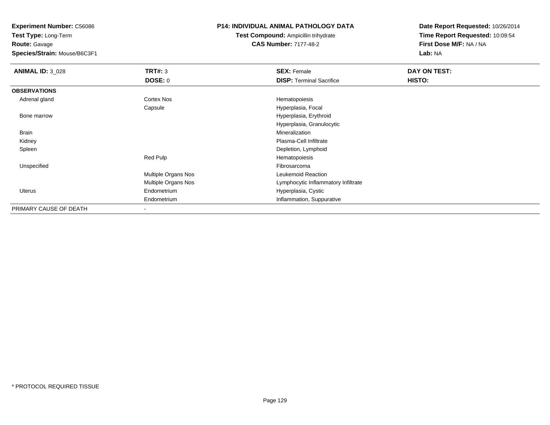**Test Type:** Long-Term**Route:** Gavage

**Species/Strain:** Mouse/B6C3F1

# **P14: INDIVIDUAL ANIMAL PATHOLOGY DATA**

**Test Compound:** Ampicillin trihydrate**CAS Number:** 7177-48-2

| <b>ANIMAL ID: 3 028</b> | TRT#: 3             | <b>SEX: Female</b>                  | DAY ON TEST: |
|-------------------------|---------------------|-------------------------------------|--------------|
|                         | DOSE: 0             | <b>DISP: Terminal Sacrifice</b>     | HISTO:       |
| <b>OBSERVATIONS</b>     |                     |                                     |              |
| Adrenal gland           | Cortex Nos          | Hematopoiesis                       |              |
|                         | Capsule             | Hyperplasia, Focal                  |              |
| Bone marrow             |                     | Hyperplasia, Erythroid              |              |
|                         |                     | Hyperplasia, Granulocytic           |              |
| Brain                   |                     | Mineralization                      |              |
| Kidney                  |                     | Plasma-Cell Infiltrate              |              |
| Spleen                  |                     | Depletion, Lymphoid                 |              |
|                         | Red Pulp            | Hematopoiesis                       |              |
| Unspecified             |                     | Fibrosarcoma                        |              |
|                         | Multiple Organs Nos | Leukemoid Reaction                  |              |
|                         | Multiple Organs Nos | Lymphocytic Inflammatory Infiltrate |              |
| <b>Uterus</b>           | Endometrium         | Hyperplasia, Cystic                 |              |
|                         | Endometrium         | Inflammation, Suppurative           |              |
| PRIMARY CAUSE OF DEATH  |                     |                                     |              |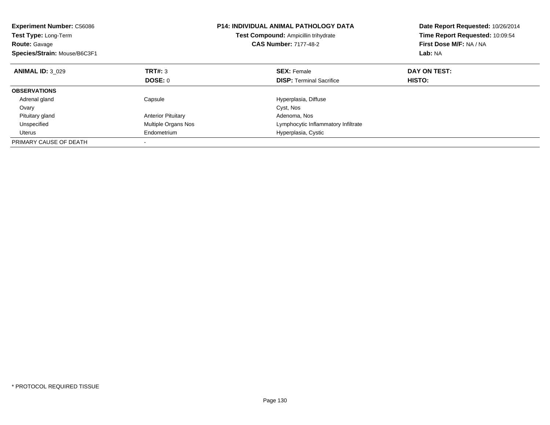| <b>Experiment Number: C56086</b><br>Test Type: Long-Term<br><b>Route: Gavage</b><br>Species/Strain: Mouse/B6C3F1 |                           | <b>P14: INDIVIDUAL ANIMAL PATHOLOGY DATA</b><br>Test Compound: Ampicillin trihydrate<br><b>CAS Number: 7177-48-2</b> | Date Report Requested: 10/26/2014<br>Time Report Requested: 10:09:54<br>First Dose M/F: NA / NA<br>Lab: NA |
|------------------------------------------------------------------------------------------------------------------|---------------------------|----------------------------------------------------------------------------------------------------------------------|------------------------------------------------------------------------------------------------------------|
| <b>ANIMAL ID: 3 029</b>                                                                                          | TRT#: 3                   | <b>SEX: Female</b>                                                                                                   | DAY ON TEST:                                                                                               |
|                                                                                                                  | DOSE: 0                   | <b>DISP:</b> Terminal Sacrifice                                                                                      | HISTO:                                                                                                     |
| <b>OBSERVATIONS</b>                                                                                              |                           |                                                                                                                      |                                                                                                            |
| Adrenal gland                                                                                                    | Capsule                   | Hyperplasia, Diffuse                                                                                                 |                                                                                                            |
| Ovary                                                                                                            |                           | Cyst, Nos                                                                                                            |                                                                                                            |
| Pituitary gland                                                                                                  | <b>Anterior Pituitary</b> | Adenoma, Nos                                                                                                         |                                                                                                            |
| Unspecified                                                                                                      | Multiple Organs Nos       | Lymphocytic Inflammatory Infiltrate                                                                                  |                                                                                                            |
| Uterus                                                                                                           | Endometrium               | Hyperplasia, Cystic                                                                                                  |                                                                                                            |
| PRIMARY CAUSE OF DEATH                                                                                           |                           |                                                                                                                      |                                                                                                            |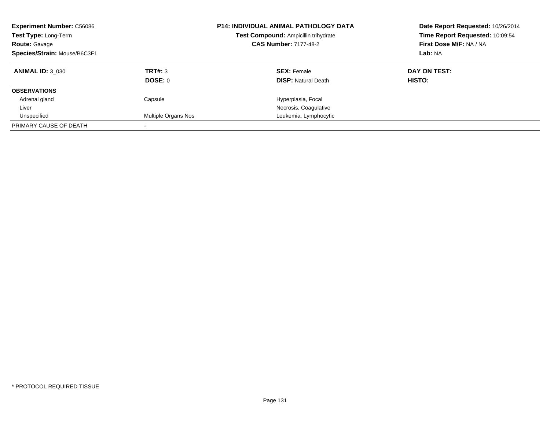| <b>Experiment Number: C56086</b><br>Test Type: Long-Term<br><b>Route: Gavage</b><br>Species/Strain: Mouse/B6C3F1 |                     | <b>P14: INDIVIDUAL ANIMAL PATHOLOGY DATA</b><br>Test Compound: Ampicillin trihydrate<br><b>CAS Number: 7177-48-2</b> | Date Report Requested: 10/26/2014<br>Time Report Requested: 10:09:54<br>First Dose M/F: NA / NA<br>Lab: NA |
|------------------------------------------------------------------------------------------------------------------|---------------------|----------------------------------------------------------------------------------------------------------------------|------------------------------------------------------------------------------------------------------------|
| <b>ANIMAL ID: 3 030</b>                                                                                          | TRT#: 3             | <b>SEX: Female</b>                                                                                                   | DAY ON TEST:                                                                                               |
|                                                                                                                  | DOSE: 0             | <b>DISP:</b> Natural Death                                                                                           | HISTO:                                                                                                     |
| <b>OBSERVATIONS</b>                                                                                              |                     |                                                                                                                      |                                                                                                            |
| Adrenal gland                                                                                                    | Capsule             | Hyperplasia, Focal                                                                                                   |                                                                                                            |
| Liver                                                                                                            |                     | Necrosis, Coagulative                                                                                                |                                                                                                            |
| Unspecified                                                                                                      | Multiple Organs Nos | Leukemia, Lymphocytic                                                                                                |                                                                                                            |
| PRIMARY CAUSE OF DEATH                                                                                           |                     |                                                                                                                      |                                                                                                            |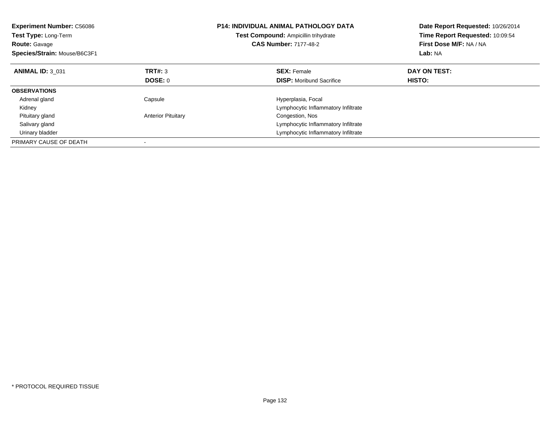| <b>Experiment Number: C56086</b><br>Test Type: Long-Term<br><b>Route: Gavage</b><br>Species/Strain: Mouse/B6C3F1 |                           | P14: INDIVIDUAL ANIMAL PATHOLOGY DATA<br>Test Compound: Ampicillin trihydrate<br><b>CAS Number: 7177-48-2</b> | Date Report Requested: 10/26/2014<br>Time Report Requested: 10:09:54<br>First Dose M/F: NA / NA<br>Lab: NA |
|------------------------------------------------------------------------------------------------------------------|---------------------------|---------------------------------------------------------------------------------------------------------------|------------------------------------------------------------------------------------------------------------|
| <b>ANIMAL ID: 3 031</b>                                                                                          | TRT#: 3                   | <b>SEX:</b> Female                                                                                            | DAY ON TEST:                                                                                               |
|                                                                                                                  | DOSE: 0                   | <b>DISP:</b> Moribund Sacrifice                                                                               | HISTO:                                                                                                     |
| <b>OBSERVATIONS</b>                                                                                              |                           |                                                                                                               |                                                                                                            |
| Adrenal gland                                                                                                    | Capsule                   | Hyperplasia, Focal                                                                                            |                                                                                                            |
| Kidney                                                                                                           |                           | Lymphocytic Inflammatory Infiltrate                                                                           |                                                                                                            |
| Pituitary gland                                                                                                  | <b>Anterior Pituitary</b> | Congestion, Nos                                                                                               |                                                                                                            |
| Salivary gland                                                                                                   |                           | Lymphocytic Inflammatory Infiltrate                                                                           |                                                                                                            |
| Urinary bladder                                                                                                  |                           | Lymphocytic Inflammatory Infiltrate                                                                           |                                                                                                            |
| PRIMARY CAUSE OF DEATH                                                                                           |                           |                                                                                                               |                                                                                                            |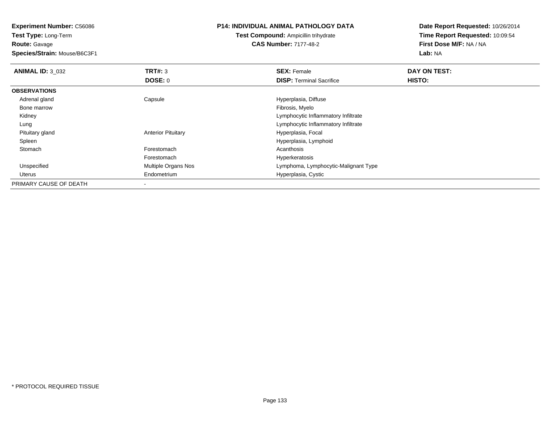**Test Type:** Long-Term**Route:** Gavage

**Species/Strain:** Mouse/B6C3F1

## **P14: INDIVIDUAL ANIMAL PATHOLOGY DATA**

**Test Compound:** Ampicillin trihydrate**CAS Number:** 7177-48-2

| <b>ANIMAL ID: 3 032</b> | TRT#: 3                   | <b>SEX: Female</b>                   | DAY ON TEST: |  |
|-------------------------|---------------------------|--------------------------------------|--------------|--|
|                         | DOSE: 0                   | <b>DISP: Terminal Sacrifice</b>      | HISTO:       |  |
| <b>OBSERVATIONS</b>     |                           |                                      |              |  |
| Adrenal gland           | Capsule                   | Hyperplasia, Diffuse                 |              |  |
| Bone marrow             |                           | Fibrosis, Myelo                      |              |  |
| Kidney                  |                           | Lymphocytic Inflammatory Infiltrate  |              |  |
| Lung                    |                           | Lymphocytic Inflammatory Infiltrate  |              |  |
| Pituitary gland         | <b>Anterior Pituitary</b> | Hyperplasia, Focal                   |              |  |
| Spleen                  |                           | Hyperplasia, Lymphoid                |              |  |
| Stomach                 | Forestomach               | Acanthosis                           |              |  |
|                         | Forestomach               | Hyperkeratosis                       |              |  |
| Unspecified             | Multiple Organs Nos       | Lymphoma, Lymphocytic-Malignant Type |              |  |
| Uterus                  | Endometrium               | Hyperplasia, Cystic                  |              |  |
| PRIMARY CAUSE OF DEATH  |                           |                                      |              |  |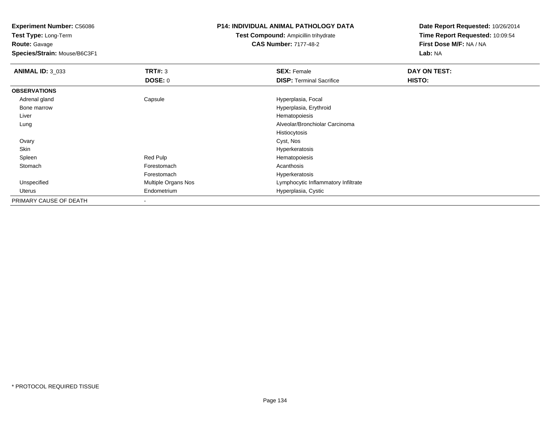**Test Type:** Long-Term**Route:** Gavage

**Species/Strain:** Mouse/B6C3F1

## **P14: INDIVIDUAL ANIMAL PATHOLOGY DATA**

**Test Compound:** Ampicillin trihydrate**CAS Number:** 7177-48-2

| <b>ANIMAL ID: 3_033</b> | TRT#: 3                  | <b>SEX: Female</b>                  | DAY ON TEST: |  |
|-------------------------|--------------------------|-------------------------------------|--------------|--|
|                         | DOSE: 0                  | <b>DISP: Terminal Sacrifice</b>     | HISTO:       |  |
| <b>OBSERVATIONS</b>     |                          |                                     |              |  |
| Adrenal gland           | Capsule                  | Hyperplasia, Focal                  |              |  |
| Bone marrow             |                          | Hyperplasia, Erythroid              |              |  |
| Liver                   |                          | Hematopoiesis                       |              |  |
| Lung                    |                          | Alveolar/Bronchiolar Carcinoma      |              |  |
|                         |                          | Histiocytosis                       |              |  |
| Ovary                   |                          | Cyst, Nos                           |              |  |
| Skin                    |                          | Hyperkeratosis                      |              |  |
| Spleen                  | Red Pulp                 | Hematopoiesis                       |              |  |
| Stomach                 | Forestomach              | Acanthosis                          |              |  |
|                         | Forestomach              | Hyperkeratosis                      |              |  |
| Unspecified             | Multiple Organs Nos      | Lymphocytic Inflammatory Infiltrate |              |  |
| Uterus                  | Endometrium              | Hyperplasia, Cystic                 |              |  |
| PRIMARY CAUSE OF DEATH  | $\overline{\phantom{a}}$ |                                     |              |  |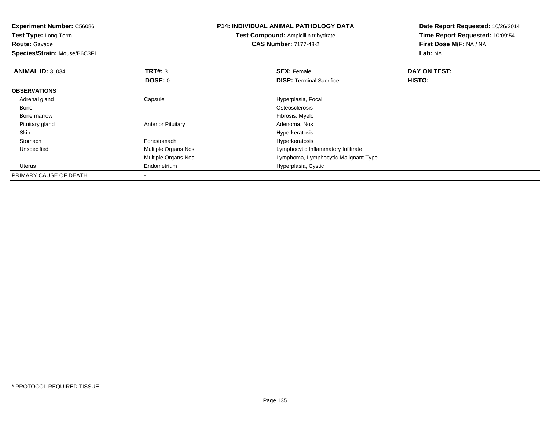| <b>Experiment Number: C56086</b> |                           | <b>P14: INDIVIDUAL ANIMAL PATHOLOGY DATA</b> | Date Report Requested: 10/26/2014 |  |
|----------------------------------|---------------------------|----------------------------------------------|-----------------------------------|--|
| <b>Test Type: Long-Term</b>      |                           | <b>Test Compound: Ampicillin trihydrate</b>  | Time Report Requested: 10:09:54   |  |
| <b>Route: Gavage</b>             |                           | <b>CAS Number: 7177-48-2</b>                 | First Dose M/F: NA / NA           |  |
| Species/Strain: Mouse/B6C3F1     |                           |                                              | Lab: NA                           |  |
| <b>ANIMAL ID: 3 034</b>          | <b>TRT#: 3</b>            | <b>SEX: Female</b>                           | DAY ON TEST:                      |  |
|                                  | DOSE: 0                   | <b>DISP:</b> Terminal Sacrifice              | HISTO:                            |  |
| <b>OBSERVATIONS</b>              |                           |                                              |                                   |  |
| Adrenal gland                    | Capsule                   | Hyperplasia, Focal                           |                                   |  |
| Bone                             |                           | Osteosclerosis                               |                                   |  |
| Bone marrow                      |                           | Fibrosis, Myelo                              |                                   |  |
| Pituitary gland                  | <b>Anterior Pituitary</b> | Adenoma, Nos                                 |                                   |  |
| Skin                             |                           | Hyperkeratosis                               |                                   |  |
| Stomach                          | Forestomach               | Hyperkeratosis                               |                                   |  |
| Unspecified                      | Multiple Organs Nos       | Lymphocytic Inflammatory Infiltrate          |                                   |  |
|                                  | Multiple Organs Nos       | Lymphoma, Lymphocytic-Malignant Type         |                                   |  |
| Uterus                           | Endometrium               | Hyperplasia, Cystic                          |                                   |  |
| PRIMARY CAUSE OF DEATH           |                           |                                              |                                   |  |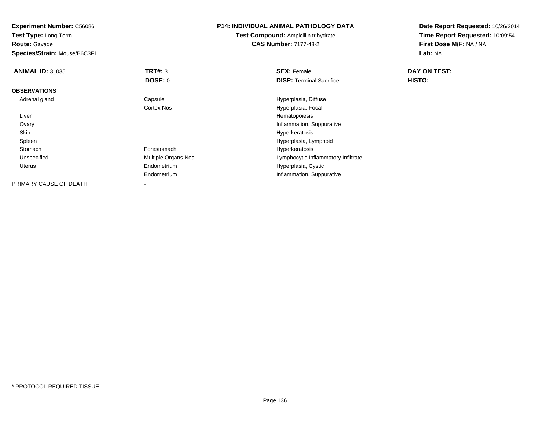**Test Type:** Long-Term**Route:** Gavage

**Species/Strain:** Mouse/B6C3F1

## **P14: INDIVIDUAL ANIMAL PATHOLOGY DATA**

**Test Compound:** Ampicillin trihydrate**CAS Number:** 7177-48-2

| <b>ANIMAL ID: 3 035</b> | TRT#: 3             | <b>SEX: Female</b>                  | DAY ON TEST: |  |
|-------------------------|---------------------|-------------------------------------|--------------|--|
|                         | DOSE: 0             | <b>DISP: Terminal Sacrifice</b>     | HISTO:       |  |
| <b>OBSERVATIONS</b>     |                     |                                     |              |  |
| Adrenal gland           | Capsule             | Hyperplasia, Diffuse                |              |  |
|                         | Cortex Nos          | Hyperplasia, Focal                  |              |  |
| Liver                   |                     | Hematopoiesis                       |              |  |
| Ovary                   |                     | Inflammation, Suppurative           |              |  |
| Skin                    |                     | Hyperkeratosis                      |              |  |
| Spleen                  |                     | Hyperplasia, Lymphoid               |              |  |
| Stomach                 | Forestomach         | Hyperkeratosis                      |              |  |
| Unspecified             | Multiple Organs Nos | Lymphocytic Inflammatory Infiltrate |              |  |
| Uterus                  | Endometrium         | Hyperplasia, Cystic                 |              |  |
|                         | Endometrium         | Inflammation, Suppurative           |              |  |
| PRIMARY CAUSE OF DEATH  | -                   |                                     |              |  |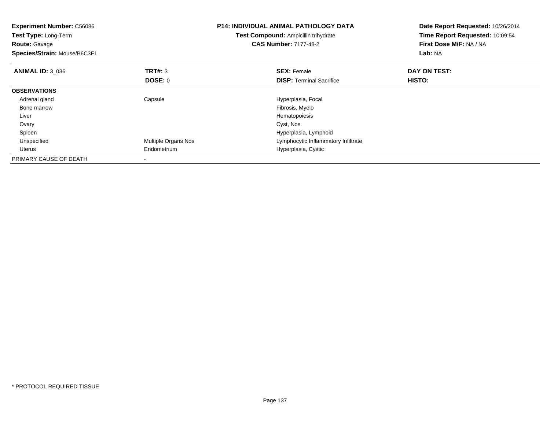| <b>Experiment Number: C56086</b><br><b>Test Type: Long-Term</b><br><b>Route: Gavage</b><br>Species/Strain: Mouse/B6C3F1 |                           | <b>P14: INDIVIDUAL ANIMAL PATHOLOGY DATA</b><br>Test Compound: Ampicillin trihydrate<br><b>CAS Number: 7177-48-2</b> | Date Report Requested: 10/26/2014<br>Time Report Requested: 10:09:54<br>First Dose M/F: NA / NA<br>Lab: NA |  |
|-------------------------------------------------------------------------------------------------------------------------|---------------------------|----------------------------------------------------------------------------------------------------------------------|------------------------------------------------------------------------------------------------------------|--|
| <b>ANIMAL ID: 3 036</b>                                                                                                 | <b>TRT#: 3</b><br>DOSE: 0 | <b>SEX: Female</b><br><b>DISP:</b> Terminal Sacrifice                                                                | DAY ON TEST:<br><b>HISTO:</b>                                                                              |  |
| <b>OBSERVATIONS</b>                                                                                                     |                           |                                                                                                                      |                                                                                                            |  |
| Adrenal gland                                                                                                           | Capsule                   | Hyperplasia, Focal                                                                                                   |                                                                                                            |  |
| Bone marrow                                                                                                             |                           | Fibrosis, Myelo                                                                                                      |                                                                                                            |  |
| Liver                                                                                                                   |                           | Hematopoiesis                                                                                                        |                                                                                                            |  |
| Ovary                                                                                                                   |                           | Cyst, Nos                                                                                                            |                                                                                                            |  |
| Spleen                                                                                                                  |                           | Hyperplasia, Lymphoid                                                                                                |                                                                                                            |  |
| Unspecified                                                                                                             | Multiple Organs Nos       | Lymphocytic Inflammatory Infiltrate                                                                                  |                                                                                                            |  |
| Uterus                                                                                                                  | Endometrium               | Hyperplasia, Cystic                                                                                                  |                                                                                                            |  |
| PRIMARY CAUSE OF DEATH                                                                                                  |                           |                                                                                                                      |                                                                                                            |  |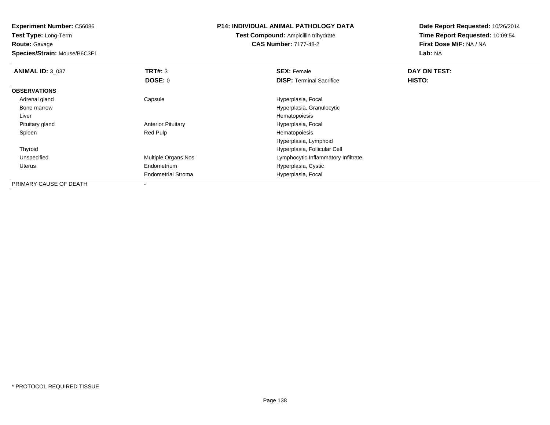**Test Type:** Long-Term**Route:** Gavage

**Species/Strain:** Mouse/B6C3F1

## **P14: INDIVIDUAL ANIMAL PATHOLOGY DATA**

**Test Compound:** Ampicillin trihydrate**CAS Number:** 7177-48-2

| <b>ANIMAL ID: 3 037</b> | TRT#: 3                   | <b>SEX: Female</b>                  | DAY ON TEST: |  |
|-------------------------|---------------------------|-------------------------------------|--------------|--|
|                         | DOSE: 0                   | <b>DISP: Terminal Sacrifice</b>     | HISTO:       |  |
| <b>OBSERVATIONS</b>     |                           |                                     |              |  |
| Adrenal gland           | Capsule                   | Hyperplasia, Focal                  |              |  |
| Bone marrow             |                           | Hyperplasia, Granulocytic           |              |  |
| Liver                   |                           | Hematopoiesis                       |              |  |
| Pituitary gland         | <b>Anterior Pituitary</b> | Hyperplasia, Focal                  |              |  |
| Spleen                  | Red Pulp                  | Hematopoiesis                       |              |  |
|                         |                           | Hyperplasia, Lymphoid               |              |  |
| Thyroid                 |                           | Hyperplasia, Follicular Cell        |              |  |
| Unspecified             | Multiple Organs Nos       | Lymphocytic Inflammatory Infiltrate |              |  |
| Uterus                  | Endometrium               | Hyperplasia, Cystic                 |              |  |
|                         | <b>Endometrial Stroma</b> | Hyperplasia, Focal                  |              |  |
| PRIMARY CAUSE OF DEATH  |                           |                                     |              |  |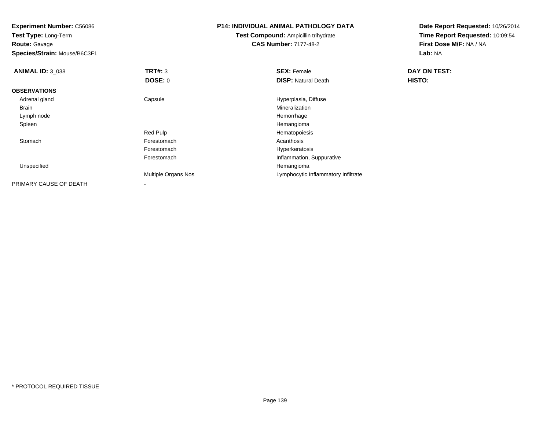**Experiment Number:** C56086**Test Type:** Long-Term**Route:** Gavage **Species/Strain:** Mouse/B6C3F1**P14: INDIVIDUAL ANIMAL PATHOLOGY DATATest Compound:** Ampicillin trihydrate**CAS Number:** 7177-48-2**Date Report Requested:** 10/26/2014**Time Report Requested:** 10:09:54**First Dose M/F:** NA / NA**Lab:** NA**ANIMAL ID:** 3\_038**REX:** Female **DAY ON TEST: SEX:** Female **SEX:** Female **DOSE:** 0**DISP:** Natural Death **HISTO: OBSERVATIONS** Adrenal glandCapsule **Capsule Capsule Capsule** Hyperplasia, Diffuse **Capsule 1, 2016**<br>
Mineralization Brainn and the control of the control of the control of the control of the control of the control of the control of the control of the control of the control of the control of the control of the control of the control of the co Lymph nodee and the state of the state of the state of the state of the state of the state of the state of the state of the state of the state of the state of the state of the state of the state of the state of the state of the stat Spleenn and the control of the control of the control of the control of the control of the control of the control of the control of the control of the control of the control of the control of the control of the control of the co Red Pulp Hematopoiesis Stomachh anns an t-India anns an t-India anns an t-India anns an t-India anns an t-India anns an t-India anns an t-In Forestomach Hyperkeratosis Forestomach Inflammation, Suppurative Unspecifiedd and the control of the control of the control of the control of the control of the control of the control of the control of the control of the control of the control of the control of the control of the control of the co Multiple Organs Nos Lymphocytic Inflammatory InfiltratePRIMARY CAUSE OF DEATH-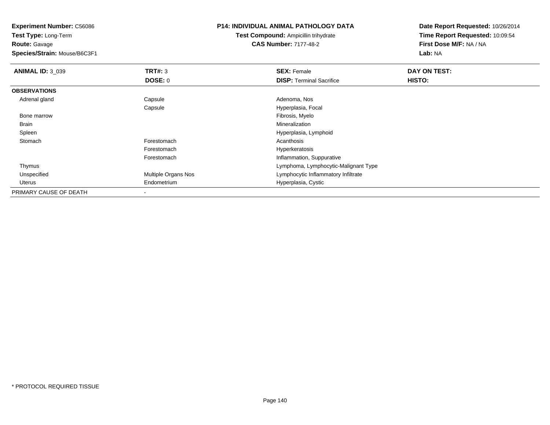**Test Type:** Long-Term**Route:** Gavage

**Species/Strain:** Mouse/B6C3F1

## **P14: INDIVIDUAL ANIMAL PATHOLOGY DATA**

**Test Compound:** Ampicillin trihydrate**CAS Number:** 7177-48-2

| <b>ANIMAL ID: 3_039</b> | TRT#: 3                  | <b>SEX: Female</b>                   | DAY ON TEST: |  |
|-------------------------|--------------------------|--------------------------------------|--------------|--|
|                         | <b>DOSE: 0</b>           | <b>DISP: Terminal Sacrifice</b>      | HISTO:       |  |
| <b>OBSERVATIONS</b>     |                          |                                      |              |  |
| Adrenal gland           | Capsule                  | Adenoma, Nos                         |              |  |
|                         | Capsule                  | Hyperplasia, Focal                   |              |  |
| Bone marrow             |                          | Fibrosis, Myelo                      |              |  |
| Brain                   |                          | Mineralization                       |              |  |
| Spleen                  |                          | Hyperplasia, Lymphoid                |              |  |
| Stomach                 | Forestomach              | Acanthosis                           |              |  |
|                         | Forestomach              | Hyperkeratosis                       |              |  |
|                         | Forestomach              | Inflammation, Suppurative            |              |  |
| Thymus                  |                          | Lymphoma, Lymphocytic-Malignant Type |              |  |
| Unspecified             | Multiple Organs Nos      | Lymphocytic Inflammatory Infiltrate  |              |  |
| Uterus                  | Endometrium              | Hyperplasia, Cystic                  |              |  |
| PRIMARY CAUSE OF DEATH  | $\overline{\phantom{a}}$ |                                      |              |  |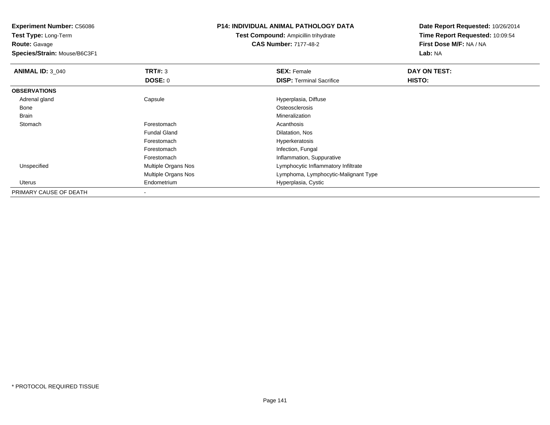**Experiment Number:** C56086**Test Type:** Long-Term**Route:** Gavage **Species/Strain:** Mouse/B6C3F1**P14: INDIVIDUAL ANIMAL PATHOLOGY DATATest Compound:** Ampicillin trihydrate**CAS Number:** 7177-48-2**Date Report Requested:** 10/26/2014**Time Report Requested:** 10:09:54**First Dose M/F:** NA / NA**Lab:** NA**ANIMAL ID: 3 040 C SEX:** Female **DAY ON TEST: DAY ON TEST: DOSE:** 0**DISP:** Terminal Sacrifice **HISTO: OBSERVATIONS** Adrenal glandCapsule **Capsule Capsule Capsule**<br>
Capsule Capsulate Content Content Content Content Content Content Content Content Content Content Content Conte<br>
Content Content Content Content Content Content Content Content Content Co Bonee de la constitución de la constitución de la constitución de la constitución de la constitución de la constitución<br>En el constitución de la constitución de la constitución de la constitución de la constitución de la const Brainn and the control of the control of the control of the control of the control of the control of the control of the control of the control of the control of the control of the control of the control of the control of the co **Stomach** h anns an t-India anns an t-India anns an t-India anns an t-India anns an t-India anns an t-India anns an t-In Fundal Gland Dilatation, Nos Forestomach Hyperkeratosis Forestomach Infection, Fungal ForestomachForestomach **Inflammation, Suppurative**<br>
Multiple Organs Nos **Inflammation** Lymphocytic Inflammatory UnspecifiedLymphocytic Inflammatory Infiltrate Multiple Organs Nos Lymphoma, Lymphocytic-Malignant Type Uterus Endometrium Hyperplasia, Cystic PRIMARY CAUSE OF DEATH

-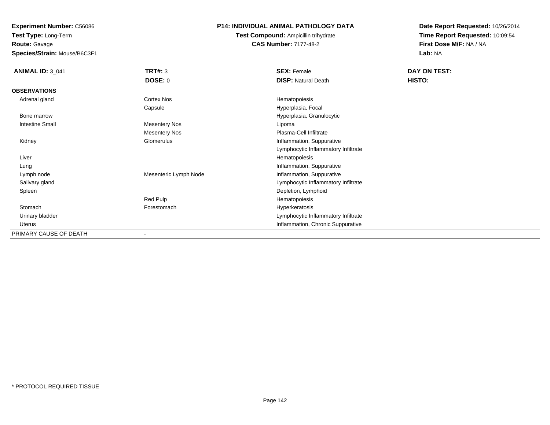**Experiment Number:** C56086**Test Type:** Long-Term

**Route:** Gavage

**Species/Strain:** Mouse/B6C3F1

# **P14: INDIVIDUAL ANIMAL PATHOLOGY DATA**

**Test Compound:** Ampicillin trihydrate**CAS Number:** 7177-48-2

| <b>ANIMAL ID: 3_041</b> | <b>TRT#: 3</b>        | <b>SEX: Female</b>                  | DAY ON TEST: |
|-------------------------|-----------------------|-------------------------------------|--------------|
|                         | <b>DOSE: 0</b>        | <b>DISP: Natural Death</b>          | HISTO:       |
| <b>OBSERVATIONS</b>     |                       |                                     |              |
| Adrenal gland           | Cortex Nos            | Hematopoiesis                       |              |
|                         | Capsule               | Hyperplasia, Focal                  |              |
| Bone marrow             |                       | Hyperplasia, Granulocytic           |              |
| <b>Intestine Small</b>  | <b>Mesentery Nos</b>  | Lipoma                              |              |
|                         | Mesentery Nos         | Plasma-Cell Infiltrate              |              |
| Kidney                  | Glomerulus            | Inflammation, Suppurative           |              |
|                         |                       | Lymphocytic Inflammatory Infiltrate |              |
| Liver                   |                       | Hematopoiesis                       |              |
| Lung                    |                       | Inflammation, Suppurative           |              |
| Lymph node              | Mesenteric Lymph Node | Inflammation, Suppurative           |              |
| Salivary gland          |                       | Lymphocytic Inflammatory Infiltrate |              |
| Spleen                  |                       | Depletion, Lymphoid                 |              |
|                         | Red Pulp              | Hematopoiesis                       |              |
| Stomach                 | Forestomach           | Hyperkeratosis                      |              |
| Urinary bladder         |                       | Lymphocytic Inflammatory Infiltrate |              |
| Uterus                  |                       | Inflammation, Chronic Suppurative   |              |
| PRIMARY CAUSE OF DEATH  |                       |                                     |              |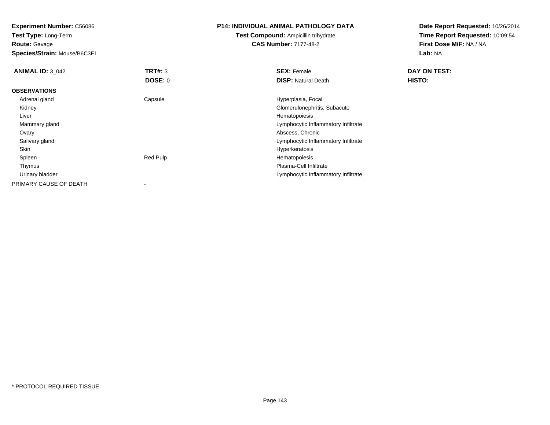**Test Type:** Long-Term**Route:** Gavage

**Species/Strain:** Mouse/B6C3F1

## **P14: INDIVIDUAL ANIMAL PATHOLOGY DATA**

**Test Compound:** Ampicillin trihydrate**CAS Number:** 7177-48-2

| <b>ANIMAL ID: 3 042</b> | TRT#: 3  | <b>SEX: Female</b>                  | DAY ON TEST: |
|-------------------------|----------|-------------------------------------|--------------|
|                         | DOSE: 0  | <b>DISP: Natural Death</b>          | HISTO:       |
| <b>OBSERVATIONS</b>     |          |                                     |              |
| Adrenal gland           | Capsule  | Hyperplasia, Focal                  |              |
| Kidney                  |          | Glomerulonephritis, Subacute        |              |
| Liver                   |          | Hematopoiesis                       |              |
| Mammary gland           |          | Lymphocytic Inflammatory Infiltrate |              |
| Ovary                   |          | Abscess, Chronic                    |              |
| Salivary gland          |          | Lymphocytic Inflammatory Infiltrate |              |
| Skin                    |          | Hyperkeratosis                      |              |
| Spleen                  | Red Pulp | Hematopoiesis                       |              |
| Thymus                  |          | Plasma-Cell Infiltrate              |              |
| Urinary bladder         |          | Lymphocytic Inflammatory Infiltrate |              |
| PRIMARY CAUSE OF DEATH  |          |                                     |              |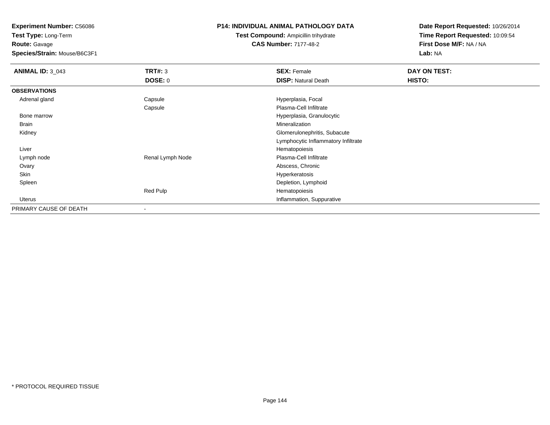**Test Type:** Long-Term**Route:** Gavage

**Species/Strain:** Mouse/B6C3F1

## **P14: INDIVIDUAL ANIMAL PATHOLOGY DATA**

**Test Compound:** Ampicillin trihydrate**CAS Number:** 7177-48-2

| <b>ANIMAL ID: 3_043</b> | <b>TRT#: 3</b>   | <b>SEX: Female</b>                  | DAY ON TEST: |
|-------------------------|------------------|-------------------------------------|--------------|
|                         | <b>DOSE: 0</b>   | <b>DISP: Natural Death</b>          | HISTO:       |
| <b>OBSERVATIONS</b>     |                  |                                     |              |
| Adrenal gland           | Capsule          | Hyperplasia, Focal                  |              |
|                         | Capsule          | Plasma-Cell Infiltrate              |              |
| Bone marrow             |                  | Hyperplasia, Granulocytic           |              |
| <b>Brain</b>            |                  | Mineralization                      |              |
| Kidney                  |                  | Glomerulonephritis, Subacute        |              |
|                         |                  | Lymphocytic Inflammatory Infiltrate |              |
| Liver                   |                  | Hematopoiesis                       |              |
| Lymph node              | Renal Lymph Node | Plasma-Cell Infiltrate              |              |
| Ovary                   |                  | Abscess, Chronic                    |              |
| Skin                    |                  | Hyperkeratosis                      |              |
| Spleen                  |                  | Depletion, Lymphoid                 |              |
|                         | Red Pulp         | Hematopoiesis                       |              |
| Uterus                  |                  | Inflammation, Suppurative           |              |
| PRIMARY CAUSE OF DEATH  |                  |                                     |              |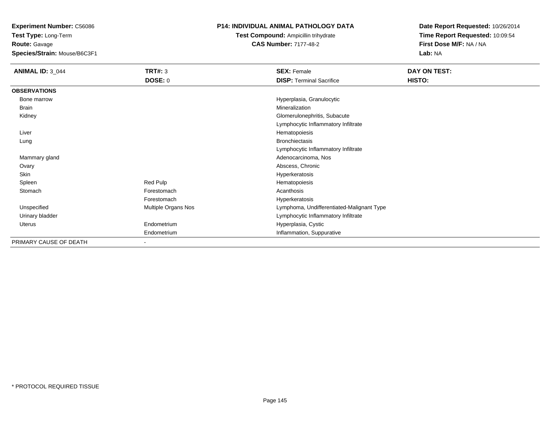**Experiment Number:** C56086

**Test Type:** Long-Term**Route:** Gavage

**Species/Strain:** Mouse/B6C3F1

## **P14: INDIVIDUAL ANIMAL PATHOLOGY DATA**

**Test Compound:** Ampicillin trihydrate**CAS Number:** 7177-48-2

**Date Report Requested:** 10/26/2014**Time Report Requested:** 10:09:54**First Dose M/F:** NA / NA**Lab:** NA

| <b>ANIMAL ID: 3_044</b> | <b>TRT#: 3</b>             | <b>SEX: Female</b>                        | DAY ON TEST: |
|-------------------------|----------------------------|-------------------------------------------|--------------|
|                         | <b>DOSE: 0</b>             | <b>DISP: Terminal Sacrifice</b>           | HISTO:       |
| <b>OBSERVATIONS</b>     |                            |                                           |              |
| Bone marrow             |                            | Hyperplasia, Granulocytic                 |              |
| Brain                   |                            | Mineralization                            |              |
| Kidney                  |                            | Glomerulonephritis, Subacute              |              |
|                         |                            | Lymphocytic Inflammatory Infiltrate       |              |
| Liver                   |                            | Hematopoiesis                             |              |
| Lung                    |                            | <b>Bronchiectasis</b>                     |              |
|                         |                            | Lymphocytic Inflammatory Infiltrate       |              |
| Mammary gland           |                            | Adenocarcinoma, Nos                       |              |
| Ovary                   |                            | Abscess, Chronic                          |              |
| Skin                    |                            | Hyperkeratosis                            |              |
| Spleen                  | Red Pulp                   | Hematopoiesis                             |              |
| Stomach                 | Forestomach                | Acanthosis                                |              |
|                         | Forestomach                | Hyperkeratosis                            |              |
| Unspecified             | <b>Multiple Organs Nos</b> | Lymphoma, Undifferentiated-Malignant Type |              |
| Urinary bladder         |                            | Lymphocytic Inflammatory Infiltrate       |              |
| Uterus                  | Endometrium                | Hyperplasia, Cystic                       |              |
|                         | Endometrium                | Inflammation, Suppurative                 |              |
| PRIMARY CAUSE OF DEATH  |                            |                                           |              |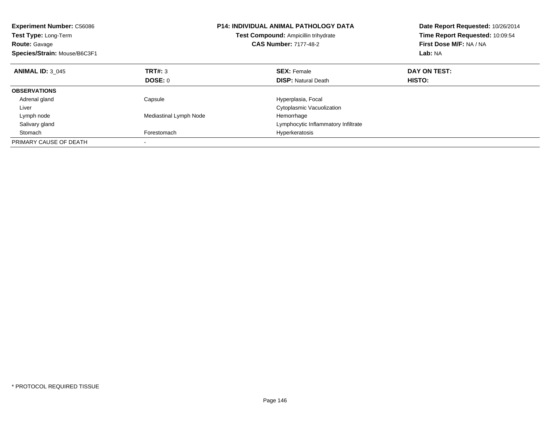| <b>Experiment Number: C56086</b><br>Test Type: Long-Term<br><b>Route: Gavage</b><br>Species/Strain: Mouse/B6C3F1 |                        | <b>P14: INDIVIDUAL ANIMAL PATHOLOGY DATA</b><br>Test Compound: Ampicillin trihydrate<br><b>CAS Number: 7177-48-2</b> | Date Report Requested: 10/26/2014<br>Time Report Requested: 10:09:54<br>First Dose M/F: NA / NA<br>Lab: NA |  |
|------------------------------------------------------------------------------------------------------------------|------------------------|----------------------------------------------------------------------------------------------------------------------|------------------------------------------------------------------------------------------------------------|--|
| <b>ANIMAL ID: 3 045</b>                                                                                          | TRT#: 3                | <b>SEX: Female</b>                                                                                                   | DAY ON TEST:                                                                                               |  |
|                                                                                                                  | <b>DOSE: 0</b>         | <b>DISP:</b> Natural Death                                                                                           | HISTO:                                                                                                     |  |
| <b>OBSERVATIONS</b>                                                                                              |                        |                                                                                                                      |                                                                                                            |  |
| Adrenal gland                                                                                                    | Capsule                | Hyperplasia, Focal                                                                                                   |                                                                                                            |  |
| Liver                                                                                                            |                        | Cytoplasmic Vacuolization                                                                                            |                                                                                                            |  |
| Lymph node                                                                                                       | Mediastinal Lymph Node | Hemorrhage                                                                                                           |                                                                                                            |  |
| Salivary gland                                                                                                   |                        | Lymphocytic Inflammatory Infiltrate                                                                                  |                                                                                                            |  |
| Stomach                                                                                                          | Forestomach            | Hyperkeratosis                                                                                                       |                                                                                                            |  |
| PRIMARY CAUSE OF DEATH                                                                                           |                        |                                                                                                                      |                                                                                                            |  |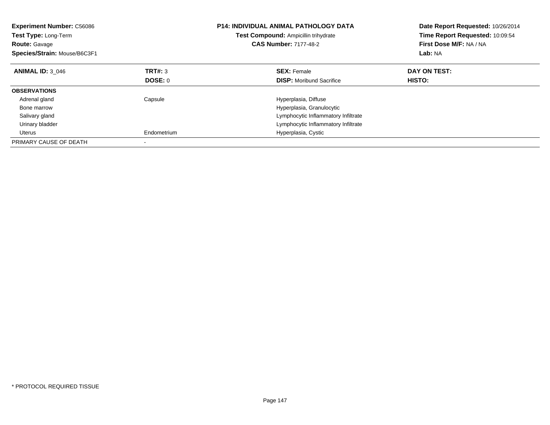| <b>Experiment Number: C56086</b><br>Test Type: Long-Term<br><b>Route: Gavage</b><br>Species/Strain: Mouse/B6C3F1 |                | <b>P14: INDIVIDUAL ANIMAL PATHOLOGY DATA</b><br>Test Compound: Ampicillin trihydrate<br><b>CAS Number: 7177-48-2</b> | Date Report Requested: 10/26/2014<br>Time Report Requested: 10:09:54<br>First Dose M/F: NA / NA<br>Lab: NA |  |
|------------------------------------------------------------------------------------------------------------------|----------------|----------------------------------------------------------------------------------------------------------------------|------------------------------------------------------------------------------------------------------------|--|
| <b>ANIMAL ID: 3 046</b>                                                                                          | <b>TRT#: 3</b> | <b>SEX:</b> Female                                                                                                   | DAY ON TEST:                                                                                               |  |
|                                                                                                                  | DOSE: 0        | <b>DISP:</b> Moribund Sacrifice                                                                                      | HISTO:                                                                                                     |  |
| <b>OBSERVATIONS</b>                                                                                              |                |                                                                                                                      |                                                                                                            |  |
| Adrenal gland                                                                                                    | Capsule        | Hyperplasia, Diffuse                                                                                                 |                                                                                                            |  |
| Bone marrow                                                                                                      |                | Hyperplasia, Granulocytic                                                                                            |                                                                                                            |  |
| Salivary gland                                                                                                   |                | Lymphocytic Inflammatory Infiltrate                                                                                  |                                                                                                            |  |
| Urinary bladder                                                                                                  |                | Lymphocytic Inflammatory Infiltrate                                                                                  |                                                                                                            |  |
| Uterus                                                                                                           | Endometrium    | Hyperplasia, Cystic                                                                                                  |                                                                                                            |  |
| PRIMARY CAUSE OF DEATH                                                                                           |                |                                                                                                                      |                                                                                                            |  |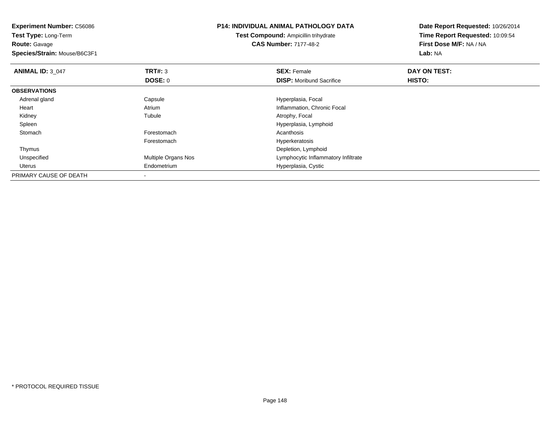**Experiment Number:** C56086**Test Type:** Long-Term**Route:** Gavage **Species/Strain:** Mouse/B6C3F1**P14: INDIVIDUAL ANIMAL PATHOLOGY DATATest Compound:** Ampicillin trihydrate**CAS Number:** 7177-48-2**Date Report Requested:** 10/26/2014**Time Report Requested:** 10:09:54**First Dose M/F:** NA / NA**Lab:** NA**ANIMAL ID: 3 047 TRT#:** <sup>3</sup> **SEX:** Female **DAY ON TEST: DOSE:** 0**DISP:** Moribund Sacrifice **HISTO: OBSERVATIONS** Adrenal glandCapsule **Capsule Hyperplasia**, Focal Heart AtriumAtrium **Inflammation, Chronic Focal**<br>
Inflammation, Chronic Focal<br>
Atrophy, Focal Kidneyy the contract of the contract of the contract of the contract of the contract of the contract of the contract of the contract of the contract of the contract of the contract of the contract of the contract of the contract Atrophy, Focal Spleen Hyperplasia, Lymphoid **Stomach** h anns an t-India anns an t-India anns an t-India anns an t-India anns an t-India anns an t-India anns an t-In Forestomach Hyperkeratosis Thymus Depletion, Lymphoidd **Example 20 and 10 and 10 and 10 and 10 and 10 and 10 and 10 and 10 and 10 and 10 and 10 and 10 and 10 and 10**  Unspecified Uterus Endometrium Hyperplasia, Cystic PRIMARY CAUSE OF DEATH-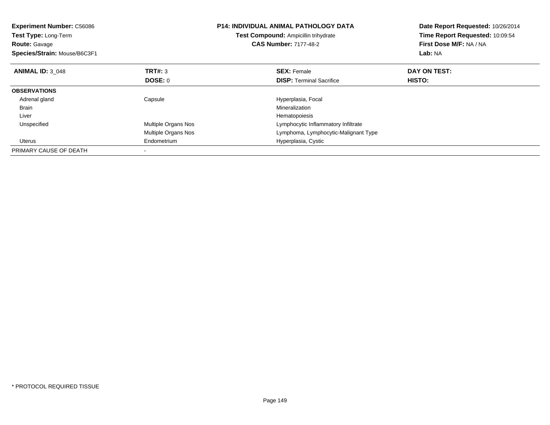| <b>Experiment Number: C56086</b><br><b>Test Type: Long-Term</b><br><b>Route: Gavage</b><br>Species/Strain: Mouse/B6C3F1 |                     | <b>P14: INDIVIDUAL ANIMAL PATHOLOGY DATA</b><br>Test Compound: Ampicillin trihydrate<br><b>CAS Number: 7177-48-2</b> | Date Report Requested: 10/26/2014<br>Time Report Requested: 10:09:54<br>First Dose M/F: NA / NA<br>Lab: NA |
|-------------------------------------------------------------------------------------------------------------------------|---------------------|----------------------------------------------------------------------------------------------------------------------|------------------------------------------------------------------------------------------------------------|
| <b>ANIMAL ID: 3 048</b>                                                                                                 | TRT#: 3             | <b>SEX: Female</b>                                                                                                   | DAY ON TEST:                                                                                               |
|                                                                                                                         | DOSE: 0             | <b>DISP:</b> Terminal Sacrifice                                                                                      | HISTO:                                                                                                     |
| <b>OBSERVATIONS</b>                                                                                                     |                     |                                                                                                                      |                                                                                                            |
| Adrenal gland                                                                                                           | Capsule             | Hyperplasia, Focal                                                                                                   |                                                                                                            |
| <b>Brain</b>                                                                                                            |                     | Mineralization                                                                                                       |                                                                                                            |
| Liver                                                                                                                   |                     | Hematopoiesis                                                                                                        |                                                                                                            |
| Unspecified                                                                                                             | Multiple Organs Nos | Lymphocytic Inflammatory Infiltrate                                                                                  |                                                                                                            |
|                                                                                                                         | Multiple Organs Nos | Lymphoma, Lymphocytic-Malignant Type                                                                                 |                                                                                                            |
| Uterus                                                                                                                  | Endometrium         | Hyperplasia, Cystic                                                                                                  |                                                                                                            |
| PRIMARY CAUSE OF DEATH                                                                                                  |                     |                                                                                                                      |                                                                                                            |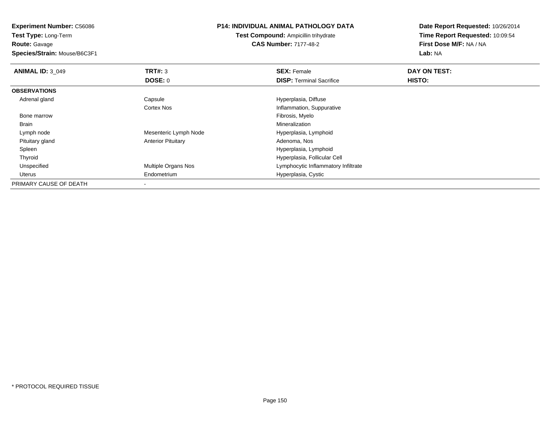**Experiment Number:** C56086

**Test Type:** Long-Term**Route:** Gavage

**Species/Strain:** Mouse/B6C3F1

## **P14: INDIVIDUAL ANIMAL PATHOLOGY DATA**

**Test Compound:** Ampicillin trihydrate**CAS Number:** 7177-48-2

**Date Report Requested:** 10/26/2014**Time Report Requested:** 10:09:54**First Dose M/F:** NA / NA**Lab:** NA

| <b>ANIMAL ID: 3 049</b> | TRT#: 3                   | <b>SEX: Female</b>                  | DAY ON TEST: |  |
|-------------------------|---------------------------|-------------------------------------|--------------|--|
|                         | DOSE: 0                   | <b>DISP:</b> Terminal Sacrifice     | HISTO:       |  |
| <b>OBSERVATIONS</b>     |                           |                                     |              |  |
| Adrenal gland           | Capsule                   | Hyperplasia, Diffuse                |              |  |
|                         | <b>Cortex Nos</b>         | Inflammation, Suppurative           |              |  |
| Bone marrow             |                           | Fibrosis, Myelo                     |              |  |
| Brain                   |                           | Mineralization                      |              |  |
| Lymph node              | Mesenteric Lymph Node     | Hyperplasia, Lymphoid               |              |  |
| Pituitary gland         | <b>Anterior Pituitary</b> | Adenoma, Nos                        |              |  |
| Spleen                  |                           | Hyperplasia, Lymphoid               |              |  |
| Thyroid                 |                           | Hyperplasia, Follicular Cell        |              |  |
| Unspecified             | Multiple Organs Nos       | Lymphocytic Inflammatory Infiltrate |              |  |
| Uterus                  | Endometrium               | Hyperplasia, Cystic                 |              |  |
| PRIMARY CAUSE OF DEATH  |                           |                                     |              |  |